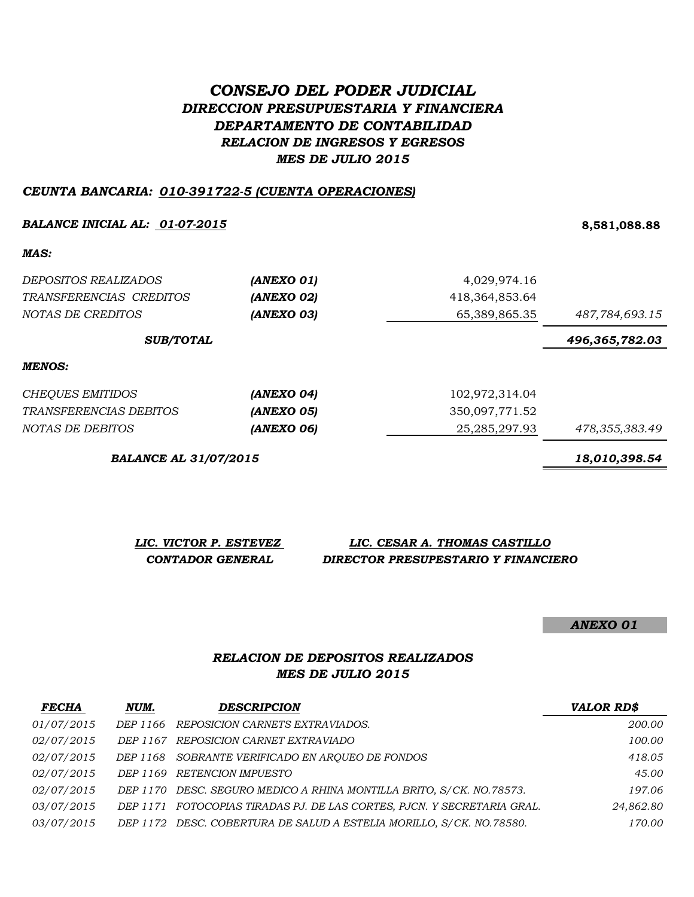# *CONSEJO DEL PODER JUDICIAL DIRECCION PRESUPUESTARIA Y FINANCIERA DEPARTAMENTO DE CONTABILIDAD RELACION DE INGRESOS Y EGRESOS MES DE JULIO 2015*

### *CEUNTA BANCARIA: 010-391722-5 (CUENTA OPERACIONES)*

### *BALANCE INICIAL AL: 01-07-2015* **8,581,088.88**

*MAS:*

| <i>DEPOSITOS REALIZADOS</i><br>TRANSFERENCIAS CREDITOS<br>NOTAS DE CREDITOS | (ANEXO 01)<br>(ANEXO 02)<br>(ANEXO 03) | 4,029,974.16<br>418,364,853.64<br>65,389,865.35 | 487,784,693.15 |
|-----------------------------------------------------------------------------|----------------------------------------|-------------------------------------------------|----------------|
| <b>SUB/TOTAL</b>                                                            |                                        |                                                 | 496,365,782.03 |
| MENOS:                                                                      |                                        |                                                 |                |
| <b>CHEQUES EMITIDOS</b>                                                     | (ANEXO 04)                             | 102,972,314.04                                  |                |
| TRANSFERENCIAS DEBITOS                                                      | (ANEXO 05)                             | 350,097,771.52                                  |                |
| NOTAS DE DEBITOS                                                            | (ANEXO 06)                             | 25, 285, 297. 93                                | 478,355,383.49 |

*BALANCE AL 31/07/2015 18,010,398.54*

| LIC. VICTOR P. ESTEVEZ | LIC. CESAR A. THOMAS CASTILLO       |
|------------------------|-------------------------------------|
| CONTADOR GENERAL       | DIRECTOR PRESUPESTARIO Y FINANCIERO |

*ANEXO 01*

# *RELACION DE DEPOSITOS REALIZADOS MES DE JULIO 2015*

| <b>FECHA</b>      | NUM. | <b>DESCRIPCION</b>                                                      | <b>VALOR RD\$</b> |
|-------------------|------|-------------------------------------------------------------------------|-------------------|
| 01/07/2015        |      | DEP 1166 REPOSICION CARNETS EXTRAVIADOS.                                | 200.00            |
| 02/07/2015        |      | DEP 1167 REPOSICION CARNET EXTRAVIADO                                   | 100.00            |
| <i>02/07/2015</i> |      | DEP 1168 SOBRANTE VERIFICADO EN AROUEO DE FONDOS                        | 418.05            |
| <i>02/07/2015</i> |      | DEP 1169 RETENCION IMPUESTO                                             | 45.00             |
| <i>02/07/2015</i> |      | DEP 1170 DESC. SEGURO MEDICO A RHINA MONTILLA BRITO, S/CK. NO.78573.    | 197.06            |
| <i>03/07/2015</i> |      | DEP 1171 FOTOCOPIAS TIRADAS PJ. DE LAS CORTES, PJCN. Y SECRETARIA GRAL. | 24,862.80         |
| <i>03/07/2015</i> |      | DEP 1172 DESC. COBERTURA DE SALUD A ESTELIA MORILLO, S/CK. NO.78580.    | 170.00            |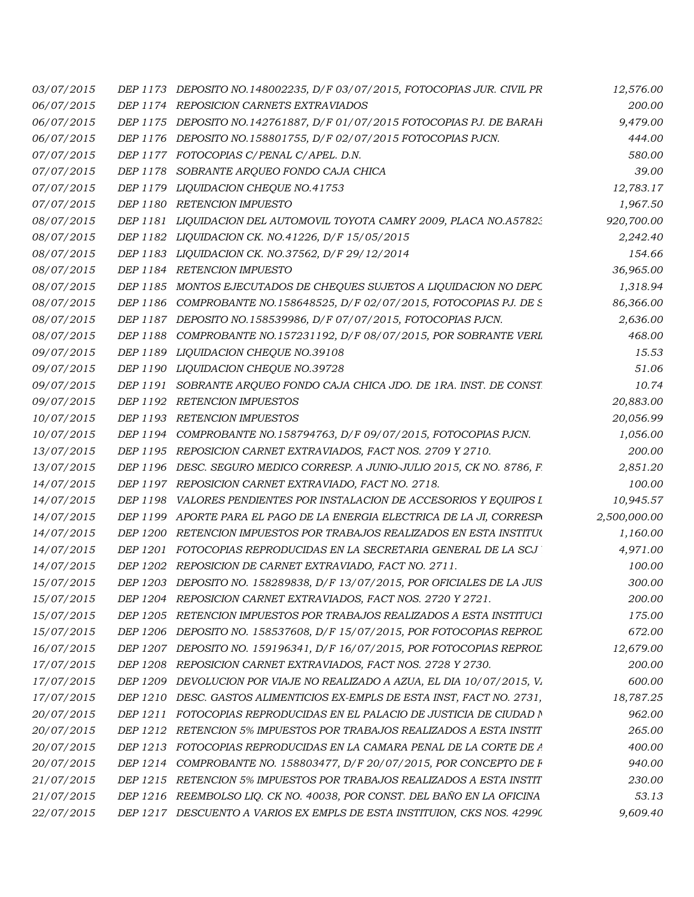| 03/07/2015 |                 | DEP 1173 DEPOSITO NO.148002235, D/F 03/07/2015, FOTOCOPIAS JUR. CIVIL PR  | 12,576.00    |
|------------|-----------------|---------------------------------------------------------------------------|--------------|
| 06/07/2015 |                 | DEP 1174 REPOSICION CARNETS EXTRAVIADOS                                   | 200.00       |
| 06/07/2015 |                 | DEP 1175 DEPOSITO NO.142761887, D/F 01/07/2015 FOTOCOPIAS PJ. DE BARAH    | 9,479.00     |
| 06/07/2015 |                 | DEP 1176 DEPOSITO NO.158801755, D/F 02/07/2015 FOTOCOPIAS PJCN.           | 444.00       |
| 07/07/2015 |                 | DEP 1177 FOTOCOPIAS C/PENAL C/APEL. D.N.                                  | 580.00       |
| 07/07/2015 | DEP 1178        | SOBRANTE ARQUEO FONDO CAJA CHICA                                          | 39.00        |
| 07/07/2015 | DEP 1179        | LIQUIDACION CHEQUE NO.41753                                               | 12,783.17    |
| 07/07/2015 | DEP 1180        | <b>RETENCION IMPUESTO</b>                                                 | 1,967.50     |
| 08/07/2015 |                 | DEP 1181 LIQUIDACION DEL AUTOMOVIL TOYOTA CAMRY 2009, PLACA NO.A57823     | 920,700.00   |
| 08/07/2015 |                 | DEP 1182 LIQUIDACION CK. NO.41226, D/F 15/05/2015                         | 2,242.40     |
| 08/07/2015 |                 | DEP 1183 LIQUIDACION CK. NO.37562, D/F 29/12/2014                         | 154.66       |
| 08/07/2015 |                 | DEP 1184 RETENCION IMPUESTO                                               | 36,965.00    |
| 08/07/2015 |                 | DEP 1185 MONTOS EJECUTADOS DE CHEQUES SUJETOS A LIQUIDACION NO DEPC       | 1,318.94     |
| 08/07/2015 | DEP 1186        | COMPROBANTE NO.158648525, D/F 02/07/2015, FOTOCOPIAS PJ. DE S             | 86,366.00    |
| 08/07/2015 |                 | DEP 1187 DEPOSITO NO.158539986, D/F 07/07/2015, FOTOCOPIAS PJCN.          | 2,636.00     |
| 08/07/2015 | DEP 1188        | COMPROBANTE NO.157231192, D/F 08/07/2015, POR SOBRANTE VERL               | 468.00       |
| 09/07/2015 |                 | DEP 1189 LIQUIDACION CHEQUE NO.39108                                      | 15.53        |
| 09/07/2015 |                 | DEP 1190 LIQUIDACION CHEQUE NO.39728                                      | 51.06        |
| 09/07/2015 | DEP 1191        | SOBRANTE ARQUEO FONDO CAJA CHICA JDO. DE 1RA. INST. DE CONST.             | 10.74        |
| 09/07/2015 |                 | DEP 1192 RETENCION IMPUESTOS                                              | 20,883.00    |
| 10/07/2015 |                 | DEP 1193 RETENCION IMPUESTOS                                              | 20,056.99    |
| 10/07/2015 | DEP 1194        | COMPROBANTE NO.158794763, D/F 09/07/2015, FOTOCOPIAS PJCN.                | 1,056.00     |
| 13/07/2015 |                 | DEP 1195 REPOSICION CARNET EXTRAVIADOS, FACT NOS. 2709 Y 2710.            | 200.00       |
| 13/07/2015 |                 | DEP 1196 DESC. SEGURO MEDICO CORRESP. A JUNIO-JULIO 2015, CK NO. 8786, F. | 2,851.20     |
| 14/07/2015 |                 | DEP 1197 REPOSICION CARNET EXTRAVIADO, FACT NO. 2718.                     | 100.00       |
| 14/07/2015 | DEP 1198        | VALORES PENDIENTES POR INSTALACION DE ACCESORIOS Y EQUIPOS I              | 10,945.57    |
| 14/07/2015 | DEP 1199        | APORTE PARA EL PAGO DE LA ENERGIA ELECTRICA DE LA JI, CORRESPI            | 2,500,000.00 |
| 14/07/2015 | <i>DEP 1200</i> | RETENCION IMPUESTOS POR TRABAJOS REALIZADOS EN ESTA INSTITUO              | 1,160.00     |
| 14/07/2015 |                 | DEP 1201 FOTOCOPIAS REPRODUCIDAS EN LA SECRETARIA GENERAL DE LA SCJ       | 4,971.00     |
| 14/07/2015 | DEP 1202        | REPOSICION DE CARNET EXTRAVIADO, FACT NO. 2711.                           | 100.00       |
| 15/07/2015 |                 | DEP 1203 DEPOSITO NO. 158289838, D/F 13/07/2015, POR OFICIALES DE LA JUS  | 300.00       |
| 15/07/2015 |                 | DEP 1204 REPOSICION CARNET EXTRAVIADOS, FACT NOS. 2720 Y 2721.            | 200.00       |
| 15/07/2015 | DEP 1205        | RETENCION IMPUESTOS POR TRABAJOS REALIZADOS A ESTA INSTITUCI              | 175.00       |
| 15/07/2015 | <i>DEP 1206</i> | DEPOSITO NO. 158537608, D/F 15/07/2015, POR FOTOCOPIAS REPROL             | 672.00       |
| 16/07/2015 |                 | DEP 1207 DEPOSITO NO. 159196341, D/F 16/07/2015, POR FOTOCOPIAS REPROL    | 12,679.00    |
| 17/07/2015 | DEP 1208        | REPOSICION CARNET EXTRAVIADOS, FACT NOS. 2728 Y 2730.                     | 200.00       |
| 17/07/2015 | DEP 1209        | DEVOLUCION POR VIAJE NO REALIZADO A AZUA, EL DIA 10/07/2015, V.           | 600.00       |
| 17/07/2015 | DEP 1210        | DESC. GASTOS ALIMENTICIOS EX-EMPLS DE ESTA INST, FACT NO. 2731,           | 18,787.25    |
| 20/07/2015 | DEP 1211        | FOTOCOPIAS REPRODUCIDAS EN EL PALACIO DE JUSTICIA DE CIUDAD N             | 962.00       |
| 20/07/2015 | DEP 1212        | RETENCION 5% IMPUESTOS POR TRABAJOS REALIZADOS A ESTA INSTIT              | 265.00       |
| 20/07/2015 | DEP 1213        | FOTOCOPIAS REPRODUCIDAS EN LA CAMARA PENAL DE LA CORTE DE A               | 400.00       |
| 20/07/2015 | DEP 1214        | COMPROBANTE NO. 158803477, D/F 20/07/2015, POR CONCEPTO DE F              | 940.00       |
| 21/07/2015 | DEP 1215        | RETENCION 5% IMPUESTOS POR TRABAJOS REALIZADOS A ESTA INSTIT              | 230.00       |
| 21/07/2015 |                 | DEP 1216 REEMBOLSO LIQ. CK NO. 40038, POR CONST. DEL BAÑO EN LA OFICINA   | 53.13        |
| 22/07/2015 |                 | DEP 1217 DESCUENTO A VARIOS EX EMPLS DE ESTA INSTITUION, CKS NOS. 42990   | 9,609.40     |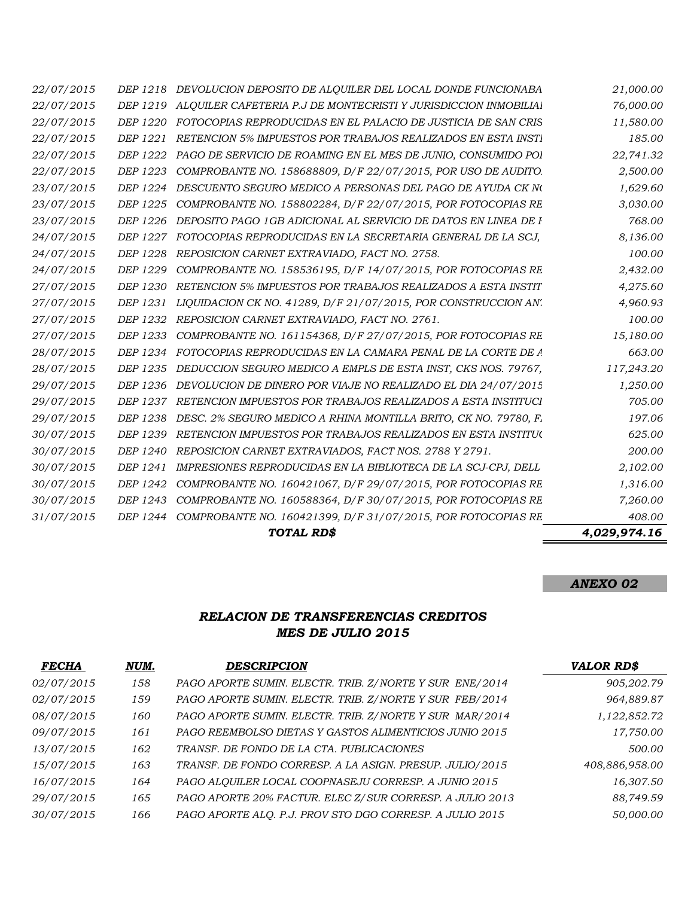|            |                 | TOTAL RD\$                                                               | 4,029,974.16 |
|------------|-----------------|--------------------------------------------------------------------------|--------------|
| 31/07/2015 |                 | DEP 1244 COMPROBANTE NO. 160421399, D/F 31/07/2015, POR FOTOCOPIAS RE    | 408.00       |
| 30/07/2015 | DEP 1243        | COMPROBANTE NO. 160588364, D/F 30/07/2015, POR FOTOCOPIAS RE             | 7,260.00     |
| 30/07/2015 | DEP 1242        | COMPROBANTE NO. 160421067, D/F 29/07/2015, POR FOTOCOPIAS RE             | 1,316.00     |
| 30/07/2015 | DEP 1241        | IMPRESIONES REPRODUCIDAS EN LA BIBLIOTECA DE LA SCJ-CPJ, DELL            | 2,102.00     |
| 30/07/2015 | DEP 1240        | REPOSICION CARNET EXTRAVIADOS, FACT NOS. 2788 Y 2791.                    | 200.00       |
| 30/07/2015 | DEP 1239        | RETENCION IMPUESTOS POR TRABAJOS REALIZADOS EN ESTA INSTITUO             | 625.00       |
| 29/07/2015 | DEP 1238        | DESC. 2% SEGURO MEDICO A RHINA MONTILLA BRITO, CK NO. 79780, F.          | 197.06       |
| 29/07/2015 | DEP 1237        | RETENCION IMPUESTOS POR TRABAJOS REALIZADOS A ESTA INSTITUCI             | 705.00       |
| 29/07/2015 | DEP 1236        | DEVOLUCION DE DINERO POR VIAJE NO REALIZADO EL DIA 24/07/2015            | 1,250.00     |
| 28/07/2015 | DEP 1235        | DEDUCCION SEGURO MEDICO A EMPLS DE ESTA INST, CKS NOS. 79767,            | 117,243.20   |
| 28/07/2015 |                 | DEP 1234 FOTOCOPIAS REPRODUCIDAS EN LA CAMARA PENAL DE LA CORTE DE A     | 663.00       |
| 27/07/2015 | DEP 1233        | COMPROBANTE NO. 161154368, D/F 27/07/2015, POR FOTOCOPIAS RE             | 15,180.00    |
| 27/07/2015 | DEP 1232        | REPOSICION CARNET EXTRAVIADO, FACT NO. 2761.                             | 100.00       |
| 27/07/2015 | DEP 1231        | LIQUIDACION CK NO. 41289, D/F $21/07/2015$ , POR CONSTRUCCION AN'.       | 4,960.93     |
| 27/07/2015 | <i>DEP 1230</i> | RETENCION 5% IMPUESTOS POR TRABAJOS REALIZADOS A ESTA INSTIT             | 4,275.60     |
| 24/07/2015 | DEP 1229        | COMPROBANTE NO. 158536195, D/F 14/07/2015, POR FOTOCOPIAS RE             | 2,432.00     |
| 24/07/2015 | DEP 1228        | REPOSICION CARNET EXTRAVIADO, FACT NO. 2758.                             | 100.00       |
| 24/07/2015 | DEP 1227        | FOTOCOPIAS REPRODUCIDAS EN LA SECRETARIA GENERAL DE LA SCJ.              | 8,136.00     |
| 23/07/2015 | DEP 1226        | DEPOSITO PAGO 1GB ADICIONAL AL SERVICIO DE DATOS EN LINEA DE F           | 768.00       |
| 23/07/2015 | DEP 1225        | COMPROBANTE NO. 158802284, D/F 22/07/2015, POR FOTOCOPIAS RE             | 3,030.00     |
| 23/07/2015 | DEP 1224        | DESCUENTO SEGURO MEDICO A PERSONAS DEL PAGO DE AYUDA CK NO               | 1,629.60     |
| 22/07/2015 | DEP 1223        | COMPROBANTE NO. 158688809, D/F 22/07/2015, POR USO DE AUDITO.            | 2,500.00     |
| 22/07/2015 | DEP 1222        | PAGO DE SERVICIO DE ROAMING EN EL MES DE JUNIO, CONSUMIDO POI            | 22,741.32    |
| 22/07/2015 | DEP 1221        | RETENCION 5% IMPUESTOS POR TRABAJOS REALIZADOS EN ESTA INSTI             | 185.00       |
| 22/07/2015 | <i>DEP 1220</i> | FOTOCOPIAS REPRODUCIDAS EN EL PALACIO DE JUSTICIA DE SAN CRIS            | 11,580.00    |
| 22/07/2015 |                 | DEP 1219 ALQUILER CAFETERIA P.J DE MONTECRISTI Y JURISDICCION INMOBILIAI | 76,000.00    |
| 22/07/2015 |                 | DEP 1218 DEVOLUCION DEPOSITO DE ALOUILER DEL LOCAL DONDE FUNCIONABA      | 21,000.00    |

*ANEXO 02*

# *MES DE JULIO 2015 RELACION DE TRANSFERENCIAS CREDITOS*

| <b>FECHA</b> | NUM. | <b>DESCRIPCION</b>                                       | <b>VALOR RD\$</b> |
|--------------|------|----------------------------------------------------------|-------------------|
| 02/07/2015   | 158  | PAGO APORTE SUMIN. ELECTR. TRIB. Z/NORTE Y SUR ENE/2014  | 905,202.79        |
| 02/07/2015   | 159  | PAGO APORTE SUMIN. ELECTR. TRIB. Z/NORTE Y SUR FEB/2014  | 964,889.87        |
| 08/07/2015   | 160  | PAGO APORTE SUMIN. ELECTR. TRIB. Z/NORTE Y SUR MAR/2014  | 1,122,852.72      |
| 09/07/2015   | 161  | PAGO REEMBOLSO DIETAS Y GASTOS ALIMENTICIOS JUNIO 2015   | 17,750.00         |
| 13/07/2015   | 162  | TRANSF. DE FONDO DE LA CTA. PUBLICACIONES                | 500.00            |
| 15/07/2015   | 163  | TRANSF. DE FONDO CORRESP. A LA ASIGN. PRESUP. JULIO/2015 | 408,886,958.00    |
| 16/07/2015   | 164  | PAGO ALOUILER LOCAL COOPNASEJU CORRESP. A JUNIO 2015     | 16,307.50         |
| 29/07/2015   | 165  | PAGO APORTE 20% FACTUR. ELEC Z/SUR CORRESP. A JULIO 2013 | 88,749.59         |
| 30/07/2015   | 166  | PAGO APORTE ALQ. P.J. PROV STO DGO CORRESP. A JULIO 2015 | 50,000.00         |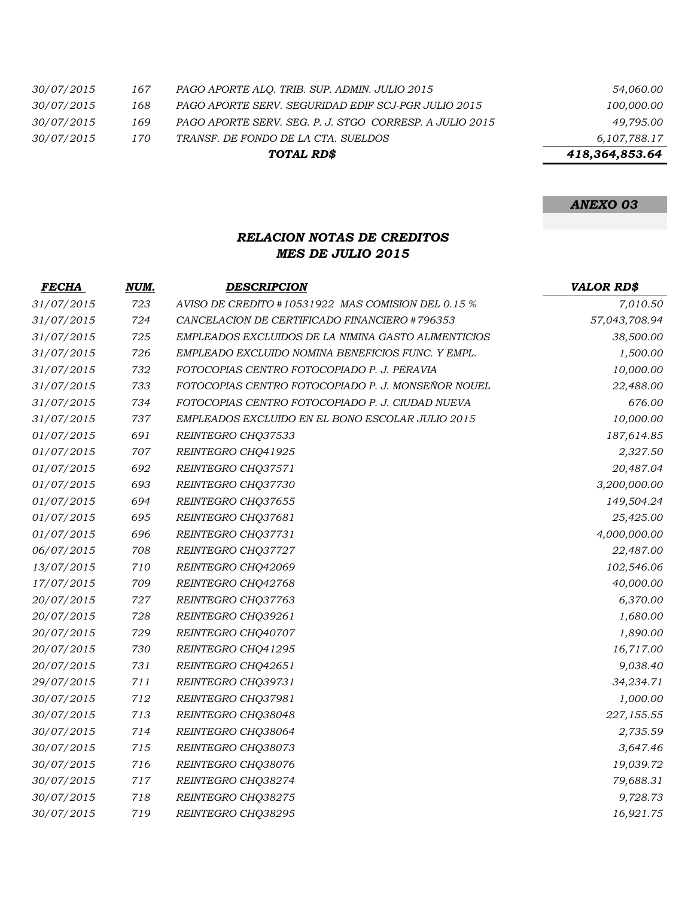|                   |     | TOTAL RD\$                                              | 418,364,853.64 |
|-------------------|-----|---------------------------------------------------------|----------------|
| <i>30/07/2015</i> | 170 | TRANSF. DE FONDO DE LA CTA. SUELDOS                     | 6,107,788.17   |
| <i>30/07/2015</i> | 169 | PAGO APORTE SERV. SEG. P. J. STGO CORRESP. A JULIO 2015 | 49,795.00      |
| <i>30/07/2015</i> | 168 | PAGO APORTE SERV. SEGURIDAD EDIF SCJ-PGR JULIO 2015     | 100,000.00     |
| <i>30/07/2015</i> | 167 | PAGO APORTE ALO. TRIB. SUP. ADMIN. JULIO 2015           | 54,060.00      |

*ANEXO 03*

### *RELACION NOTAS DE CREDITOS MES DE JULIO 2015*

| <b>FECHA</b> | NUM. | <b>DESCRIPCION</b>                                  | <b>VALOR RD\$</b> |
|--------------|------|-----------------------------------------------------|-------------------|
| 31/07/2015   | 723  | AVISO DE CREDITO #10531922 MAS COMISION DEL 0.15 %  | 7,010.50          |
| 31/07/2015   | 724  | CANCELACION DE CERTIFICADO FINANCIERO #796353       | 57,043,708.94     |
| 31/07/2015   | 725  | EMPLEADOS EXCLUIDOS DE LA NIMINA GASTO ALIMENTICIOS | 38,500.00         |
| 31/07/2015   | 726  | EMPLEADO EXCLUIDO NOMINA BENEFICIOS FUNC. Y EMPL.   | 1,500.00          |
| 31/07/2015   | 732  | FOTOCOPIAS CENTRO FOTOCOPIADO P. J. PERAVIA         | 10,000.00         |
| 31/07/2015   | 733  | FOTOCOPIAS CENTRO FOTOCOPIADO P. J. MONSEÑOR NOUEL  | 22,488.00         |
| 31/07/2015   | 734  | FOTOCOPIAS CENTRO FOTOCOPIADO P. J. CIUDAD NUEVA    | 676.00            |
| 31/07/2015   | 737  | EMPLEADOS EXCLUIDO EN EL BONO ESCOLAR JULIO 2015    | 10,000.00         |
| 01/07/2015   | 691  | REINTEGRO CHQ37533                                  | 187,614.85        |
| 01/07/2015   | 707  | REINTEGRO CHQ41925                                  | 2,327.50          |
| 01/07/2015   | 692  | REINTEGRO CHQ37571                                  | 20,487.04         |
| 01/07/2015   | 693  | REINTEGRO CHQ37730                                  | 3,200,000.00      |
| 01/07/2015   | 694  | REINTEGRO CHQ37655                                  | 149,504.24        |
| 01/07/2015   | 695  | REINTEGRO CHQ37681                                  | 25,425.00         |
| 01/07/2015   | 696  | REINTEGRO CHQ37731                                  | 4,000,000.00      |
| 06/07/2015   | 708  | REINTEGRO CHQ37727                                  | 22,487.00         |
| 13/07/2015   | 710  | REINTEGRO CHQ42069                                  | 102,546.06        |
| 17/07/2015   | 709  | REINTEGRO CHQ42768                                  | 40,000.00         |
| 20/07/2015   | 727  | REINTEGRO CHQ37763                                  | 6,370.00          |
| 20/07/2015   | 728  | REINTEGRO CHQ39261                                  | 1,680.00          |
| 20/07/2015   | 729  | REINTEGRO CHQ40707                                  | 1,890.00          |
| 20/07/2015   | 730  | REINTEGRO CHQ41295                                  | 16,717.00         |
| 20/07/2015   | 731  | REINTEGRO CHQ42651                                  | 9,038.40          |
| 29/07/2015   | 711  | REINTEGRO CHQ39731                                  | 34,234.71         |
| 30/07/2015   | 712  | REINTEGRO CHQ37981                                  | 1,000.00          |
| 30/07/2015   | 713  | REINTEGRO CHQ38048                                  | 227,155.55        |
| 30/07/2015   | 714  | REINTEGRO CHQ38064                                  | 2,735.59          |
| 30/07/2015   | 715  | REINTEGRO CHQ38073                                  | 3,647.46          |
| 30/07/2015   | 716  | REINTEGRO CHQ38076                                  | 19,039.72         |
| 30/07/2015   | 717  | REINTEGRO CHQ38274                                  | 79,688.31         |
| 30/07/2015   | 718  | REINTEGRO CHQ38275                                  | 9,728.73          |
| 30/07/2015   | 719  | REINTEGRO CHQ38295                                  | 16,921.75         |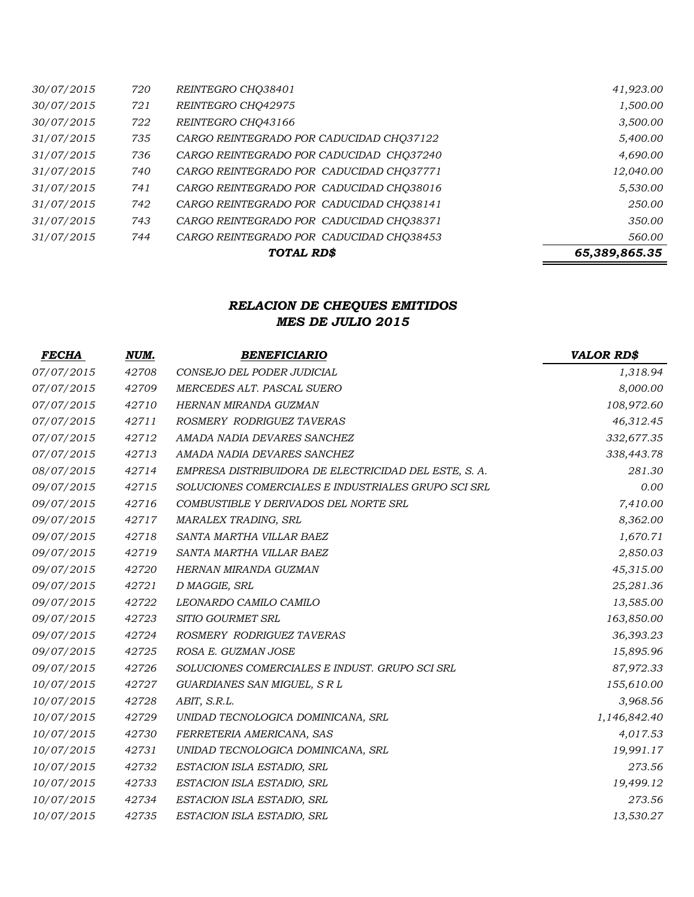|            |     | TOTAL RD\$                               | 65,389,865.35 |
|------------|-----|------------------------------------------|---------------|
| 31/07/2015 | 744 | CARGO REINTEGRADO POR CADUCIDAD CHQ38453 | 560.00        |
| 31/07/2015 | 743 | CARGO REINTEGRADO POR CADUCIDAD CHO38371 | 350.00        |
| 31/07/2015 | 742 | CARGO REINTEGRADO POR CADUCIDAD CHQ38141 | 250.00        |
| 31/07/2015 | 741 | CARGO REINTEGRADO POR CADUCIDAD CHQ38016 | 5,530.00      |
| 31/07/2015 | 740 | CARGO REINTEGRADO POR CADUCIDAD CHO37771 | 12,040.00     |
| 31/07/2015 | 736 | CARGO REINTEGRADO POR CADUCIDAD CHO37240 | 4,690.00      |
| 31/07/2015 | 735 | CARGO REINTEGRADO POR CADUCIDAD CHO37122 | 5,400.00      |
| 30/07/2015 | 722 | REINTEGRO CHQ43166                       | 3,500.00      |
| 30/07/2015 | 721 | REINTEGRO CHQ42975                       | 1,500.00      |
| 30/07/2015 | 720 | REINTEGRO CHQ38401                       | 41,923.00     |

# *RELACION DE CHEQUES EMITIDOS MES DE JULIO 2015*

| <b>FECHA</b> | NUM.  | <b>BENEFICIARIO</b>                                   | <b>VALOR RD\$</b> |
|--------------|-------|-------------------------------------------------------|-------------------|
| 07/07/2015   | 42708 | CONSEJO DEL PODER JUDICIAL                            | 1,318.94          |
| 07/07/2015   | 42709 | MERCEDES ALT. PASCAL SUERO                            | 8,000.00          |
| 07/07/2015   | 42710 | HERNAN MIRANDA GUZMAN                                 | 108,972.60        |
| 07/07/2015   | 42711 | ROSMERY RODRIGUEZ TAVERAS                             | 46,312.45         |
| 07/07/2015   | 42712 | AMADA NADIA DEVARES SANCHEZ                           | 332,677.35        |
| 07/07/2015   | 42713 | AMADA NADIA DEVARES SANCHEZ                           | 338,443.78        |
| 08/07/2015   | 42714 | EMPRESA DISTRIBUIDORA DE ELECTRICIDAD DEL ESTE, S. A. | 281.30            |
| 09/07/2015   | 42715 | SOLUCIONES COMERCIALES E INDUSTRIALES GRUPO SCI SRL   | 0.00              |
| 09/07/2015   | 42716 | COMBUSTIBLE Y DERIVADOS DEL NORTE SRL                 | 7,410.00          |
| 09/07/2015   | 42717 | <b>MARALEX TRADING, SRL</b>                           | 8,362.00          |
| 09/07/2015   | 42718 | SANTA MARTHA VILLAR BAEZ                              | 1,670.71          |
| 09/07/2015   | 42719 | SANTA MARTHA VILLAR BAEZ                              | 2,850.03          |
| 09/07/2015   | 42720 | HERNAN MIRANDA GUZMAN                                 | 45,315.00         |
| 09/07/2015   | 42721 | D MAGGIE, SRL                                         | 25,281.36         |
| 09/07/2015   | 42722 | LEONARDO CAMILO CAMILO                                | 13,585.00         |
| 09/07/2015   | 42723 | SITIO GOURMET SRL                                     | 163,850.00        |
| 09/07/2015   | 42724 | ROSMERY RODRIGUEZ TAVERAS                             | 36,393.23         |
| 09/07/2015   | 42725 | ROSA E. GUZMAN JOSE                                   | 15,895.96         |
| 09/07/2015   | 42726 | SOLUCIONES COMERCIALES E INDUST. GRUPO SCI SRL        | 87,972.33         |
| 10/07/2015   | 42727 | GUARDIANES SAN MIGUEL, S R L                          | 155,610.00        |
| 10/07/2015   | 42728 | ABIT, S.R.L.                                          | 3,968.56          |
| 10/07/2015   | 42729 | UNIDAD TECNOLOGICA DOMINICANA, SRL                    | 1,146,842.40      |
| 10/07/2015   | 42730 | FERRETERIA AMERICANA, SAS                             | 4,017.53          |
| 10/07/2015   | 42731 | UNIDAD TECNOLOGICA DOMINICANA, SRL                    | 19,991.17         |
| 10/07/2015   | 42732 | ESTACION ISLA ESTADIO, SRL                            | 273.56            |
| 10/07/2015   | 42733 | ESTACION ISLA ESTADIO, SRL                            | 19,499.12         |
| 10/07/2015   | 42734 | ESTACION ISLA ESTADIO, SRL                            | 273.56            |
| 10/07/2015   | 42735 | ESTACION ISLA ESTADIO, SRL                            | 13,530.27         |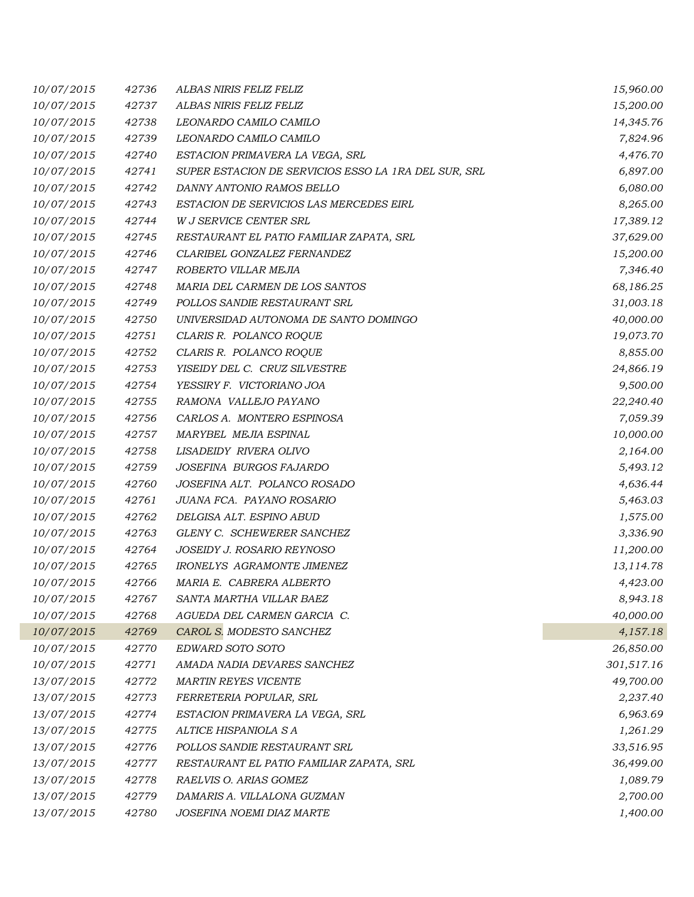| 10/07/2015 | 42736 | ALBAS NIRIS FELIZ FELIZ                              | 15,960.00  |
|------------|-------|------------------------------------------------------|------------|
| 10/07/2015 | 42737 | ALBAS NIRIS FELIZ FELIZ                              | 15,200.00  |
| 10/07/2015 | 42738 | LEONARDO CAMILO CAMILO                               | 14,345.76  |
| 10/07/2015 | 42739 | LEONARDO CAMILO CAMILO                               | 7,824.96   |
| 10/07/2015 | 42740 | ESTACION PRIMAVERA LA VEGA, SRL                      | 4,476.70   |
| 10/07/2015 | 42741 | SUPER ESTACION DE SERVICIOS ESSO LA 1RA DEL SUR, SRL | 6,897.00   |
| 10/07/2015 | 42742 | DANNY ANTONIO RAMOS BELLO                            | 6,080.00   |
| 10/07/2015 | 42743 | ESTACION DE SERVICIOS LAS MERCEDES EIRL              | 8,265.00   |
| 10/07/2015 | 42744 | W J SERVICE CENTER SRL                               | 17,389.12  |
| 10/07/2015 | 42745 | RESTAURANT EL PATIO FAMILIAR ZAPATA, SRL             | 37,629.00  |
| 10/07/2015 | 42746 | CLARIBEL GONZALEZ FERNANDEZ                          | 15,200.00  |
| 10/07/2015 | 42747 | ROBERTO VILLAR MEJIA                                 | 7,346.40   |
| 10/07/2015 | 42748 | MARIA DEL CARMEN DE LOS SANTOS                       | 68,186.25  |
| 10/07/2015 | 42749 | POLLOS SANDIE RESTAURANT SRL                         | 31,003.18  |
| 10/07/2015 | 42750 | UNIVERSIDAD AUTONOMA DE SANTO DOMINGO                | 40,000.00  |
| 10/07/2015 | 42751 | CLARIS R. POLANCO ROQUE                              | 19,073.70  |
| 10/07/2015 | 42752 | CLARIS R. POLANCO ROQUE                              | 8,855.00   |
| 10/07/2015 | 42753 | YISEIDY DEL C. CRUZ SILVESTRE                        | 24,866.19  |
| 10/07/2015 | 42754 | YESSIRY F. VICTORIANO JOA                            | 9,500.00   |
| 10/07/2015 | 42755 | RAMONA VALLEJO PAYANO                                | 22,240.40  |
| 10/07/2015 | 42756 | CARLOS A. MONTERO ESPINOSA                           | 7,059.39   |
| 10/07/2015 | 42757 | MARYBEL MEJIA ESPINAL                                | 10,000.00  |
| 10/07/2015 | 42758 | LISADEIDY RIVERA OLIVO                               | 2,164.00   |
| 10/07/2015 | 42759 | JOSEFINA BURGOS FAJARDO                              | 5,493.12   |
| 10/07/2015 | 42760 | JOSEFINA ALT. POLANCO ROSADO                         | 4,636.44   |
| 10/07/2015 | 42761 | JUANA FCA. PAYANO ROSARIO                            | 5,463.03   |
| 10/07/2015 | 42762 | DELGISA ALT. ESPINO ABUD                             | 1,575.00   |
| 10/07/2015 | 42763 | GLENY C. SCHEWERER SANCHEZ                           | 3,336.90   |
| 10/07/2015 | 42764 | JOSEIDY J. ROSARIO REYNOSO                           | 11,200.00  |
| 10/07/2015 | 42765 | IRONELYS AGRAMONTE JIMENEZ                           | 13,114.78  |
| 10/07/2015 | 42766 | MARIA E. CABRERA ALBERTO                             | 4,423.00   |
| 10/07/2015 | 42767 | SANTA MARTHA VILLAR BAEZ                             | 8,943.18   |
| 10/07/2015 | 42768 | AGUEDA DEL CARMEN GARCIA C.                          | 40,000.00  |
| 10/07/2015 | 42769 | CAROL S. MODESTO SANCHEZ                             | 4,157.18   |
| 10/07/2015 | 42770 | EDWARD SOTO SOTO                                     | 26,850.00  |
| 10/07/2015 | 42771 | AMADA NADIA DEVARES SANCHEZ                          | 301,517.16 |
| 13/07/2015 | 42772 | <b>MARTIN REYES VICENTE</b>                          | 49,700.00  |
| 13/07/2015 | 42773 | FERRETERIA POPULAR, SRL                              | 2,237.40   |
| 13/07/2015 | 42774 | ESTACION PRIMAVERA LA VEGA, SRL                      | 6,963.69   |
| 13/07/2015 | 42775 | ALTICE HISPANIOLA S A                                | 1,261.29   |
| 13/07/2015 | 42776 | POLLOS SANDIE RESTAURANT SRL                         | 33,516.95  |
| 13/07/2015 | 42777 | RESTAURANT EL PATIO FAMILIAR ZAPATA, SRL             | 36,499.00  |
| 13/07/2015 | 42778 | RAELVIS O. ARIAS GOMEZ                               | 1,089.79   |
| 13/07/2015 | 42779 | DAMARIS A. VILLALONA GUZMAN                          | 2,700.00   |
| 13/07/2015 | 42780 | JOSEFINA NOEMI DIAZ MARTE                            | 1,400.00   |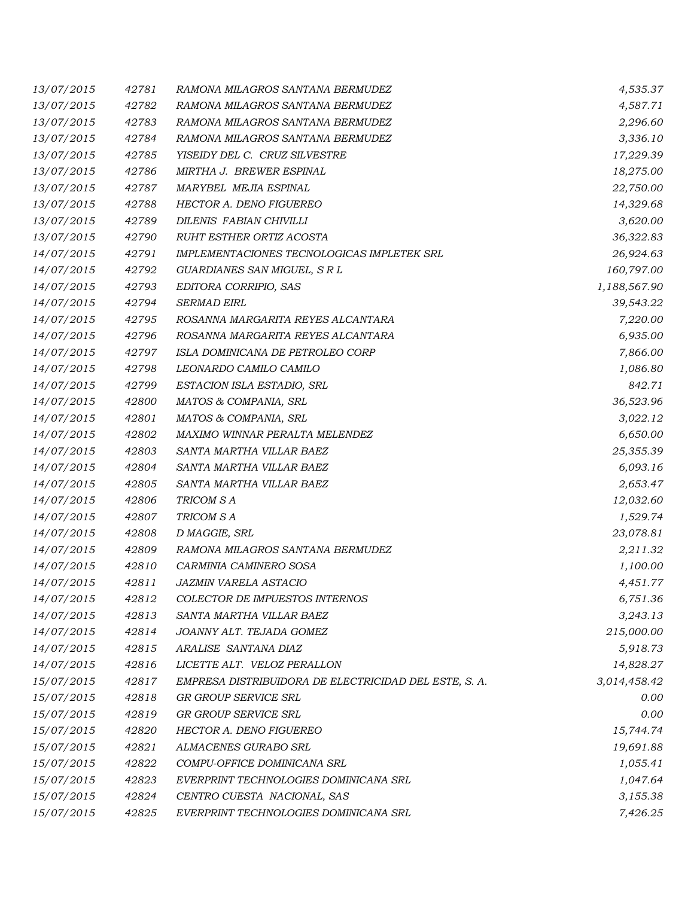| 13/07/2015 | 42781 | RAMONA MILAGROS SANTANA BERMUDEZ                      | 4,535.37     |
|------------|-------|-------------------------------------------------------|--------------|
| 13/07/2015 | 42782 | RAMONA MILAGROS SANTANA BERMUDEZ                      | 4,587.71     |
| 13/07/2015 | 42783 | RAMONA MILAGROS SANTANA BERMUDEZ                      | 2,296.60     |
| 13/07/2015 | 42784 | RAMONA MILAGROS SANTANA BERMUDEZ                      | 3,336.10     |
| 13/07/2015 | 42785 | YISEIDY DEL C. CRUZ SILVESTRE                         | 17,229.39    |
| 13/07/2015 | 42786 | MIRTHA J. BREWER ESPINAL                              | 18,275.00    |
| 13/07/2015 | 42787 | MARYBEL MEJIA ESPINAL                                 | 22,750.00    |
| 13/07/2015 | 42788 | HECTOR A. DENO FIGUEREO                               | 14,329.68    |
| 13/07/2015 | 42789 | DILENIS FABIAN CHIVILLI                               | 3,620.00     |
| 13/07/2015 | 42790 | RUHT ESTHER ORTIZ ACOSTA                              | 36,322.83    |
| 14/07/2015 | 42791 | IMPLEMENTACIONES TECNOLOGICAS IMPLETEK SRL            | 26,924.63    |
| 14/07/2015 | 42792 | GUARDIANES SAN MIGUEL, S R L                          | 160,797.00   |
| 14/07/2015 | 42793 | EDITORA CORRIPIO, SAS                                 | 1,188,567.90 |
| 14/07/2015 | 42794 | <b>SERMAD EIRL</b>                                    | 39,543.22    |
| 14/07/2015 | 42795 | ROSANNA MARGARITA REYES ALCANTARA                     | 7,220.00     |
| 14/07/2015 | 42796 | ROSANNA MARGARITA REYES ALCANTARA                     | 6,935.00     |
| 14/07/2015 | 42797 | ISLA DOMINICANA DE PETROLEO CORP                      | 7,866.00     |
| 14/07/2015 | 42798 | LEONARDO CAMILO CAMILO                                | 1,086.80     |
| 14/07/2015 | 42799 | ESTACION ISLA ESTADIO, SRL                            | 842.71       |
| 14/07/2015 | 42800 | MATOS & COMPANIA, SRL                                 | 36,523.96    |
| 14/07/2015 | 42801 | MATOS & COMPANIA, SRL                                 | 3,022.12     |
| 14/07/2015 | 42802 | MAXIMO WINNAR PERALTA MELENDEZ                        | 6,650.00     |
| 14/07/2015 | 42803 | SANTA MARTHA VILLAR BAEZ                              | 25,355.39    |
| 14/07/2015 | 42804 | SANTA MARTHA VILLAR BAEZ                              | 6,093.16     |
| 14/07/2015 | 42805 | SANTA MARTHA VILLAR BAEZ                              | 2,653.47     |
| 14/07/2015 | 42806 | TRICOM S A                                            | 12,032.60    |
| 14/07/2015 | 42807 | TRICOM S A                                            | 1,529.74     |
| 14/07/2015 | 42808 | D MAGGIE, SRL                                         | 23,078.81    |
| 14/07/2015 | 42809 | RAMONA MILAGROS SANTANA BERMUDEZ                      | 2,211.32     |
| 14/07/2015 | 42810 | CARMINIA CAMINERO SOSA                                | 1,100.00     |
| 14/07/2015 | 42811 | <b>JAZMIN VARELA ASTACIO</b>                          | 4,451.77     |
| 14/07/2015 | 42812 | <b>COLECTOR DE IMPUESTOS INTERNOS</b>                 | 6,751.36     |
| 14/07/2015 | 42813 | SANTA MARTHA VILLAR BAEZ                              | 3,243.13     |
| 14/07/2015 | 42814 | JOANNY ALT. TEJADA GOMEZ                              | 215,000.00   |
| 14/07/2015 | 42815 | ARALISE SANTANA DIAZ                                  | 5,918.73     |
| 14/07/2015 | 42816 | LICETTE ALT. VELOZ PERALLON                           | 14,828.27    |
| 15/07/2015 | 42817 | EMPRESA DISTRIBUIDORA DE ELECTRICIDAD DEL ESTE, S. A. | 3,014,458.42 |
| 15/07/2015 | 42818 | <b>GR GROUP SERVICE SRL</b>                           | 0.00         |
| 15/07/2015 | 42819 | GR GROUP SERVICE SRL                                  | 0.00         |
| 15/07/2015 | 42820 | HECTOR A. DENO FIGUEREO                               | 15,744.74    |
| 15/07/2015 | 42821 | ALMACENES GURABO SRL                                  | 19,691.88    |
| 15/07/2015 | 42822 | COMPU-OFFICE DOMINICANA SRL                           | 1,055.41     |
| 15/07/2015 | 42823 | EVERPRINT TECHNOLOGIES DOMINICANA SRL                 | 1,047.64     |
| 15/07/2015 | 42824 | CENTRO CUESTA NACIONAL, SAS                           | 3,155.38     |
| 15/07/2015 | 42825 | EVERPRINT TECHNOLOGIES DOMINICANA SRL                 | 7,426.25     |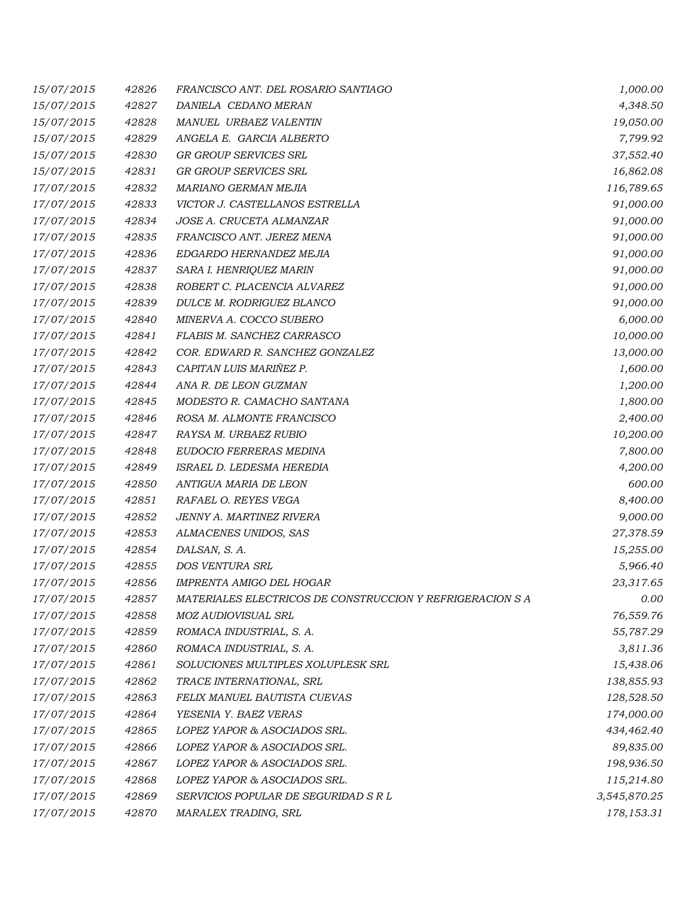| 15/07/2015 | 42826 | FRANCISCO ANT. DEL ROSARIO SANTIAGO                       | 1,000.00     |
|------------|-------|-----------------------------------------------------------|--------------|
| 15/07/2015 | 42827 | DANIELA CEDANO MERAN                                      | 4,348.50     |
| 15/07/2015 | 42828 | MANUEL URBAEZ VALENTIN                                    | 19,050.00    |
| 15/07/2015 | 42829 | ANGELA E. GARCIA ALBERTO                                  | 7,799.92     |
| 15/07/2015 | 42830 | GR GROUP SERVICES SRL                                     | 37,552.40    |
| 15/07/2015 | 42831 | GR GROUP SERVICES SRL                                     | 16,862.08    |
| 17/07/2015 | 42832 | MARIANO GERMAN MEJIA                                      | 116,789.65   |
| 17/07/2015 | 42833 | VICTOR J. CASTELLANOS ESTRELLA                            | 91,000.00    |
| 17/07/2015 | 42834 | JOSE A. CRUCETA ALMANZAR                                  | 91,000.00    |
| 17/07/2015 | 42835 | FRANCISCO ANT. JEREZ MENA                                 | 91,000.00    |
| 17/07/2015 | 42836 | EDGARDO HERNANDEZ MEJIA                                   | 91,000.00    |
| 17/07/2015 | 42837 | SARA I. HENRIQUEZ MARIN                                   | 91,000.00    |
| 17/07/2015 | 42838 | ROBERT C. PLACENCIA ALVAREZ                               | 91,000.00    |
| 17/07/2015 | 42839 | DULCE M. RODRIGUEZ BLANCO                                 | 91,000.00    |
| 17/07/2015 | 42840 | MINERVA A. COCCO SUBERO                                   | 6,000.00     |
| 17/07/2015 | 42841 | FLABIS M. SANCHEZ CARRASCO                                | 10,000.00    |
| 17/07/2015 | 42842 | COR. EDWARD R. SANCHEZ GONZALEZ                           | 13,000.00    |
| 17/07/2015 | 42843 | CAPITAN LUIS MARIÑEZ P.                                   | 1,600.00     |
| 17/07/2015 | 42844 | ANA R. DE LEON GUZMAN                                     | 1,200.00     |
| 17/07/2015 | 42845 | MODESTO R. CAMACHO SANTANA                                | 1,800.00     |
| 17/07/2015 | 42846 | ROSA M. ALMONTE FRANCISCO                                 | 2,400.00     |
| 17/07/2015 | 42847 | RAYSA M. URBAEZ RUBIO                                     | 10,200.00    |
| 17/07/2015 | 42848 | EUDOCIO FERRERAS MEDINA                                   | 7,800.00     |
| 17/07/2015 | 42849 | ISRAEL D. LEDESMA HEREDIA                                 | 4,200.00     |
| 17/07/2015 | 42850 | ANTIGUA MARIA DE LEON                                     | 600.00       |
| 17/07/2015 | 42851 | RAFAEL O. REYES VEGA                                      | 8,400.00     |
| 17/07/2015 | 42852 | JENNY A. MARTINEZ RIVERA                                  | 9,000.00     |
| 17/07/2015 | 42853 | ALMACENES UNIDOS, SAS                                     | 27,378.59    |
| 17/07/2015 | 42854 | DALSAN, S. A.                                             | 15,255.00    |
| 17/07/2015 | 42855 | DOS VENTURA SRL                                           | 5,966.40     |
| 17/07/2015 | 42856 | IMPRENTA AMIGO DEL HOGAR                                  | 23,317.65    |
| 17/07/2015 | 42857 | MATERIALES ELECTRICOS DE CONSTRUCCION Y REFRIGERACION S A | 0.00         |
| 17/07/2015 | 42858 | MOZ AUDIOVISUAL SRL                                       | 76,559.76    |
| 17/07/2015 | 42859 | ROMACA INDUSTRIAL, S. A.                                  | 55,787.29    |
| 17/07/2015 | 42860 | ROMACA INDUSTRIAL, S. A.                                  | 3,811.36     |
| 17/07/2015 | 42861 | SOLUCIONES MULTIPLES XOLUPLESK SRL                        | 15,438.06    |
| 17/07/2015 | 42862 | TRACE INTERNATIONAL, SRL                                  | 138,855.93   |
| 17/07/2015 | 42863 | FELIX MANUEL BAUTISTA CUEVAS                              | 128,528.50   |
| 17/07/2015 | 42864 | YESENIA Y. BAEZ VERAS                                     | 174,000.00   |
| 17/07/2015 | 42865 | LOPEZ YAPOR & ASOCIADOS SRL.                              | 434,462.40   |
| 17/07/2015 | 42866 | LOPEZ YAPOR & ASOCIADOS SRL.                              | 89,835.00    |
| 17/07/2015 | 42867 | LOPEZ YAPOR & ASOCIADOS SRL.                              | 198,936.50   |
| 17/07/2015 | 42868 | LOPEZ YAPOR & ASOCIADOS SRL.                              | 115,214.80   |
| 17/07/2015 | 42869 | SERVICIOS POPULAR DE SEGURIDAD S R L                      | 3,545,870.25 |
| 17/07/2015 | 42870 | MARALEX TRADING, SRL                                      | 178,153.31   |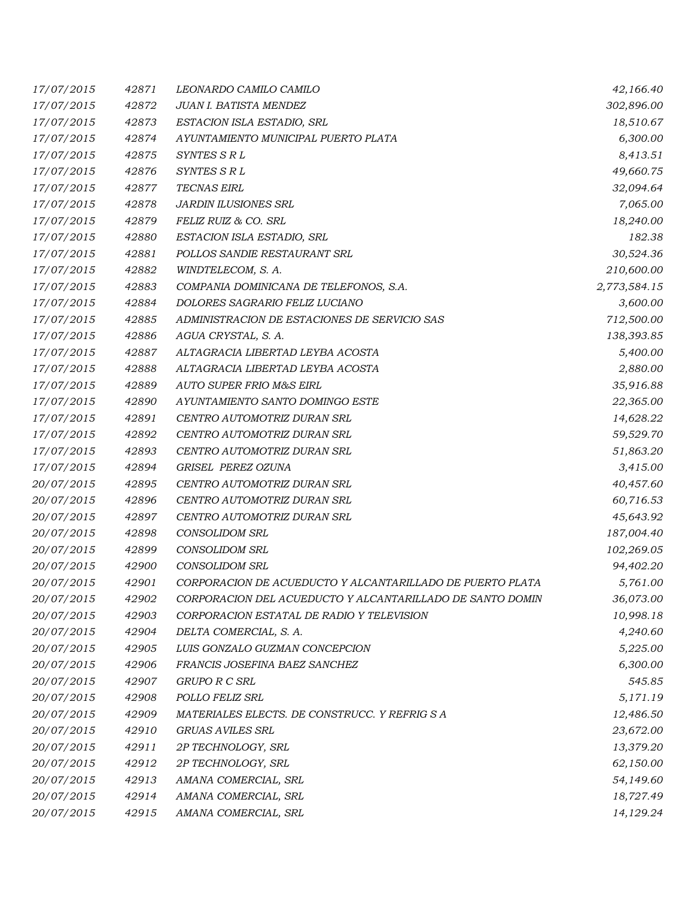| 17/07/2015 | 42871 | LEONARDO CAMILO CAMILO                                    | 42,166.40    |
|------------|-------|-----------------------------------------------------------|--------------|
| 17/07/2015 | 42872 | JUAN I. BATISTA MENDEZ                                    | 302,896.00   |
| 17/07/2015 | 42873 | ESTACION ISLA ESTADIO, SRL                                | 18,510.67    |
| 17/07/2015 | 42874 | AYUNTAMIENTO MUNICIPAL PUERTO PLATA                       | 6,300.00     |
| 17/07/2015 | 42875 | SYNTES S R L                                              | 8,413.51     |
| 17/07/2015 | 42876 | SYNTES S R L                                              | 49,660.75    |
| 17/07/2015 | 42877 | TECNAS EIRL                                               | 32,094.64    |
| 17/07/2015 | 42878 | JARDIN ILUSIONES SRL                                      | 7,065.00     |
| 17/07/2015 | 42879 | FELIZ RUIZ & CO. SRL                                      | 18,240.00    |
| 17/07/2015 | 42880 | ESTACION ISLA ESTADIO, SRL                                | 182.38       |
| 17/07/2015 | 42881 | POLLOS SANDIE RESTAURANT SRL                              | 30,524.36    |
| 17/07/2015 | 42882 | WINDTELECOM, S. A.                                        | 210,600.00   |
| 17/07/2015 | 42883 | COMPANIA DOMINICANA DE TELEFONOS, S.A.                    | 2,773,584.15 |
| 17/07/2015 | 42884 | DOLORES SAGRARIO FELIZ LUCIANO                            | 3,600.00     |
| 17/07/2015 | 42885 | ADMINISTRACION DE ESTACIONES DE SERVICIO SAS              | 712,500.00   |
| 17/07/2015 | 42886 | AGUA CRYSTAL, S. A.                                       | 138,393.85   |
| 17/07/2015 | 42887 | ALTAGRACIA LIBERTAD LEYBA ACOSTA                          | 5,400.00     |
| 17/07/2015 | 42888 | ALTAGRACIA LIBERTAD LEYBA ACOSTA                          | 2,880.00     |
| 17/07/2015 | 42889 | AUTO SUPER FRIO M&S EIRL                                  | 35,916.88    |
| 17/07/2015 | 42890 | AYUNTAMIENTO SANTO DOMINGO ESTE                           | 22,365.00    |
| 17/07/2015 | 42891 | CENTRO AUTOMOTRIZ DURAN SRL                               | 14,628.22    |
| 17/07/2015 | 42892 | CENTRO AUTOMOTRIZ DURAN SRL                               | 59,529.70    |
| 17/07/2015 | 42893 | CENTRO AUTOMOTRIZ DURAN SRL                               | 51,863.20    |
| 17/07/2015 | 42894 | GRISEL PEREZ OZUNA                                        | 3,415.00     |
| 20/07/2015 | 42895 | CENTRO AUTOMOTRIZ DURAN SRL                               | 40,457.60    |
| 20/07/2015 | 42896 | CENTRO AUTOMOTRIZ DURAN SRL                               | 60,716.53    |
| 20/07/2015 | 42897 | CENTRO AUTOMOTRIZ DURAN SRL                               | 45,643.92    |
| 20/07/2015 | 42898 | CONSOLIDOM SRL                                            | 187,004.40   |
| 20/07/2015 | 42899 | <b>CONSOLIDOM SRL</b>                                     | 102,269.05   |
| 20/07/2015 | 42900 | <b>CONSOLIDOM SRL</b>                                     | 94,402.20    |
| 20/07/2015 | 42901 | CORPORACION DE ACUEDUCTO Y ALCANTARILLADO DE PUERTO PLATA | 5,761.00     |
| 20/07/2015 | 42902 | CORPORACION DEL ACUEDUCTO Y ALCANTARILLADO DE SANTO DOMIN | 36,073.00    |
| 20/07/2015 | 42903 | CORPORACION ESTATAL DE RADIO Y TELEVISION                 | 10,998.18    |
| 20/07/2015 | 42904 | DELTA COMERCIAL, S. A.                                    | 4,240.60     |
| 20/07/2015 | 42905 | LUIS GONZALO GUZMAN CONCEPCION                            | 5,225.00     |
| 20/07/2015 | 42906 | FRANCIS JOSEFINA BAEZ SANCHEZ                             | 6,300.00     |
| 20/07/2015 | 42907 | <b>GRUPO R C SRL</b>                                      | 545.85       |
| 20/07/2015 | 42908 | POLLO FELIZ SRL                                           | 5,171.19     |
| 20/07/2015 | 42909 | MATERIALES ELECTS. DE CONSTRUCC. Y REFRIG S A             | 12,486.50    |
| 20/07/2015 | 42910 | <b>GRUAS AVILES SRL</b>                                   | 23,672.00    |
| 20/07/2015 | 42911 | 2P TECHNOLOGY, SRL                                        | 13,379.20    |
| 20/07/2015 | 42912 | 2P TECHNOLOGY, SRL                                        | 62,150.00    |
| 20/07/2015 | 42913 | AMANA COMERCIAL, SRL                                      | 54,149.60    |
| 20/07/2015 | 42914 | AMANA COMERCIAL, SRL                                      | 18,727.49    |
| 20/07/2015 | 42915 | AMANA COMERCIAL, SRL                                      | 14,129.24    |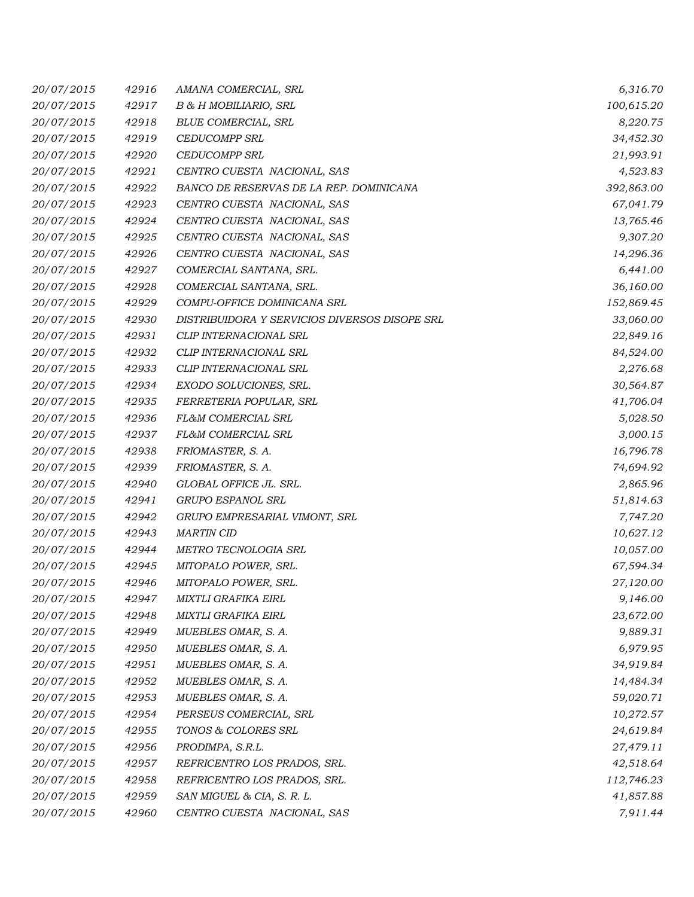| 20/07/2015 | 42916 | AMANA COMERCIAL, SRL                          | 6,316.70   |
|------------|-------|-----------------------------------------------|------------|
| 20/07/2015 | 42917 | B & H MOBILIARIO, SRL                         | 100,615.20 |
| 20/07/2015 | 42918 | BLUE COMERCIAL, SRL                           | 8,220.75   |
| 20/07/2015 | 42919 | <b>CEDUCOMPP SRL</b>                          | 34,452.30  |
| 20/07/2015 | 42920 | <b>CEDUCOMPP SRL</b>                          | 21,993.91  |
| 20/07/2015 | 42921 | CENTRO CUESTA NACIONAL, SAS                   | 4,523.83   |
| 20/07/2015 | 42922 | BANCO DE RESERVAS DE LA REP. DOMINICANA       | 392,863.00 |
| 20/07/2015 | 42923 | CENTRO CUESTA NACIONAL, SAS                   | 67,041.79  |
| 20/07/2015 | 42924 | CENTRO CUESTA NACIONAL, SAS                   | 13,765.46  |
| 20/07/2015 | 42925 | CENTRO CUESTA NACIONAL, SAS                   | 9,307.20   |
| 20/07/2015 | 42926 | CENTRO CUESTA NACIONAL, SAS                   | 14,296.36  |
| 20/07/2015 | 42927 | COMERCIAL SANTANA, SRL.                       | 6,441.00   |
| 20/07/2015 | 42928 | COMERCIAL SANTANA, SRL.                       | 36,160.00  |
| 20/07/2015 | 42929 | COMPU-OFFICE DOMINICANA SRL                   | 152,869.45 |
| 20/07/2015 | 42930 | DISTRIBUIDORA Y SERVICIOS DIVERSOS DISOPE SRL | 33,060.00  |
| 20/07/2015 | 42931 | CLIP INTERNACIONAL SRL                        | 22,849.16  |
| 20/07/2015 | 42932 | CLIP INTERNACIONAL SRL                        | 84,524.00  |
| 20/07/2015 | 42933 | CLIP INTERNACIONAL SRL                        | 2,276.68   |
| 20/07/2015 | 42934 | EXODO SOLUCIONES, SRL.                        | 30,564.87  |
| 20/07/2015 | 42935 | FERRETERIA POPULAR, SRL                       | 41,706.04  |
| 20/07/2015 | 42936 | FL&M COMERCIAL SRL                            | 5,028.50   |
| 20/07/2015 | 42937 | FL&M COMERCIAL SRL                            | 3,000.15   |
| 20/07/2015 | 42938 | FRIOMASTER, S. A.                             | 16,796.78  |
| 20/07/2015 | 42939 | FRIOMASTER, S. A.                             | 74,694.92  |
| 20/07/2015 | 42940 | GLOBAL OFFICE JL. SRL.                        | 2,865.96   |
| 20/07/2015 | 42941 | GRUPO ESPANOL SRL                             | 51,814.63  |
| 20/07/2015 | 42942 | GRUPO EMPRESARIAL VIMONT, SRL                 | 7,747.20   |
| 20/07/2015 | 42943 | <b>MARTIN CID</b>                             | 10,627.12  |
| 20/07/2015 | 42944 | METRO TECNOLOGIA SRL                          | 10,057.00  |
| 20/07/2015 | 42945 | MITOPALO POWER, SRL.                          | 67,594.34  |
| 20/07/2015 | 42946 | MITOPALO POWER, SRL.                          | 27,120.00  |
| 20/07/2015 | 42947 | MIXTLI GRAFIKA EIRL                           | 9,146.00   |
| 20/07/2015 | 42948 | MIXTLI GRAFIKA EIRL                           | 23,672.00  |
| 20/07/2015 | 42949 | MUEBLES OMAR, S. A.                           | 9,889.31   |
| 20/07/2015 | 42950 | MUEBLES OMAR, S. A.                           | 6,979.95   |
| 20/07/2015 | 42951 | MUEBLES OMAR, S. A.                           | 34,919.84  |
| 20/07/2015 | 42952 | MUEBLES OMAR, S. A.                           | 14,484.34  |
| 20/07/2015 | 42953 | MUEBLES OMAR, S. A.                           | 59,020.71  |
| 20/07/2015 | 42954 | PERSEUS COMERCIAL, SRL                        | 10,272.57  |
| 20/07/2015 | 42955 | TONOS & COLORES SRL                           | 24,619.84  |
| 20/07/2015 | 42956 | PRODIMPA, S.R.L.                              | 27,479.11  |
| 20/07/2015 | 42957 | REFRICENTRO LOS PRADOS, SRL.                  | 42,518.64  |
| 20/07/2015 | 42958 | REFRICENTRO LOS PRADOS, SRL.                  | 112,746.23 |
| 20/07/2015 | 42959 | SAN MIGUEL & CIA, S. R. L.                    | 41,857.88  |
| 20/07/2015 | 42960 | CENTRO CUESTA NACIONAL, SAS                   | 7,911.44   |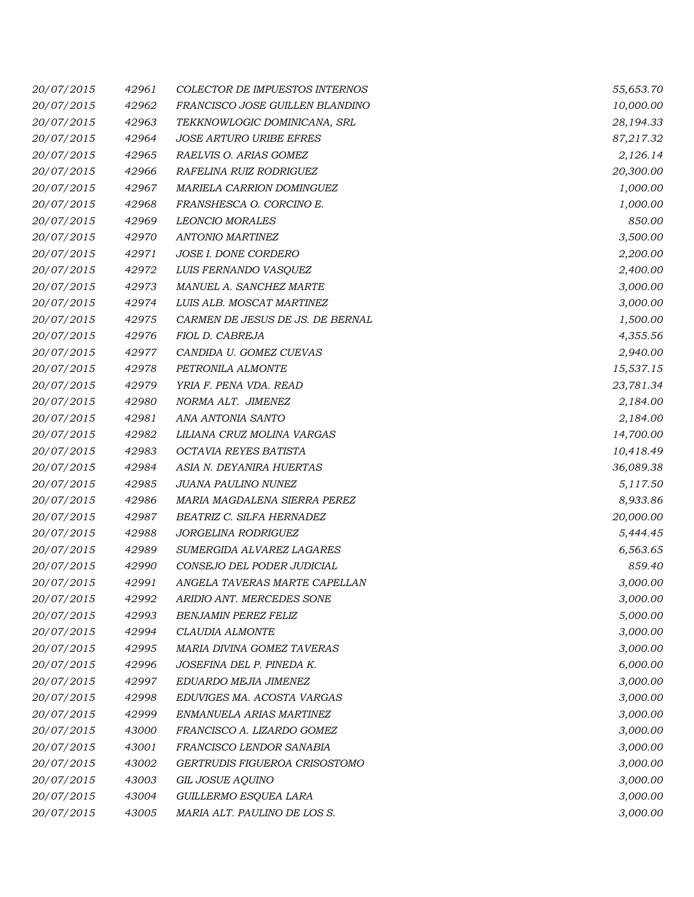| 20/07/2015 | 42961 | COLECTOR DE IMPUESTOS INTERNOS   | 55,653.70 |
|------------|-------|----------------------------------|-----------|
| 20/07/2015 | 42962 | FRANCISCO JOSE GUILLEN BLANDINO  | 10,000.00 |
| 20/07/2015 | 42963 | TEKKNOWLOGIC DOMINICANA, SRL     | 28,194.33 |
| 20/07/2015 | 42964 | <b>JOSE ARTURO URIBE EFRES</b>   | 87,217.32 |
| 20/07/2015 | 42965 | RAELVIS O. ARIAS GOMEZ           | 2,126.14  |
| 20/07/2015 | 42966 | RAFELINA RUIZ RODRIGUEZ          | 20,300.00 |
| 20/07/2015 | 42967 | MARIELA CARRION DOMINGUEZ        | 1,000.00  |
| 20/07/2015 | 42968 | FRANSHESCA O. CORCINO E.         | 1,000.00  |
| 20/07/2015 | 42969 | <b>LEONCIO MORALES</b>           | 850.00    |
| 20/07/2015 | 42970 | <b>ANTONIO MARTINEZ</b>          | 3,500.00  |
| 20/07/2015 | 42971 | JOSE I. DONE CORDERO             | 2,200.00  |
| 20/07/2015 | 42972 | LUIS FERNANDO VASQUEZ            | 2,400.00  |
| 20/07/2015 | 42973 | MANUEL A. SANCHEZ MARTE          | 3,000.00  |
| 20/07/2015 | 42974 | LUIS ALB. MOSCAT MARTINEZ        | 3,000.00  |
| 20/07/2015 | 42975 | CARMEN DE JESUS DE JS. DE BERNAL | 1,500.00  |
| 20/07/2015 | 42976 | FIOL D. CABREJA                  | 4,355.56  |
| 20/07/2015 | 42977 | CANDIDA U. GOMEZ CUEVAS          | 2,940.00  |
| 20/07/2015 | 42978 | PETRONILA ALMONTE                | 15,537.15 |
| 20/07/2015 | 42979 | YRIA F. PENA VDA. READ           | 23,781.34 |
| 20/07/2015 | 42980 | NORMA ALT. JIMENEZ               | 2,184.00  |
| 20/07/2015 | 42981 | ANA ANTONIA SANTO                | 2,184.00  |
| 20/07/2015 | 42982 | LILIANA CRUZ MOLINA VARGAS       | 14,700.00 |
| 20/07/2015 | 42983 | OCTAVIA REYES BATISTA            | 10,418.49 |
| 20/07/2015 | 42984 | ASIA N. DEYANIRA HUERTAS         | 36,089.38 |
| 20/07/2015 | 42985 | JUANA PAULINO NUNEZ              | 5,117.50  |
| 20/07/2015 | 42986 | MARIA MAGDALENA SIERRA PEREZ     | 8,933.86  |
| 20/07/2015 | 42987 | BEATRIZ C. SILFA HERNADEZ        | 20,000.00 |
| 20/07/2015 | 42988 | JORGELINA RODRIGUEZ              | 5,444.45  |
| 20/07/2015 | 42989 | SUMERGIDA ALVAREZ LAGARES        | 6,563.65  |
| 20/07/2015 | 42990 | CONSEJO DEL PODER JUDICIAL       | 859.40    |
| 20/07/2015 | 42991 | ANGELA TAVERAS MARTE CAPELLAN    | 3,000.00  |
| 20/07/2015 | 42992 | ARIDIO ANT. MERCEDES SONE        | 3,000.00  |
| 20/07/2015 | 42993 | <b>BENJAMIN PEREZ FELIZ</b>      | 5,000.00  |
| 20/07/2015 | 42994 | CLAUDIA ALMONTE                  | 3,000.00  |
| 20/07/2015 | 42995 | MARIA DIVINA GOMEZ TAVERAS       | 3,000.00  |
| 20/07/2015 | 42996 | JOSEFINA DEL P. PINEDA K.        | 6,000.00  |
| 20/07/2015 | 42997 | EDUARDO MEJIA JIMENEZ            | 3,000.00  |
| 20/07/2015 | 42998 | EDUVIGES MA. ACOSTA VARGAS       | 3,000.00  |
| 20/07/2015 | 42999 | ENMANUELA ARIAS MARTINEZ         | 3,000.00  |
| 20/07/2015 | 43000 | FRANCISCO A. LIZARDO GOMEZ       | 3,000.00  |
| 20/07/2015 | 43001 | FRANCISCO LENDOR SANABIA         | 3,000.00  |
| 20/07/2015 | 43002 | GERTRUDIS FIGUEROA CRISOSTOMO    | 3,000.00  |
| 20/07/2015 | 43003 | GIL JOSUE AQUINO                 | 3,000.00  |
| 20/07/2015 | 43004 | GUILLERMO ESQUEA LARA            | 3,000.00  |
| 20/07/2015 | 43005 | MARIA ALT. PAULINO DE LOS S.     | 3,000.00  |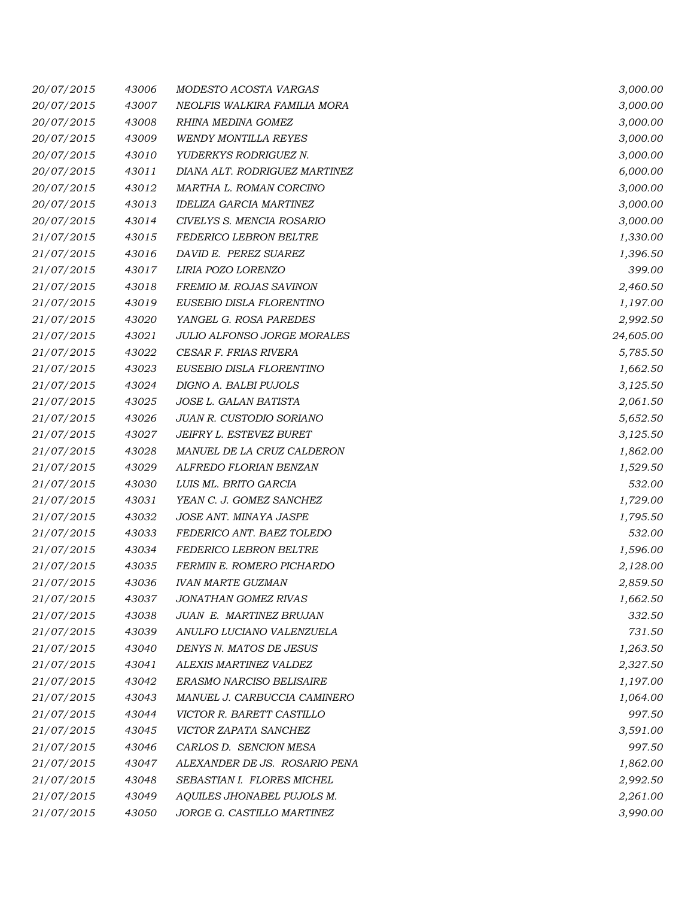| 20/07/2015 | 43006 | MODESTO ACOSTA VARGAS              | 3,000.00  |
|------------|-------|------------------------------------|-----------|
| 20/07/2015 | 43007 | NEOLFIS WALKIRA FAMILIA MORA       | 3,000.00  |
| 20/07/2015 | 43008 | RHINA MEDINA GOMEZ                 | 3,000.00  |
| 20/07/2015 | 43009 | <b>WENDY MONTILLA REYES</b>        | 3,000.00  |
| 20/07/2015 | 43010 | YUDERKYS RODRIGUEZ N.              | 3,000.00  |
| 20/07/2015 | 43011 | DIANA ALT. RODRIGUEZ MARTINEZ      | 6,000.00  |
| 20/07/2015 | 43012 | MARTHA L. ROMAN CORCINO            | 3,000.00  |
| 20/07/2015 | 43013 | <b>IDELIZA GARCIA MARTINEZ</b>     | 3,000.00  |
| 20/07/2015 | 43014 | CIVELYS S. MENCIA ROSARIO          | 3,000.00  |
| 21/07/2015 | 43015 | FEDERICO LEBRON BELTRE             | 1,330.00  |
| 21/07/2015 | 43016 | DAVID E. PEREZ SUAREZ              | 1,396.50  |
| 21/07/2015 | 43017 | LIRIA POZO LORENZO                 | 399.00    |
| 21/07/2015 | 43018 | FREMIO M. ROJAS SAVINON            | 2,460.50  |
| 21/07/2015 | 43019 | EUSEBIO DISLA FLORENTINO           | 1,197.00  |
| 21/07/2015 | 43020 | YANGEL G. ROSA PAREDES             | 2,992.50  |
| 21/07/2015 | 43021 | <b>JULIO ALFONSO JORGE MORALES</b> | 24,605.00 |
| 21/07/2015 | 43022 | CESAR F. FRIAS RIVERA              | 5,785.50  |
| 21/07/2015 | 43023 | EUSEBIO DISLA FLORENTINO           | 1,662.50  |
| 21/07/2015 | 43024 | DIGNO A. BALBI PUJOLS              | 3,125.50  |
| 21/07/2015 | 43025 | JOSE L. GALAN BATISTA              | 2,061.50  |
| 21/07/2015 | 43026 | JUAN R. CUSTODIO SORIANO           | 5,652.50  |
| 21/07/2015 | 43027 | JEIFRY L. ESTEVEZ BURET            | 3,125.50  |
| 21/07/2015 | 43028 | MANUEL DE LA CRUZ CALDERON         | 1,862.00  |
| 21/07/2015 | 43029 | ALFREDO FLORIAN BENZAN             | 1,529.50  |
| 21/07/2015 | 43030 | LUIS ML. BRITO GARCIA              | 532.00    |
| 21/07/2015 | 43031 | YEAN C. J. GOMEZ SANCHEZ           | 1,729.00  |
| 21/07/2015 | 43032 | JOSE ANT. MINAYA JASPE             | 1,795.50  |
| 21/07/2015 | 43033 | FEDERICO ANT. BAEZ TOLEDO          | 532.00    |
| 21/07/2015 | 43034 | <b>FEDERICO LEBRON BELTRE</b>      | 1,596.00  |
| 21/07/2015 | 43035 | FERMIN E. ROMERO PICHARDO          | 2,128.00  |
| 21/07/2015 | 43036 | <b>IVAN MARTE GUZMAN</b>           | 2,859.50  |
| 21/07/2015 | 43037 | JONATHAN GOMEZ RIVAS               | 1,662.50  |
| 21/07/2015 | 43038 | JUAN E. MARTINEZ BRUJAN            | 332.50    |
| 21/07/2015 | 43039 | ANULFO LUCIANO VALENZUELA          | 731.50    |
| 21/07/2015 | 43040 | DENYS N. MATOS DE JESUS            | 1,263.50  |
| 21/07/2015 | 43041 | ALEXIS MARTINEZ VALDEZ             | 2,327.50  |
| 21/07/2015 | 43042 | ERASMO NARCISO BELISAIRE           | 1,197.00  |
| 21/07/2015 | 43043 | MANUEL J. CARBUCCIA CAMINERO       | 1,064.00  |
| 21/07/2015 | 43044 | VICTOR R. BARETT CASTILLO          | 997.50    |
| 21/07/2015 | 43045 | VICTOR ZAPATA SANCHEZ              | 3,591.00  |
| 21/07/2015 | 43046 | CARLOS D. SENCION MESA             | 997.50    |
| 21/07/2015 | 43047 | ALEXANDER DE JS. ROSARIO PENA      | 1,862.00  |
| 21/07/2015 | 43048 | SEBASTIAN I. FLORES MICHEL         | 2,992.50  |
| 21/07/2015 | 43049 | AQUILES JHONABEL PUJOLS M.         | 2,261.00  |
| 21/07/2015 | 43050 | JORGE G. CASTILLO MARTINEZ         | 3,990.00  |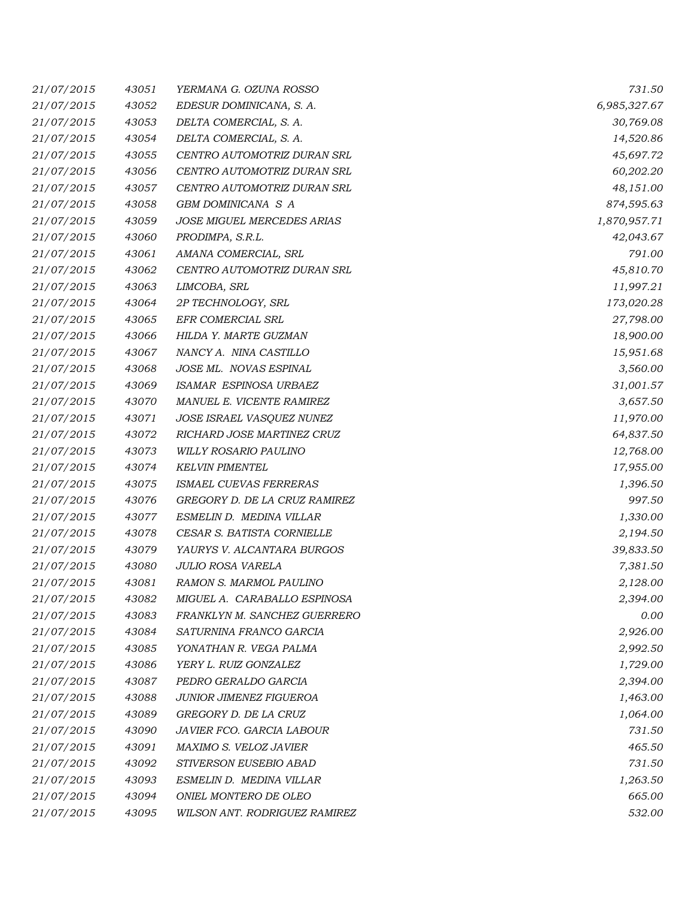| 21/07/2015 | 43051 | YERMANA G. OZUNA ROSSO         | 731.50       |
|------------|-------|--------------------------------|--------------|
| 21/07/2015 | 43052 | EDESUR DOMINICANA, S. A.       | 6,985,327.67 |
| 21/07/2015 | 43053 | DELTA COMERCIAL, S. A.         | 30,769.08    |
| 21/07/2015 | 43054 | DELTA COMERCIAL, S. A.         | 14,520.86    |
| 21/07/2015 | 43055 | CENTRO AUTOMOTRIZ DURAN SRL    | 45,697.72    |
| 21/07/2015 | 43056 | CENTRO AUTOMOTRIZ DURAN SRL    | 60,202.20    |
| 21/07/2015 | 43057 | CENTRO AUTOMOTRIZ DURAN SRL    | 48,151.00    |
| 21/07/2015 | 43058 | GBM DOMINICANA S A             | 874,595.63   |
| 21/07/2015 | 43059 | JOSE MIGUEL MERCEDES ARIAS     | 1,870,957.71 |
| 21/07/2015 | 43060 | PRODIMPA, S.R.L.               | 42,043.67    |
| 21/07/2015 | 43061 | AMANA COMERCIAL, SRL           | 791.00       |
| 21/07/2015 | 43062 | CENTRO AUTOMOTRIZ DURAN SRL    | 45,810.70    |
| 21/07/2015 | 43063 | LIMCOBA, SRL                   | 11,997.21    |
| 21/07/2015 | 43064 | 2P TECHNOLOGY, SRL             | 173,020.28   |
| 21/07/2015 | 43065 | EFR COMERCIAL SRL              | 27,798.00    |
| 21/07/2015 | 43066 | HILDA Y. MARTE GUZMAN          | 18,900.00    |
| 21/07/2015 | 43067 | NANCY A. NINA CASTILLO         | 15,951.68    |
| 21/07/2015 | 43068 | JOSE ML. NOVAS ESPINAL         | 3,560.00     |
| 21/07/2015 | 43069 | ISAMAR ESPINOSA URBAEZ         | 31,001.57    |
| 21/07/2015 | 43070 | MANUEL E. VICENTE RAMIREZ      | 3,657.50     |
| 21/07/2015 | 43071 | JOSE ISRAEL VASQUEZ NUNEZ      | 11,970.00    |
| 21/07/2015 | 43072 | RICHARD JOSE MARTINEZ CRUZ     | 64,837.50    |
| 21/07/2015 | 43073 | WILLY ROSARIO PAULINO          | 12,768.00    |
| 21/07/2015 | 43074 | <b>KELVIN PIMENTEL</b>         | 17,955.00    |
| 21/07/2015 | 43075 | ISMAEL CUEVAS FERRERAS         | 1,396.50     |
| 21/07/2015 | 43076 | GREGORY D. DE LA CRUZ RAMIREZ  | 997.50       |
| 21/07/2015 | 43077 | ESMELIN D. MEDINA VILLAR       | 1,330.00     |
| 21/07/2015 | 43078 | CESAR S. BATISTA CORNIELLE     | 2,194.50     |
| 21/07/2015 | 43079 | YAURYS V. ALCANTARA BURGOS     | 39,833.50    |
| 21/07/2015 | 43080 | JULIO ROSA VARELA              | 7,381.50     |
| 21/07/2015 | 43081 | RAMON S. MARMOL PAULINO        | 2,128.00     |
| 21/07/2015 | 43082 | MIGUEL A. CARABALLO ESPINOSA   | 2,394.00     |
| 21/07/2015 | 43083 | FRANKLYN M. SANCHEZ GUERRERO   | 0.00         |
| 21/07/2015 | 43084 | SATURNINA FRANCO GARCIA        | 2,926.00     |
| 21/07/2015 | 43085 | YONATHAN R. VEGA PALMA         | 2,992.50     |
| 21/07/2015 | 43086 | YERY L. RUIZ GONZALEZ          | 1,729.00     |
| 21/07/2015 | 43087 | PEDRO GERALDO GARCIA           | 2,394.00     |
| 21/07/2015 | 43088 | <b>JUNIOR JIMENEZ FIGUEROA</b> | 1,463.00     |
| 21/07/2015 | 43089 | GREGORY D. DE LA CRUZ          | 1,064.00     |
| 21/07/2015 | 43090 | JAVIER FCO. GARCIA LABOUR      | 731.50       |
| 21/07/2015 | 43091 | MAXIMO S. VELOZ JAVIER         | 465.50       |
| 21/07/2015 | 43092 | STIVERSON EUSEBIO ABAD         | 731.50       |
| 21/07/2015 | 43093 | ESMELIN D. MEDINA VILLAR       | 1,263.50     |
| 21/07/2015 | 43094 | ONIEL MONTERO DE OLEO          | 665.00       |
| 21/07/2015 | 43095 | WILSON ANT. RODRIGUEZ RAMIREZ  | 532.00       |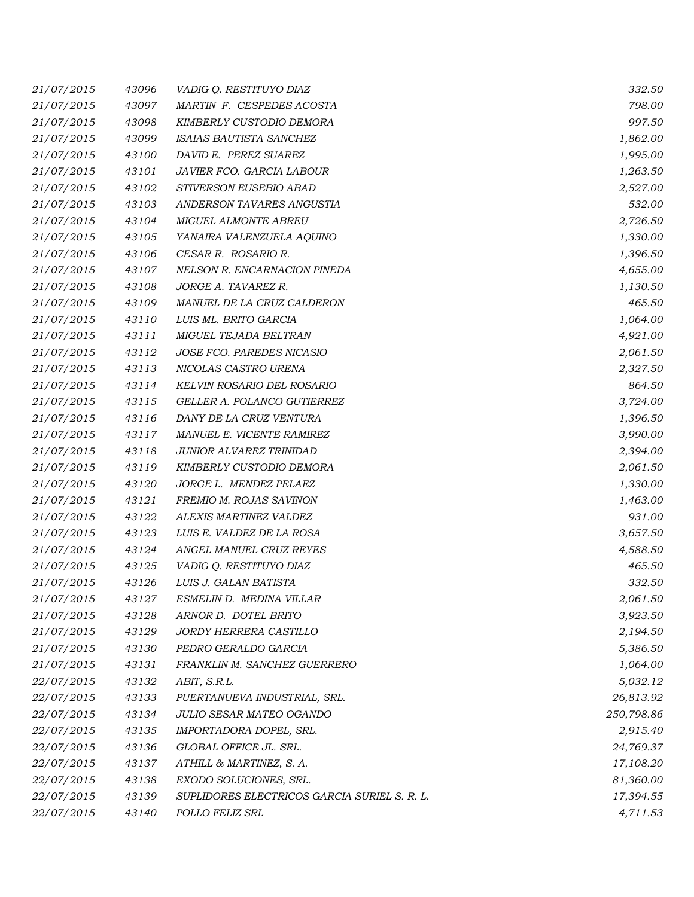| 21/07/2015 | 43096 | VADIG Q. RESTITUYO DIAZ                      | 332.50     |
|------------|-------|----------------------------------------------|------------|
| 21/07/2015 | 43097 | MARTIN F. CESPEDES ACOSTA                    | 798.00     |
| 21/07/2015 | 43098 | KIMBERLY CUSTODIO DEMORA                     | 997.50     |
| 21/07/2015 | 43099 | ISAIAS BAUTISTA SANCHEZ                      | 1,862.00   |
| 21/07/2015 | 43100 | DAVID E. PEREZ SUAREZ                        | 1,995.00   |
| 21/07/2015 | 43101 | JAVIER FCO. GARCIA LABOUR                    | 1,263.50   |
| 21/07/2015 | 43102 | STIVERSON EUSEBIO ABAD                       | 2,527.00   |
| 21/07/2015 | 43103 | ANDERSON TAVARES ANGUSTIA                    | 532.00     |
| 21/07/2015 | 43104 | <b>MIGUEL ALMONTE ABREU</b>                  | 2,726.50   |
| 21/07/2015 | 43105 | YANAIRA VALENZUELA AQUINO                    | 1,330.00   |
| 21/07/2015 | 43106 | CESAR R. ROSARIO R.                          | 1,396.50   |
| 21/07/2015 | 43107 | NELSON R. ENCARNACION PINEDA                 | 4,655.00   |
| 21/07/2015 | 43108 | JORGE A. TAVAREZ R.                          | 1,130.50   |
| 21/07/2015 | 43109 | MANUEL DE LA CRUZ CALDERON                   | 465.50     |
| 21/07/2015 | 43110 | LUIS ML. BRITO GARCIA                        | 1,064.00   |
| 21/07/2015 | 43111 | MIGUEL TEJADA BELTRAN                        | 4,921.00   |
| 21/07/2015 | 43112 | JOSE FCO. PAREDES NICASIO                    | 2,061.50   |
| 21/07/2015 | 43113 | NICOLAS CASTRO URENA                         | 2,327.50   |
| 21/07/2015 | 43114 | KELVIN ROSARIO DEL ROSARIO                   | 864.50     |
| 21/07/2015 | 43115 | GELLER A. POLANCO GUTIERREZ                  | 3,724.00   |
| 21/07/2015 | 43116 | DANY DE LA CRUZ VENTURA                      | 1,396.50   |
| 21/07/2015 | 43117 | MANUEL E. VICENTE RAMIREZ                    | 3,990.00   |
| 21/07/2015 | 43118 | JUNIOR ALVAREZ TRINIDAD                      | 2,394.00   |
| 21/07/2015 | 43119 | KIMBERLY CUSTODIO DEMORA                     | 2,061.50   |
| 21/07/2015 | 43120 | JORGE L. MENDEZ PELAEZ                       | 1,330.00   |
| 21/07/2015 | 43121 | FREMIO M. ROJAS SAVINON                      | 1,463.00   |
| 21/07/2015 | 43122 | ALEXIS MARTINEZ VALDEZ                       | 931.00     |
| 21/07/2015 | 43123 | LUIS E. VALDEZ DE LA ROSA                    | 3,657.50   |
| 21/07/2015 | 43124 | ANGEL MANUEL CRUZ REYES                      | 4,588.50   |
| 21/07/2015 | 43125 | VADIG Q. RESTITUYO DIAZ                      | 465.50     |
| 21/07/2015 | 43126 | LUIS J. GALAN BATISTA                        | 332.50     |
| 21/07/2015 | 43127 | ESMELIN D. MEDINA VILLAR                     | 2,061.50   |
| 21/07/2015 | 43128 | ARNOR D. DOTEL BRITO                         | 3,923.50   |
| 21/07/2015 | 43129 | JORDY HERRERA CASTILLO                       | 2,194.50   |
| 21/07/2015 | 43130 | PEDRO GERALDO GARCIA                         | 5,386.50   |
| 21/07/2015 | 43131 | FRANKLIN M. SANCHEZ GUERRERO                 | 1,064.00   |
| 22/07/2015 | 43132 | ABIT, S.R.L.                                 | 5,032.12   |
| 22/07/2015 | 43133 | PUERTANUEVA INDUSTRIAL, SRL.                 | 26,813.92  |
| 22/07/2015 | 43134 | JULIO SESAR MATEO OGANDO                     | 250,798.86 |
| 22/07/2015 | 43135 | IMPORTADORA DOPEL, SRL.                      | 2,915.40   |
| 22/07/2015 | 43136 | GLOBAL OFFICE JL. SRL.                       | 24,769.37  |
| 22/07/2015 | 43137 | ATHILL & MARTINEZ, S. A.                     | 17,108.20  |
| 22/07/2015 | 43138 | EXODO SOLUCIONES, SRL.                       | 81,360.00  |
| 22/07/2015 | 43139 | SUPLIDORES ELECTRICOS GARCIA SURIEL S. R. L. | 17,394.55  |
| 22/07/2015 | 43140 | POLLO FELIZ SRL                              | 4,711.53   |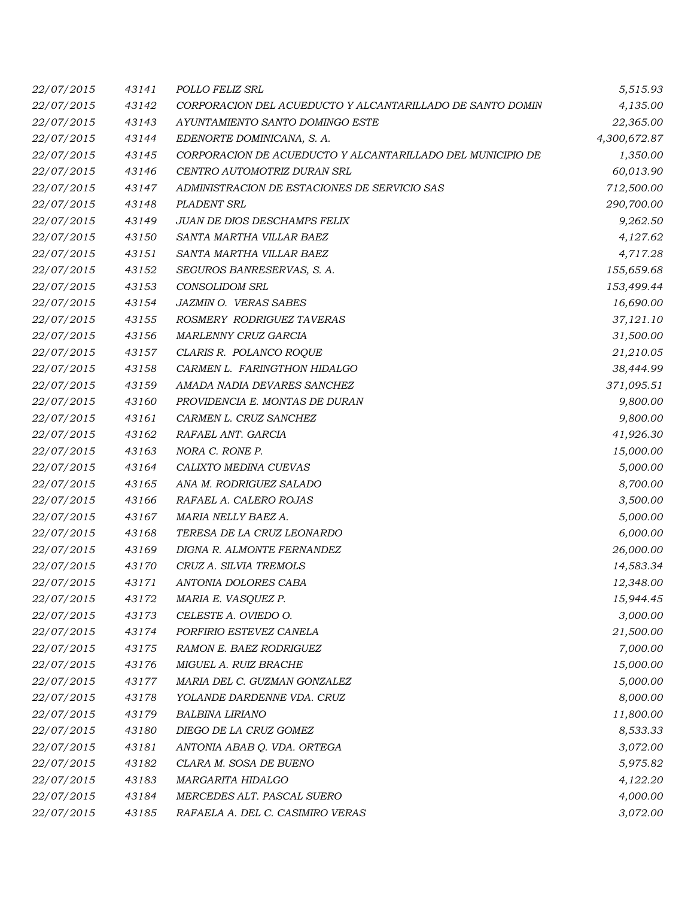| 22/07/2015 | 43141 | POLLO FELIZ SRL                                            | 5,515.93     |
|------------|-------|------------------------------------------------------------|--------------|
| 22/07/2015 | 43142 | CORPORACION DEL ACUEDUCTO Y ALCANTARILLADO DE SANTO DOMIN  | 4,135.00     |
| 22/07/2015 | 43143 | AYUNTAMIENTO SANTO DOMINGO ESTE                            | 22,365.00    |
| 22/07/2015 | 43144 | EDENORTE DOMINICANA, S. A.                                 | 4,300,672.87 |
| 22/07/2015 | 43145 | CORPORACION DE ACUEDUCTO Y ALCANTARILLADO DEL MUNICIPIO DE | 1,350.00     |
| 22/07/2015 | 43146 | CENTRO AUTOMOTRIZ DURAN SRL                                | 60,013.90    |
| 22/07/2015 | 43147 | ADMINISTRACION DE ESTACIONES DE SERVICIO SAS               | 712,500.00   |
| 22/07/2015 | 43148 | PLADENT SRL                                                | 290,700.00   |
| 22/07/2015 | 43149 | JUAN DE DIOS DESCHAMPS FELIX                               | 9,262.50     |
| 22/07/2015 | 43150 | SANTA MARTHA VILLAR BAEZ                                   | 4,127.62     |
| 22/07/2015 | 43151 | SANTA MARTHA VILLAR BAEZ                                   | 4,717.28     |
| 22/07/2015 | 43152 | SEGUROS BANRESERVAS, S. A.                                 | 155,659.68   |
| 22/07/2015 | 43153 | CONSOLIDOM SRL                                             | 153,499.44   |
| 22/07/2015 | 43154 | JAZMIN O. VERAS SABES                                      | 16,690.00    |
| 22/07/2015 | 43155 | ROSMERY RODRIGUEZ TAVERAS                                  | 37,121.10    |
| 22/07/2015 | 43156 | MARLENNY CRUZ GARCIA                                       | 31,500.00    |
| 22/07/2015 | 43157 | CLARIS R. POLANCO ROQUE                                    | 21,210.05    |
| 22/07/2015 | 43158 | CARMEN L. FARINGTHON HIDALGO                               | 38,444.99    |
| 22/07/2015 | 43159 | AMADA NADIA DEVARES SANCHEZ                                | 371,095.51   |
| 22/07/2015 | 43160 | PROVIDENCIA E. MONTAS DE DURAN                             | 9,800.00     |
| 22/07/2015 | 43161 | CARMEN L. CRUZ SANCHEZ                                     | 9,800.00     |
| 22/07/2015 | 43162 | RAFAEL ANT. GARCIA                                         | 41,926.30    |
| 22/07/2015 | 43163 | NORA C. RONE P.                                            | 15,000.00    |
| 22/07/2015 | 43164 | CALIXTO MEDINA CUEVAS                                      | 5,000.00     |
| 22/07/2015 | 43165 | ANA M. RODRIGUEZ SALADO                                    | 8,700.00     |
| 22/07/2015 | 43166 | RAFAEL A. CALERO ROJAS                                     | 3,500.00     |
| 22/07/2015 | 43167 | MARIA NELLY BAEZ A.                                        | 5,000.00     |
| 22/07/2015 | 43168 | TERESA DE LA CRUZ LEONARDO                                 | 6,000.00     |
| 22/07/2015 | 43169 | DIGNA R. ALMONTE FERNANDEZ                                 | 26,000.00    |
| 22/07/2015 | 43170 | CRUZ A. SILVIA TREMOLS                                     | 14,583.34    |
| 22/07/2015 | 43171 | ANTONIA DOLORES CABA                                       | 12,348.00    |
| 22/07/2015 | 43172 | MARIA E. VASQUEZ P.                                        | 15,944.45    |
| 22/07/2015 | 43173 | CELESTE A. OVIEDO O.                                       | 3,000.00     |
| 22/07/2015 | 43174 | PORFIRIO ESTEVEZ CANELA                                    | 21,500.00    |
| 22/07/2015 | 43175 | RAMON E. BAEZ RODRIGUEZ                                    | 7,000.00     |
| 22/07/2015 | 43176 | MIGUEL A. RUIZ BRACHE                                      | 15,000.00    |
| 22/07/2015 | 43177 | MARIA DEL C. GUZMAN GONZALEZ                               | 5,000.00     |
| 22/07/2015 | 43178 | YOLANDE DARDENNE VDA. CRUZ                                 | 8,000.00     |
| 22/07/2015 | 43179 | BALBINA LIRIANO                                            | 11,800.00    |
| 22/07/2015 | 43180 | DIEGO DE LA CRUZ GOMEZ                                     | 8,533.33     |
| 22/07/2015 | 43181 | ANTONIA ABAB Q. VDA. ORTEGA                                | 3,072.00     |
| 22/07/2015 | 43182 | CLARA M. SOSA DE BUENO                                     | 5,975.82     |
| 22/07/2015 | 43183 | MARGARITA HIDALGO                                          | 4,122.20     |
| 22/07/2015 | 43184 | MERCEDES ALT. PASCAL SUERO                                 | 4,000.00     |
| 22/07/2015 | 43185 | RAFAELA A. DEL C. CASIMIRO VERAS                           | 3,072.00     |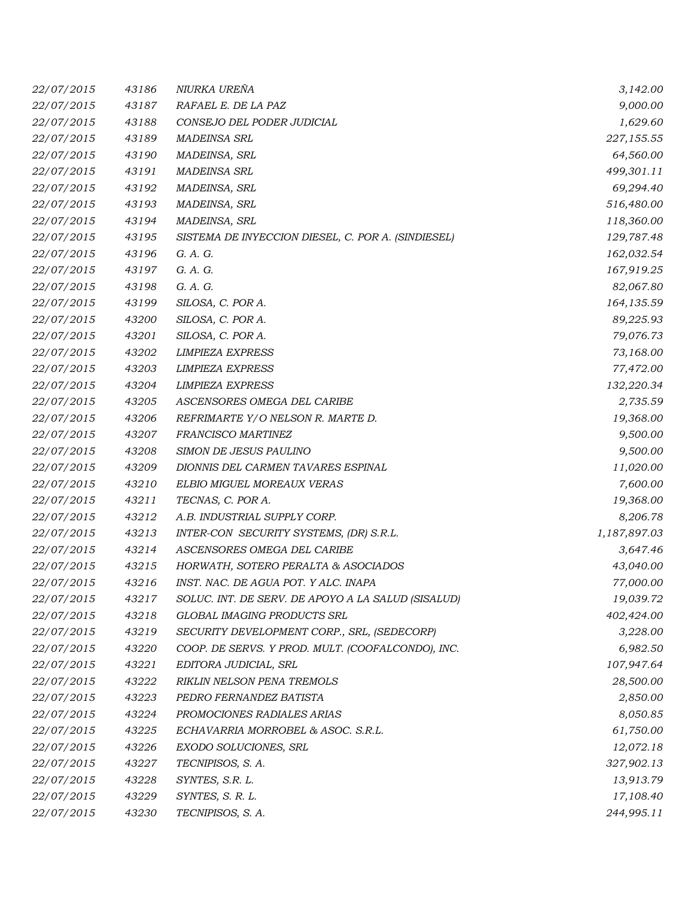| 22/07/2015 | 43186 | NIURKA UREÑA                                       | 3,142.00     |
|------------|-------|----------------------------------------------------|--------------|
| 22/07/2015 | 43187 | RAFAEL E. DE LA PAZ                                | 9,000.00     |
| 22/07/2015 | 43188 | CONSEJO DEL PODER JUDICIAL                         | 1,629.60     |
| 22/07/2015 | 43189 | <b>MADEINSA SRL</b>                                | 227,155.55   |
| 22/07/2015 | 43190 | MADEINSA, SRL                                      | 64,560.00    |
| 22/07/2015 | 43191 | <b>MADEINSA SRL</b>                                | 499,301.11   |
| 22/07/2015 | 43192 | MADEINSA, SRL                                      | 69,294.40    |
| 22/07/2015 | 43193 | MADEINSA, SRL                                      | 516,480.00   |
| 22/07/2015 | 43194 | MADEINSA, SRL                                      | 118,360.00   |
| 22/07/2015 | 43195 | SISTEMA DE INYECCION DIESEL, C. POR A. (SINDIESEL) | 129,787.48   |
| 22/07/2015 | 43196 | G. A. G.                                           | 162,032.54   |
| 22/07/2015 | 43197 | G. A. G.                                           | 167,919.25   |
| 22/07/2015 | 43198 | G. A. G.                                           | 82,067.80    |
| 22/07/2015 | 43199 | SILOSA, C. POR A.                                  | 164,135.59   |
| 22/07/2015 | 43200 | SILOSA, C. POR A.                                  | 89,225.93    |
| 22/07/2015 | 43201 | SILOSA, C. POR A.                                  | 79,076.73    |
| 22/07/2015 | 43202 | <b>LIMPIEZA EXPRESS</b>                            | 73,168.00    |
| 22/07/2015 | 43203 | <b>LIMPIEZA EXPRESS</b>                            | 77,472.00    |
| 22/07/2015 | 43204 | <b>LIMPIEZA EXPRESS</b>                            | 132,220.34   |
| 22/07/2015 | 43205 | ASCENSORES OMEGA DEL CARIBE                        | 2,735.59     |
| 22/07/2015 | 43206 | REFRIMARTE Y/O NELSON R. MARTE D.                  | 19,368.00    |
| 22/07/2015 | 43207 | FRANCISCO MARTINEZ                                 | 9,500.00     |
| 22/07/2015 | 43208 | SIMON DE JESUS PAULINO                             | 9,500.00     |
| 22/07/2015 | 43209 | DIONNIS DEL CARMEN TAVARES ESPINAL                 | 11,020.00    |
| 22/07/2015 | 43210 | ELBIO MIGUEL MOREAUX VERAS                         | 7,600.00     |
| 22/07/2015 | 43211 | TECNAS, C. POR A.                                  | 19,368.00    |
| 22/07/2015 | 43212 | A.B. INDUSTRIAL SUPPLY CORP.                       | 8,206.78     |
| 22/07/2015 | 43213 | INTER-CON SECURITY SYSTEMS, (DR) S.R.L.            | 1,187,897.03 |
| 22/07/2015 | 43214 | ASCENSORES OMEGA DEL CARIBE                        | 3,647.46     |
| 22/07/2015 | 43215 | HORWATH, SOTERO PERALTA & ASOCIADOS                | 43,040.00    |
| 22/07/2015 | 43216 | INST. NAC. DE AGUA POT. Y ALC. INAPA               | 77,000.00    |
| 22/07/2015 | 43217 | SOLUC. INT. DE SERV. DE APOYO A LA SALUD (SISALUD) | 19,039.72    |
| 22/07/2015 | 43218 | GLOBAL IMAGING PRODUCTS SRL                        | 402,424.00   |
| 22/07/2015 | 43219 | SECURITY DEVELOPMENT CORP., SRL, (SEDECORP)        | 3,228.00     |
| 22/07/2015 | 43220 | COOP. DE SERVS. Y PROD. MULT. (COOFALCONDO), INC.  | 6,982.50     |
| 22/07/2015 | 43221 | EDITORA JUDICIAL, SRL                              | 107,947.64   |
| 22/07/2015 | 43222 | RIKLIN NELSON PENA TREMOLS                         | 28,500.00    |
| 22/07/2015 | 43223 | PEDRO FERNANDEZ BATISTA                            | 2,850.00     |
| 22/07/2015 | 43224 | PROMOCIONES RADIALES ARIAS                         | 8,050.85     |
| 22/07/2015 | 43225 | ECHAVARRIA MORROBEL & ASOC. S.R.L.                 | 61,750.00    |
| 22/07/2015 | 43226 | EXODO SOLUCIONES, SRL                              | 12,072.18    |
| 22/07/2015 | 43227 | TECNIPISOS, S. A.                                  | 327,902.13   |
| 22/07/2015 | 43228 | SYNTES, S.R. L.                                    | 13,913.79    |
| 22/07/2015 | 43229 | SYNTES, S. R. L.                                   | 17,108.40    |
| 22/07/2015 | 43230 | TECNIPISOS, S. A.                                  | 244,995.11   |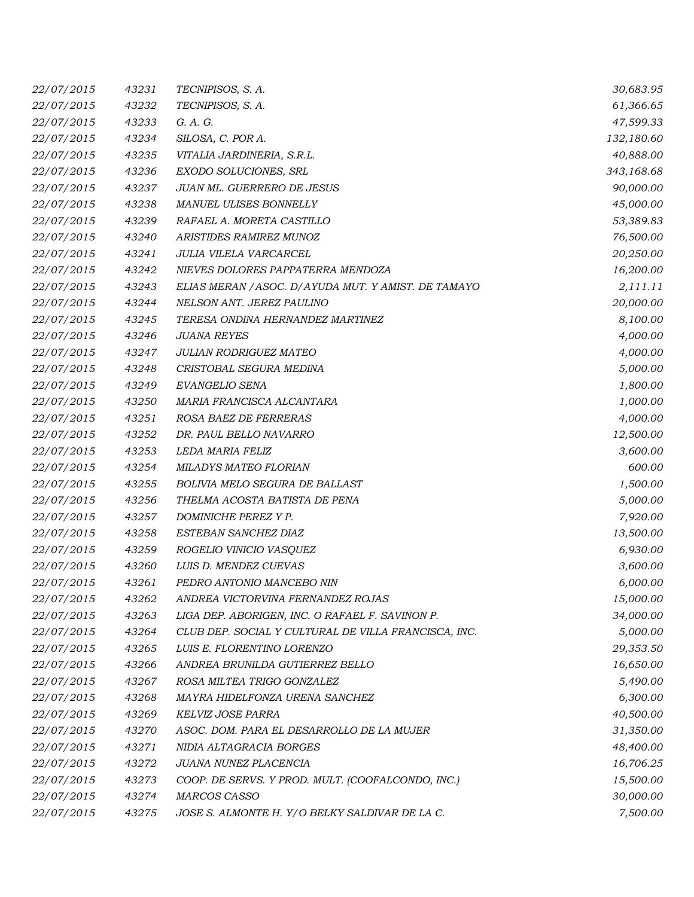| 22/07/2015 | 43231 | TECNIPISOS, S. A.                                    | 30,683.95  |
|------------|-------|------------------------------------------------------|------------|
| 22/07/2015 | 43232 | TECNIPISOS, S. A.                                    | 61,366.65  |
| 22/07/2015 | 43233 | G. A. G.                                             | 47,599.33  |
| 22/07/2015 | 43234 | SILOSA, C. POR A.                                    | 132,180.60 |
| 22/07/2015 | 43235 | VITALIA JARDINERIA, S.R.L.                           | 40,888.00  |
| 22/07/2015 | 43236 | EXODO SOLUCIONES, SRL                                | 343,168.68 |
| 22/07/2015 | 43237 | <b>JUAN ML. GUERRERO DE JESUS</b>                    | 90,000.00  |
| 22/07/2015 | 43238 | MANUEL ULISES BONNELLY                               | 45,000.00  |
| 22/07/2015 | 43239 | RAFAEL A. MORETA CASTILLO                            | 53,389.83  |
| 22/07/2015 | 43240 | ARISTIDES RAMIREZ MUNOZ                              | 76,500.00  |
| 22/07/2015 | 43241 | JULIA VILELA VARCARCEL                               | 20,250.00  |
| 22/07/2015 | 43242 | NIEVES DOLORES PAPPATERRA MENDOZA                    | 16,200.00  |
| 22/07/2015 | 43243 | ELIAS MERAN / ASOC. D/ AYUDA MUT. Y AMIST. DE TAMAYO | 2,111.11   |
| 22/07/2015 | 43244 | NELSON ANT. JEREZ PAULINO                            | 20,000.00  |
| 22/07/2015 | 43245 | TERESA ONDINA HERNANDEZ MARTINEZ                     | 8,100.00   |
| 22/07/2015 | 43246 | <b>JUANA REYES</b>                                   | 4,000.00   |
| 22/07/2015 | 43247 | JULIAN RODRIGUEZ MATEO                               | 4,000.00   |
| 22/07/2015 | 43248 | CRISTOBAL SEGURA MEDINA                              | 5,000.00   |
| 22/07/2015 | 43249 | EVANGELIO SENA                                       | 1,800.00   |
| 22/07/2015 | 43250 | MARIA FRANCISCA ALCANTARA                            | 1,000.00   |
| 22/07/2015 | 43251 | ROSA BAEZ DE FERRERAS                                | 4,000.00   |
| 22/07/2015 | 43252 | DR. PAUL BELLO NAVARRO                               | 12,500.00  |
| 22/07/2015 | 43253 | LEDA MARIA FELIZ                                     | 3,600.00   |
| 22/07/2015 | 43254 | MILADYS MATEO FLORIAN                                | 600.00     |
| 22/07/2015 | 43255 | <b>BOLIVIA MELO SEGURA DE BALLAST</b>                | 1,500.00   |
| 22/07/2015 | 43256 | THELMA ACOSTA BATISTA DE PENA                        | 5,000.00   |
| 22/07/2015 | 43257 | DOMINICHE PEREZ Y P.                                 | 7,920.00   |
| 22/07/2015 | 43258 | ESTEBAN SANCHEZ DIAZ                                 | 13,500.00  |
| 22/07/2015 | 43259 | ROGELIO VINICIO VASQUEZ                              | 6,930.00   |
| 22/07/2015 | 43260 | LUIS D. MENDEZ CUEVAS                                | 3,600.00   |
| 22/07/2015 | 43261 | PEDRO ANTONIO MANCEBO NIN                            | 6,000.00   |
| 22/07/2015 | 43262 | ANDREA VICTORVINA FERNANDEZ ROJAS                    | 15,000.00  |
| 22/07/2015 | 43263 | LIGA DEP. ABORIGEN, INC. O RAFAEL F. SAVINON P.      | 34,000.00  |
| 22/07/2015 | 43264 | CLUB DEP. SOCIAL Y CULTURAL DE VILLA FRANCISCA, INC. | 5,000.00   |
| 22/07/2015 | 43265 | LUIS E. FLORENTINO LORENZO                           | 29,353.50  |
| 22/07/2015 | 43266 | ANDREA BRUNILDA GUTIERREZ BELLO                      | 16,650.00  |
| 22/07/2015 | 43267 | ROSA MILTEA TRIGO GONZALEZ                           | 5,490.00   |
| 22/07/2015 | 43268 | MAYRA HIDELFONZA URENA SANCHEZ                       | 6,300.00   |
| 22/07/2015 | 43269 | KELVIZ JOSE PARRA                                    | 40,500.00  |
| 22/07/2015 | 43270 | ASOC. DOM. PARA EL DESARROLLO DE LA MUJER            | 31,350.00  |
| 22/07/2015 | 43271 | NIDIA ALTAGRACIA BORGES                              | 48,400.00  |
| 22/07/2015 | 43272 | JUANA NUNEZ PLACENCIA                                | 16,706.25  |
| 22/07/2015 | 43273 | COOP. DE SERVS. Y PROD. MULT. (COOFALCONDO, INC.)    | 15,500.00  |
| 22/07/2015 | 43274 | MARCOS CASSO                                         | 30,000.00  |
| 22/07/2015 | 43275 | JOSE S. ALMONTE H. Y/O BELKY SALDIVAR DE LA C.       | 7,500.00   |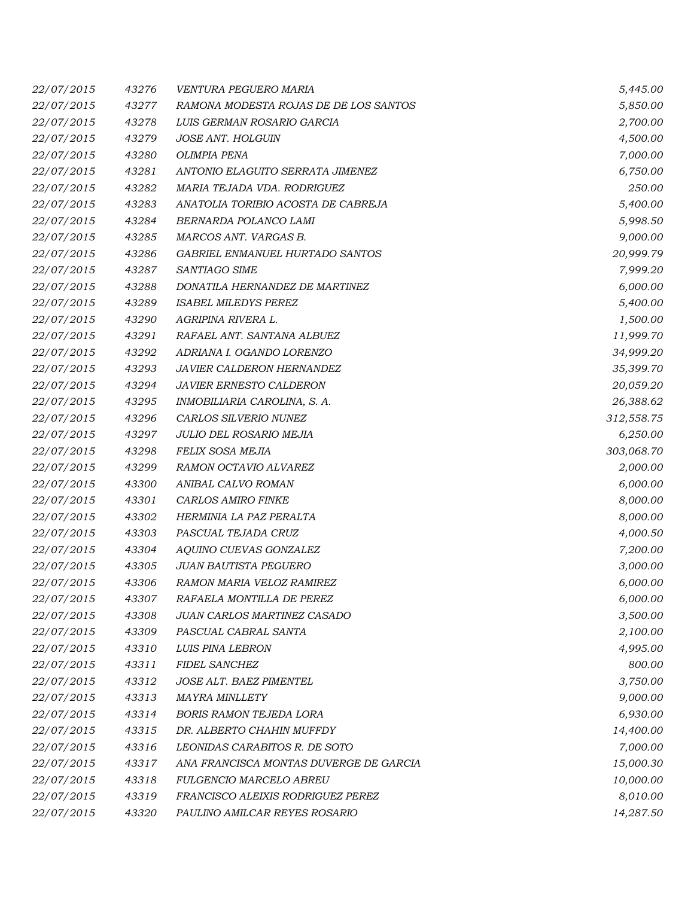| 22/07/2015 | 43276 | VENTURA PEGUERO MARIA                  | 5,445.00   |
|------------|-------|----------------------------------------|------------|
| 22/07/2015 | 43277 | RAMONA MODESTA ROJAS DE DE LOS SANTOS  | 5,850.00   |
| 22/07/2015 | 43278 | LUIS GERMAN ROSARIO GARCIA             | 2,700.00   |
| 22/07/2015 | 43279 | <b>JOSE ANT. HOLGUIN</b>               | 4,500.00   |
| 22/07/2015 | 43280 | <b>OLIMPIA PENA</b>                    | 7,000.00   |
| 22/07/2015 | 43281 | ANTONIO ELAGUITO SERRATA JIMENEZ       | 6,750.00   |
| 22/07/2015 | 43282 | MARIA TEJADA VDA. RODRIGUEZ            | 250.00     |
| 22/07/2015 | 43283 | ANATOLIA TORIBIO ACOSTA DE CABREJA     | 5,400.00   |
| 22/07/2015 | 43284 | BERNARDA POLANCO LAMI                  | 5,998.50   |
| 22/07/2015 | 43285 | MARCOS ANT. VARGAS B.                  | 9,000.00   |
| 22/07/2015 | 43286 | GABRIEL ENMANUEL HURTADO SANTOS        | 20,999.79  |
| 22/07/2015 | 43287 | SANTIAGO SIME                          | 7,999.20   |
| 22/07/2015 | 43288 | DONATILA HERNANDEZ DE MARTINEZ         | 6,000.00   |
| 22/07/2015 | 43289 | <b>ISABEL MILEDYS PEREZ</b>            | 5,400.00   |
| 22/07/2015 | 43290 | AGRIPINA RIVERA L.                     | 1,500.00   |
| 22/07/2015 | 43291 | RAFAEL ANT. SANTANA ALBUEZ             | 11,999.70  |
| 22/07/2015 | 43292 | ADRIANA I. OGANDO LORENZO              | 34,999.20  |
| 22/07/2015 | 43293 | JAVIER CALDERON HERNANDEZ              | 35,399.70  |
| 22/07/2015 | 43294 | JAVIER ERNESTO CALDERON                | 20,059.20  |
| 22/07/2015 | 43295 | INMOBILIARIA CAROLINA, S. A.           | 26,388.62  |
| 22/07/2015 | 43296 | CARLOS SILVERIO NUNEZ                  | 312,558.75 |
| 22/07/2015 | 43297 | JULIO DEL ROSARIO MEJIA                | 6,250.00   |
| 22/07/2015 | 43298 | FELIX SOSA MEJIA                       | 303,068.70 |
| 22/07/2015 | 43299 | RAMON OCTAVIO ALVAREZ                  | 2,000.00   |
| 22/07/2015 | 43300 | ANIBAL CALVO ROMAN                     | 6,000.00   |
| 22/07/2015 | 43301 | <b>CARLOS AMIRO FINKE</b>              | 8,000.00   |
| 22/07/2015 | 43302 | HERMINIA LA PAZ PERALTA                | 8,000.00   |
| 22/07/2015 | 43303 | PASCUAL TEJADA CRUZ                    | 4,000.50   |
| 22/07/2015 | 43304 | AQUINO CUEVAS GONZALEZ                 | 7,200.00   |
| 22/07/2015 | 43305 | <b>JUAN BAUTISTA PEGUERO</b>           | 3,000.00   |
| 22/07/2015 | 43306 | RAMON MARIA VELOZ RAMIREZ              | 6,000.00   |
| 22/07/2015 | 43307 | RAFAELA MONTILLA DE PEREZ              | 6,000.00   |
| 22/07/2015 | 43308 | JUAN CARLOS MARTINEZ CASADO            | 3,500.00   |
| 22/07/2015 | 43309 | PASCUAL CABRAL SANTA                   | 2,100.00   |
| 22/07/2015 | 43310 | LUIS PINA LEBRON                       | 4,995.00   |
| 22/07/2015 | 43311 | <b>FIDEL SANCHEZ</b>                   | 800.00     |
| 22/07/2015 | 43312 | JOSE ALT. BAEZ PIMENTEL                | 3,750.00   |
| 22/07/2015 | 43313 | <b>MAYRA MINLLETY</b>                  | 9,000.00   |
| 22/07/2015 | 43314 | <b>BORIS RAMON TEJEDA LORA</b>         | 6,930.00   |
| 22/07/2015 | 43315 | DR. ALBERTO CHAHIN MUFFDY              | 14,400.00  |
| 22/07/2015 | 43316 | LEONIDAS CARABITOS R. DE SOTO          | 7,000.00   |
| 22/07/2015 | 43317 | ANA FRANCISCA MONTAS DUVERGE DE GARCIA | 15,000.30  |
| 22/07/2015 | 43318 | FULGENCIO MARCELO ABREU                | 10,000.00  |
| 22/07/2015 | 43319 | FRANCISCO ALEIXIS RODRIGUEZ PEREZ      | 8,010.00   |
| 22/07/2015 | 43320 | PAULINO AMILCAR REYES ROSARIO          | 14,287.50  |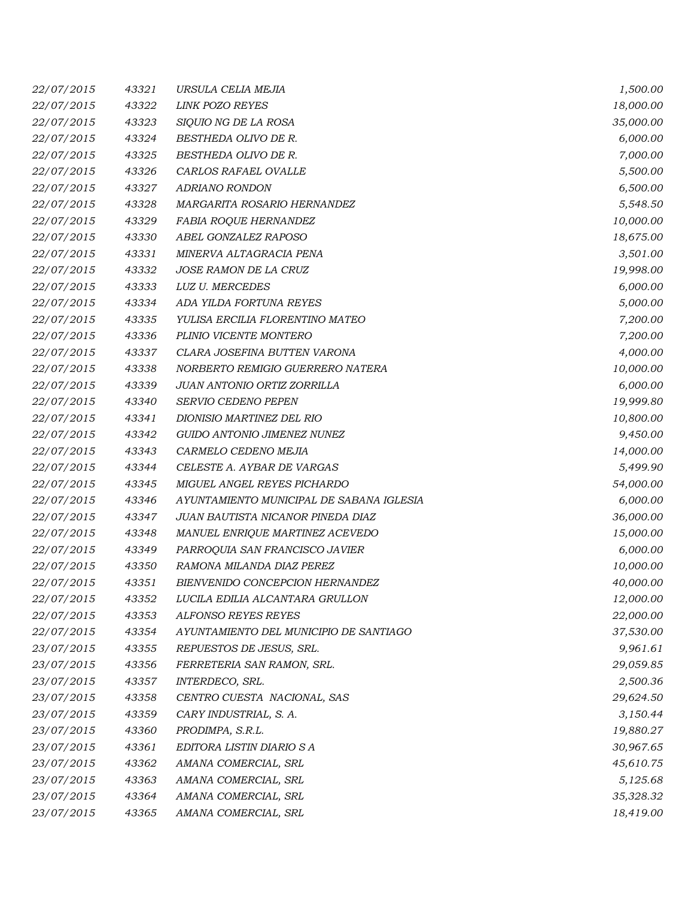| 22/07/2015 | 43321 | URSULA CELIA MEJIA                       | 1,500.00  |
|------------|-------|------------------------------------------|-----------|
| 22/07/2015 | 43322 | <b>LINK POZO REYES</b>                   | 18,000.00 |
| 22/07/2015 | 43323 | SIQUIO NG DE LA ROSA                     | 35,000.00 |
| 22/07/2015 | 43324 | BESTHEDA OLIVO DE R.                     | 6,000.00  |
| 22/07/2015 | 43325 | BESTHEDA OLIVO DE R.                     | 7,000.00  |
| 22/07/2015 | 43326 | CARLOS RAFAEL OVALLE                     | 5,500.00  |
| 22/07/2015 | 43327 | <b>ADRIANO RONDON</b>                    | 6,500.00  |
| 22/07/2015 | 43328 | MARGARITA ROSARIO HERNANDEZ              | 5,548.50  |
| 22/07/2015 | 43329 | FABIA ROQUE HERNANDEZ                    | 10,000.00 |
| 22/07/2015 | 43330 | ABEL GONZALEZ RAPOSO                     | 18,675.00 |
| 22/07/2015 | 43331 | MINERVA ALTAGRACIA PENA                  | 3,501.00  |
| 22/07/2015 | 43332 | JOSE RAMON DE LA CRUZ                    | 19,998.00 |
| 22/07/2015 | 43333 | <b>LUZ U. MERCEDES</b>                   | 6,000.00  |
| 22/07/2015 | 43334 | ADA YILDA FORTUNA REYES                  | 5,000.00  |
| 22/07/2015 | 43335 | YULISA ERCILIA FLORENTINO MATEO          | 7,200.00  |
| 22/07/2015 | 43336 | PLINIO VICENTE MONTERO                   | 7,200.00  |
| 22/07/2015 | 43337 | CLARA JOSEFINA BUTTEN VARONA             | 4,000.00  |
| 22/07/2015 | 43338 | NORBERTO REMIGIO GUERRERO NATERA         | 10,000.00 |
| 22/07/2015 | 43339 | JUAN ANTONIO ORTIZ ZORRILLA              | 6,000.00  |
| 22/07/2015 | 43340 | SERVIO CEDENO PEPEN                      | 19,999.80 |
| 22/07/2015 | 43341 | DIONISIO MARTINEZ DEL RIO                | 10,800.00 |
| 22/07/2015 | 43342 | GUIDO ANTONIO JIMENEZ NUNEZ              | 9,450.00  |
| 22/07/2015 | 43343 | CARMELO CEDENO MEJIA                     | 14,000.00 |
| 22/07/2015 | 43344 | CELESTE A. AYBAR DE VARGAS               | 5,499.90  |
| 22/07/2015 | 43345 | MIGUEL ANGEL REYES PICHARDO              | 54,000.00 |
| 22/07/2015 | 43346 | AYUNTAMIENTO MUNICIPAL DE SABANA IGLESIA | 6,000.00  |
| 22/07/2015 | 43347 | JUAN BAUTISTA NICANOR PINEDA DIAZ        | 36,000.00 |
| 22/07/2015 | 43348 | MANUEL ENRIQUE MARTINEZ ACEVEDO          | 15,000.00 |
| 22/07/2015 | 43349 | PARROQUIA SAN FRANCISCO JAVIER           | 6,000.00  |
| 22/07/2015 | 43350 | RAMONA MILANDA DIAZ PEREZ                | 10,000.00 |
| 22/07/2015 | 43351 | BIENVENIDO CONCEPCION HERNANDEZ          | 40,000.00 |
| 22/07/2015 | 43352 | LUCILA EDILIA ALCANTARA GRULLON          | 12,000.00 |
| 22/07/2015 | 43353 | ALFONSO REYES REYES                      | 22,000.00 |
| 22/07/2015 | 43354 | AYUNTAMIENTO DEL MUNICIPIO DE SANTIAGO   | 37,530.00 |
| 23/07/2015 | 43355 | REPUESTOS DE JESUS, SRL.                 | 9,961.61  |
| 23/07/2015 | 43356 | FERRETERIA SAN RAMON, SRL.               | 29,059.85 |
| 23/07/2015 | 43357 | INTERDECO, SRL.                          | 2,500.36  |
| 23/07/2015 | 43358 | CENTRO CUESTA NACIONAL, SAS              | 29,624.50 |
| 23/07/2015 | 43359 | CARY INDUSTRIAL, S. A.                   | 3,150.44  |
| 23/07/2015 | 43360 | PRODIMPA, S.R.L.                         | 19,880.27 |
| 23/07/2015 | 43361 | EDITORA LISTIN DIARIO S A                | 30,967.65 |
| 23/07/2015 | 43362 | AMANA COMERCIAL, SRL                     | 45,610.75 |
| 23/07/2015 | 43363 | AMANA COMERCIAL, SRL                     | 5,125.68  |
| 23/07/2015 | 43364 | AMANA COMERCIAL, SRL                     | 35,328.32 |
| 23/07/2015 | 43365 | AMANA COMERCIAL, SRL                     | 18,419.00 |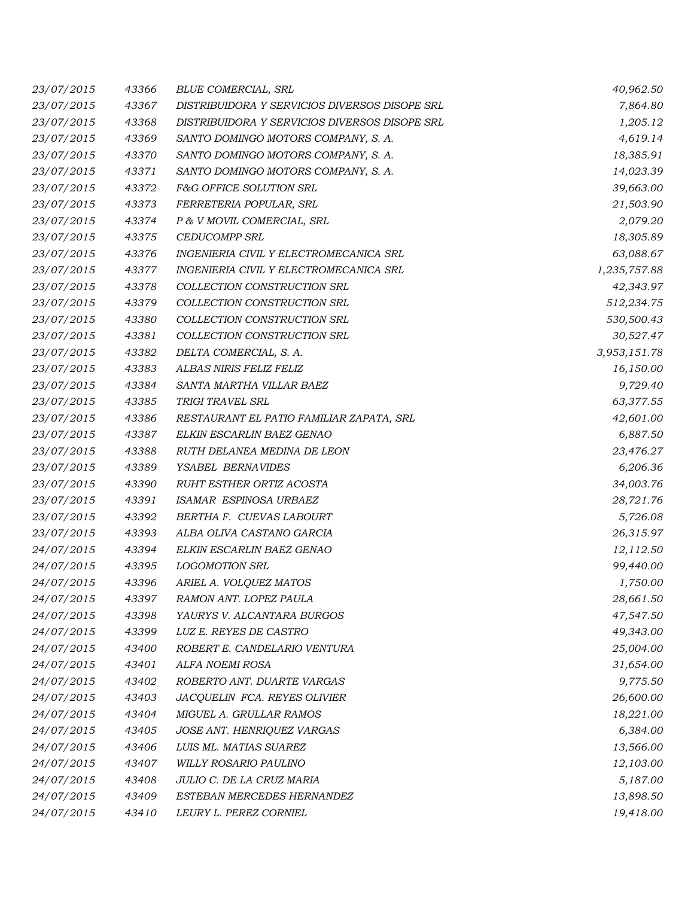| 23/07/2015 | 43366 | <b>BLUE COMERCIAL, SRL</b>                    | 40,962.50    |
|------------|-------|-----------------------------------------------|--------------|
| 23/07/2015 | 43367 | DISTRIBUIDORA Y SERVICIOS DIVERSOS DISOPE SRL | 7,864.80     |
| 23/07/2015 | 43368 | DISTRIBUIDORA Y SERVICIOS DIVERSOS DISOPE SRL | 1,205.12     |
| 23/07/2015 | 43369 | SANTO DOMINGO MOTORS COMPANY, S. A.           | 4,619.14     |
| 23/07/2015 | 43370 | SANTO DOMINGO MOTORS COMPANY, S. A.           | 18,385.91    |
| 23/07/2015 | 43371 | SANTO DOMINGO MOTORS COMPANY, S. A.           | 14,023.39    |
| 23/07/2015 | 43372 | F&G OFFICE SOLUTION SRL                       | 39,663.00    |
| 23/07/2015 | 43373 | FERRETERIA POPULAR, SRL                       | 21,503.90    |
| 23/07/2015 | 43374 | P & V MOVIL COMERCIAL, SRL                    | 2,079.20     |
| 23/07/2015 | 43375 | <b>CEDUCOMPP SRL</b>                          | 18,305.89    |
| 23/07/2015 | 43376 | INGENIERIA CIVIL Y ELECTROMECANICA SRL        | 63,088.67    |
| 23/07/2015 | 43377 | INGENIERIA CIVIL Y ELECTROMECANICA SRL        | 1,235,757.88 |
| 23/07/2015 | 43378 | COLLECTION CONSTRUCTION SRL                   | 42,343.97    |
| 23/07/2015 | 43379 | COLLECTION CONSTRUCTION SRL                   | 512,234.75   |
| 23/07/2015 | 43380 | COLLECTION CONSTRUCTION SRL                   | 530,500.43   |
| 23/07/2015 | 43381 | COLLECTION CONSTRUCTION SRL                   | 30,527.47    |
| 23/07/2015 | 43382 | DELTA COMERCIAL, S. A.                        | 3,953,151.78 |
| 23/07/2015 | 43383 | ALBAS NIRIS FELIZ FELIZ                       | 16,150.00    |
| 23/07/2015 | 43384 | SANTA MARTHA VILLAR BAEZ                      | 9,729.40     |
| 23/07/2015 | 43385 | TRIGI TRAVEL SRL                              | 63,377.55    |
| 23/07/2015 | 43386 | RESTAURANT EL PATIO FAMILIAR ZAPATA, SRL      | 42,601.00    |
| 23/07/2015 | 43387 | ELKIN ESCARLIN BAEZ GENAO                     | 6,887.50     |
| 23/07/2015 | 43388 | RUTH DELANEA MEDINA DE LEON                   | 23,476.27    |
| 23/07/2015 | 43389 | YSABEL BERNAVIDES                             | 6,206.36     |
| 23/07/2015 | 43390 | <b>RUHT ESTHER ORTIZ ACOSTA</b>               | 34,003.76    |
| 23/07/2015 | 43391 | ISAMAR ESPINOSA URBAEZ                        | 28,721.76    |
| 23/07/2015 | 43392 | BERTHA F. CUEVAS LABOURT                      | 5,726.08     |
| 23/07/2015 | 43393 | ALBA OLIVA CASTANO GARCIA                     | 26,315.97    |
| 24/07/2015 | 43394 | ELKIN ESCARLIN BAEZ GENAO                     | 12,112.50    |
| 24/07/2015 | 43395 | <b>LOGOMOTION SRL</b>                         | 99,440.00    |
| 24/07/2015 | 43396 | ARIEL A. VOLQUEZ MATOS                        | 1,750.00     |
| 24/07/2015 | 43397 | RAMON ANT. LOPEZ PAULA                        | 28,661.50    |
| 24/07/2015 | 43398 | YAURYS V. ALCANTARA BURGOS                    | 47,547.50    |
| 24/07/2015 | 43399 | LUZ E. REYES DE CASTRO                        | 49,343.00    |
| 24/07/2015 | 43400 | ROBERT E. CANDELARIO VENTURA                  | 25,004.00    |
| 24/07/2015 | 43401 | ALFA NOEMI ROSA                               | 31,654.00    |
| 24/07/2015 | 43402 | ROBERTO ANT. DUARTE VARGAS                    | 9,775.50     |
| 24/07/2015 | 43403 | JACQUELIN FCA. REYES OLIVIER                  | 26,600.00    |
| 24/07/2015 | 43404 | MIGUEL A. GRULLAR RAMOS                       | 18,221.00    |
| 24/07/2015 | 43405 | JOSE ANT. HENRIQUEZ VARGAS                    | 6,384.00     |
| 24/07/2015 | 43406 | LUIS ML. MATIAS SUAREZ                        | 13,566.00    |
| 24/07/2015 | 43407 | WILLY ROSARIO PAULINO                         | 12,103.00    |
| 24/07/2015 | 43408 | JULIO C. DE LA CRUZ MARIA                     | 5,187.00     |
| 24/07/2015 | 43409 | ESTEBAN MERCEDES HERNANDEZ                    | 13,898.50    |
| 24/07/2015 | 43410 | LEURY L. PEREZ CORNIEL                        | 19,418.00    |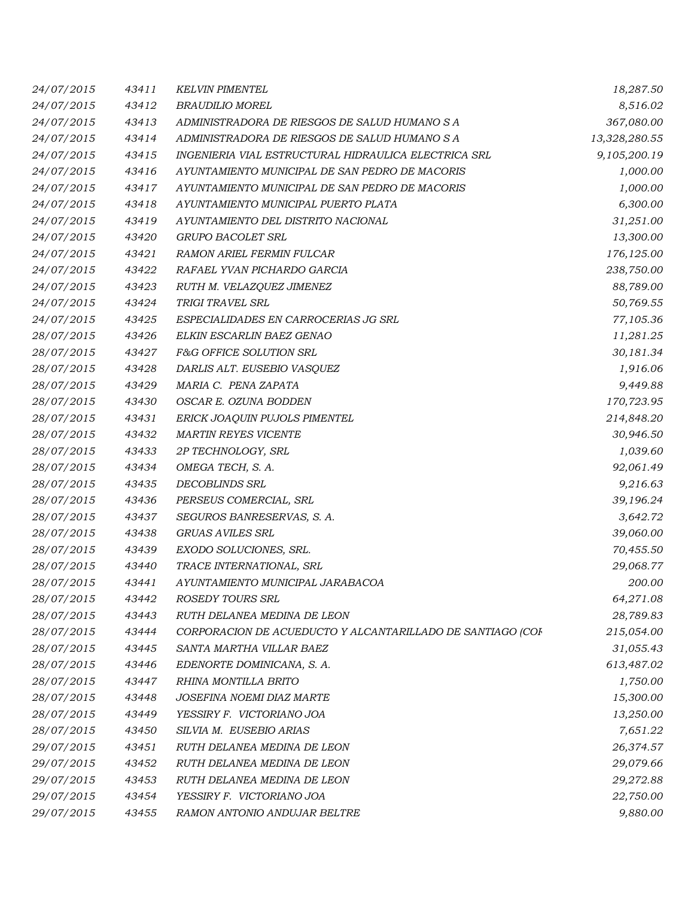| 24/07/2015 | 43411 | <b>KELVIN PIMENTEL</b>                                     | 18,287.50     |
|------------|-------|------------------------------------------------------------|---------------|
| 24/07/2015 | 43412 | <b>BRAUDILIO MOREL</b>                                     | 8,516.02      |
| 24/07/2015 | 43413 | ADMINISTRADORA DE RIESGOS DE SALUD HUMANO S A              | 367,080.00    |
| 24/07/2015 | 43414 | ADMINISTRADORA DE RIESGOS DE SALUD HUMANO S A              | 13,328,280.55 |
| 24/07/2015 | 43415 | INGENIERIA VIAL ESTRUCTURAL HIDRAULICA ELECTRICA SRL       | 9,105,200.19  |
| 24/07/2015 | 43416 | AYUNTAMIENTO MUNICIPAL DE SAN PEDRO DE MACORIS             | 1,000.00      |
| 24/07/2015 | 43417 | AYUNTAMIENTO MUNICIPAL DE SAN PEDRO DE MACORIS             | 1,000.00      |
| 24/07/2015 | 43418 | AYUNTAMIENTO MUNICIPAL PUERTO PLATA                        | 6,300.00      |
| 24/07/2015 | 43419 | AYUNTAMIENTO DEL DISTRITO NACIONAL                         | 31,251.00     |
| 24/07/2015 | 43420 | GRUPO BACOLET SRL                                          | 13,300.00     |
| 24/07/2015 | 43421 | RAMON ARIEL FERMIN FULCAR                                  | 176,125.00    |
| 24/07/2015 | 43422 | RAFAEL YVAN PICHARDO GARCIA                                | 238,750.00    |
| 24/07/2015 | 43423 | RUTH M. VELAZQUEZ JIMENEZ                                  | 88,789.00     |
| 24/07/2015 | 43424 | TRIGI TRAVEL SRL                                           | 50,769.55     |
| 24/07/2015 | 43425 | ESPECIALIDADES EN CARROCERIAS JG SRL                       | 77,105.36     |
| 28/07/2015 | 43426 | ELKIN ESCARLIN BAEZ GENAO                                  | 11,281.25     |
| 28/07/2015 | 43427 | F&G OFFICE SOLUTION SRL                                    | 30,181.34     |
| 28/07/2015 | 43428 | DARLIS ALT. EUSEBIO VASQUEZ                                | 1,916.06      |
| 28/07/2015 | 43429 | MARIA C. PENA ZAPATA                                       | 9,449.88      |
| 28/07/2015 | 43430 | OSCAR E. OZUNA BODDEN                                      | 170,723.95    |
| 28/07/2015 | 43431 | ERICK JOAQUIN PUJOLS PIMENTEL                              | 214,848.20    |
| 28/07/2015 | 43432 | <b>MARTIN REYES VICENTE</b>                                | 30,946.50     |
| 28/07/2015 | 43433 | 2P TECHNOLOGY, SRL                                         | 1,039.60      |
| 28/07/2015 | 43434 | OMEGA TECH, S. A.                                          | 92,061.49     |
| 28/07/2015 | 43435 | <b>DECOBLINDS SRL</b>                                      | 9,216.63      |
| 28/07/2015 | 43436 | PERSEUS COMERCIAL, SRL                                     | 39,196.24     |
| 28/07/2015 | 43437 | SEGUROS BANRESERVAS, S. A.                                 | 3,642.72      |
| 28/07/2015 | 43438 | <b>GRUAS AVILES SRL</b>                                    | 39,060.00     |
| 28/07/2015 | 43439 | EXODO SOLUCIONES, SRL.                                     | 70,455.50     |
| 28/07/2015 | 43440 | TRACE INTERNATIONAL, SRL                                   | 29,068.77     |
| 28/07/2015 | 43441 | AYUNTAMIENTO MUNICIPAL JARABACOA                           | 200.00        |
| 28/07/2015 | 43442 | ROSEDY TOURS SRL                                           | 64,271.08     |
| 28/07/2015 | 43443 | RUTH DELANEA MEDINA DE LEON                                | 28,789.83     |
| 28/07/2015 | 43444 | CORPORACION DE ACUEDUCTO Y ALCANTARILLADO DE SANTIAGO (COF | 215,054.00    |
| 28/07/2015 | 43445 | SANTA MARTHA VILLAR BAEZ                                   | 31,055.43     |
| 28/07/2015 | 43446 | EDENORTE DOMINICANA, S. A.                                 | 613,487.02    |
| 28/07/2015 | 43447 | RHINA MONTILLA BRITO                                       | 1,750.00      |
| 28/07/2015 | 43448 | JOSEFINA NOEMI DIAZ MARTE                                  | 15,300.00     |
| 28/07/2015 | 43449 | YESSIRY F. VICTORIANO JOA                                  | 13,250.00     |
| 28/07/2015 | 43450 | SILVIA M. EUSEBIO ARIAS                                    | 7,651.22      |
| 29/07/2015 | 43451 | RUTH DELANEA MEDINA DE LEON                                | 26,374.57     |
| 29/07/2015 | 43452 | RUTH DELANEA MEDINA DE LEON                                | 29,079.66     |
| 29/07/2015 | 43453 | RUTH DELANEA MEDINA DE LEON                                | 29,272.88     |
| 29/07/2015 | 43454 | YESSIRY F. VICTORIANO JOA                                  | 22,750.00     |
| 29/07/2015 | 43455 | RAMON ANTONIO ANDUJAR BELTRE                               | 9,880.00      |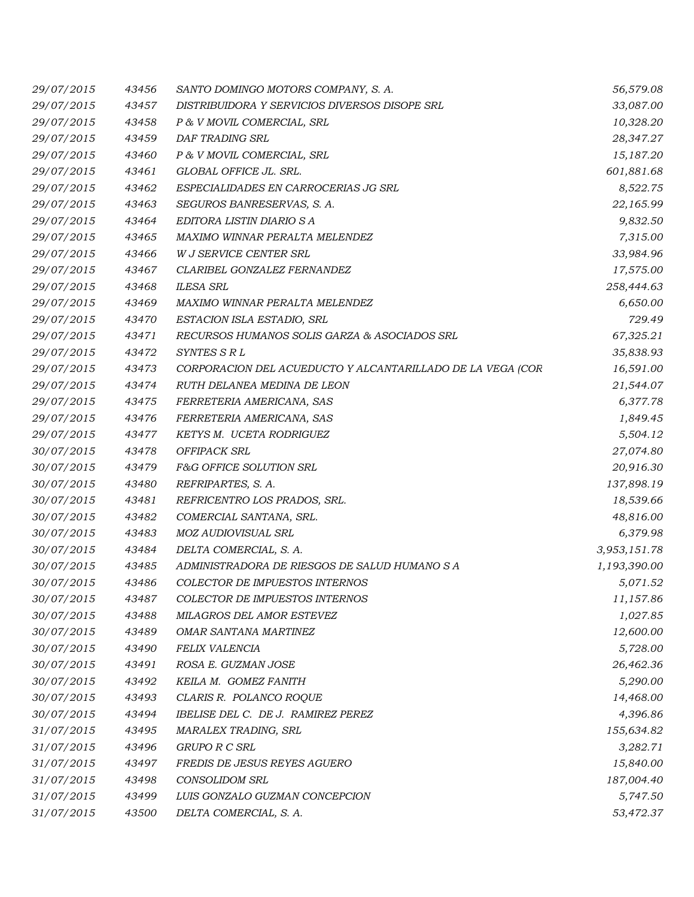| 29/07/2015 | 43456 | SANTO DOMINGO MOTORS COMPANY, S. A.                        | 56,579.08    |
|------------|-------|------------------------------------------------------------|--------------|
| 29/07/2015 | 43457 | DISTRIBUIDORA Y SERVICIOS DIVERSOS DISOPE SRL              | 33,087.00    |
| 29/07/2015 | 43458 | P & V MOVIL COMERCIAL, SRL                                 | 10,328.20    |
| 29/07/2015 | 43459 | DAF TRADING SRL                                            | 28,347.27    |
| 29/07/2015 | 43460 | P & V MOVIL COMERCIAL, SRL                                 | 15,187.20    |
| 29/07/2015 | 43461 | GLOBAL OFFICE JL. SRL.                                     | 601,881.68   |
| 29/07/2015 | 43462 | ESPECIALIDADES EN CARROCERIAS JG SRL                       | 8,522.75     |
| 29/07/2015 | 43463 | SEGUROS BANRESERVAS, S. A.                                 | 22,165.99    |
| 29/07/2015 | 43464 | EDITORA LISTIN DIARIO S A                                  | 9,832.50     |
| 29/07/2015 | 43465 | MAXIMO WINNAR PERALTA MELENDEZ                             | 7,315.00     |
| 29/07/2015 | 43466 | W J SERVICE CENTER SRL                                     | 33,984.96    |
| 29/07/2015 | 43467 | CLARIBEL GONZALEZ FERNANDEZ                                | 17,575.00    |
| 29/07/2015 | 43468 | <b>ILESA SRL</b>                                           | 258,444.63   |
| 29/07/2015 | 43469 | MAXIMO WINNAR PERALTA MELENDEZ                             | 6,650.00     |
| 29/07/2015 | 43470 | ESTACION ISLA ESTADIO, SRL                                 | 729.49       |
| 29/07/2015 | 43471 | RECURSOS HUMANOS SOLIS GARZA & ASOCIADOS SRL               | 67,325.21    |
| 29/07/2015 | 43472 | SYNTES S R L                                               | 35,838.93    |
| 29/07/2015 | 43473 | CORPORACION DEL ACUEDUCTO Y ALCANTARILLADO DE LA VEGA (COR | 16,591.00    |
| 29/07/2015 | 43474 | RUTH DELANEA MEDINA DE LEON                                | 21,544.07    |
| 29/07/2015 | 43475 | FERRETERIA AMERICANA, SAS                                  | 6,377.78     |
| 29/07/2015 | 43476 | FERRETERIA AMERICANA, SAS                                  | 1,849.45     |
| 29/07/2015 | 43477 | KETYS M. UCETA RODRIGUEZ                                   | 5,504.12     |
| 30/07/2015 | 43478 | OFFIPACK SRL                                               | 27,074.80    |
| 30/07/2015 | 43479 | F&G OFFICE SOLUTION SRL                                    | 20,916.30    |
| 30/07/2015 | 43480 | REFRIPARTES, S. A.                                         | 137,898.19   |
| 30/07/2015 | 43481 | REFRICENTRO LOS PRADOS, SRL.                               | 18,539.66    |
| 30/07/2015 | 43482 | COMERCIAL SANTANA, SRL.                                    | 48,816.00    |
| 30/07/2015 | 43483 | MOZ AUDIOVISUAL SRL                                        | 6,379.98     |
| 30/07/2015 | 43484 | DELTA COMERCIAL, S. A.                                     | 3,953,151.78 |
| 30/07/2015 | 43485 | ADMINISTRADORA DE RIESGOS DE SALUD HUMANO S A              | 1,193,390.00 |
| 30/07/2015 | 43486 | COLECTOR DE IMPUESTOS INTERNOS                             | 5,071.52     |
| 30/07/2015 | 43487 | <b>COLECTOR DE IMPUESTOS INTERNOS</b>                      | 11,157.86    |
| 30/07/2015 | 43488 | MILAGROS DEL AMOR ESTEVEZ                                  | 1,027.85     |
| 30/07/2015 | 43489 | OMAR SANTANA MARTINEZ                                      | 12,600.00    |
| 30/07/2015 | 43490 | FELIX VALENCIA                                             | 5,728.00     |
| 30/07/2015 | 43491 | ROSA E. GUZMAN JOSE                                        | 26,462.36    |
| 30/07/2015 | 43492 | KEILA M. GOMEZ FANITH                                      | 5,290.00     |
| 30/07/2015 | 43493 | CLARIS R. POLANCO ROQUE                                    | 14,468.00    |
| 30/07/2015 | 43494 | IBELISE DEL C. DE J. RAMIREZ PEREZ                         | 4,396.86     |
| 31/07/2015 | 43495 | MARALEX TRADING, SRL                                       | 155,634.82   |
| 31/07/2015 | 43496 | GRUPO R C SRL                                              | 3,282.71     |
| 31/07/2015 | 43497 | FREDIS DE JESUS REYES AGUERO                               | 15,840.00    |
| 31/07/2015 | 43498 | CONSOLIDOM SRL                                             | 187,004.40   |
| 31/07/2015 | 43499 | LUIS GONZALO GUZMAN CONCEPCION                             | 5,747.50     |
| 31/07/2015 | 43500 | DELTA COMERCIAL, S. A.                                     | 53,472.37    |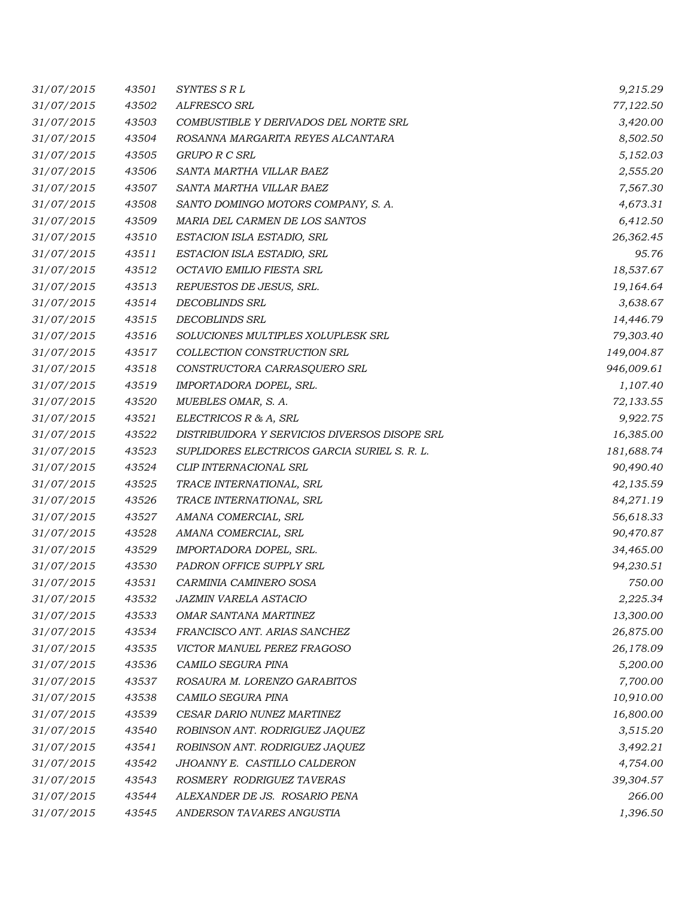| 31/07/2015 | 43501 | SYNTES SRL                                    | 9,215.29   |
|------------|-------|-----------------------------------------------|------------|
| 31/07/2015 | 43502 | ALFRESCO SRL                                  | 77,122.50  |
| 31/07/2015 | 43503 | COMBUSTIBLE Y DERIVADOS DEL NORTE SRL         | 3,420.00   |
| 31/07/2015 | 43504 | ROSANNA MARGARITA REYES ALCANTARA             | 8,502.50   |
| 31/07/2015 | 43505 | GRUPO R C SRL                                 | 5,152.03   |
| 31/07/2015 | 43506 | SANTA MARTHA VILLAR BAEZ                      | 2,555.20   |
| 31/07/2015 | 43507 | SANTA MARTHA VILLAR BAEZ                      | 7,567.30   |
| 31/07/2015 | 43508 | SANTO DOMINGO MOTORS COMPANY, S. A.           | 4,673.31   |
| 31/07/2015 | 43509 | MARIA DEL CARMEN DE LOS SANTOS                | 6,412.50   |
| 31/07/2015 | 43510 | ESTACION ISLA ESTADIO, SRL                    | 26,362.45  |
| 31/07/2015 | 43511 | ESTACION ISLA ESTADIO, SRL                    | 95.76      |
| 31/07/2015 | 43512 | OCTAVIO EMILIO FIESTA SRL                     | 18,537.67  |
| 31/07/2015 | 43513 | REPUESTOS DE JESUS, SRL.                      | 19,164.64  |
| 31/07/2015 | 43514 | DECOBLINDS SRL                                | 3,638.67   |
| 31/07/2015 | 43515 | <b>DECOBLINDS SRL</b>                         | 14,446.79  |
| 31/07/2015 | 43516 | SOLUCIONES MULTIPLES XOLUPLESK SRL            | 79,303.40  |
| 31/07/2015 | 43517 | COLLECTION CONSTRUCTION SRL                   | 149,004.87 |
| 31/07/2015 | 43518 | CONSTRUCTORA CARRASQUERO SRL                  | 946,009.61 |
| 31/07/2015 | 43519 | IMPORTADORA DOPEL, SRL.                       | 1,107.40   |
| 31/07/2015 | 43520 | MUEBLES OMAR, S. A.                           | 72,133.55  |
| 31/07/2015 | 43521 | ELECTRICOS R & A, SRL                         | 9,922.75   |
| 31/07/2015 | 43522 | DISTRIBUIDORA Y SERVICIOS DIVERSOS DISOPE SRL | 16,385.00  |
| 31/07/2015 | 43523 | SUPLIDORES ELECTRICOS GARCIA SURIEL S. R. L.  | 181,688.74 |
| 31/07/2015 | 43524 | CLIP INTERNACIONAL SRL                        | 90,490.40  |
| 31/07/2015 | 43525 | TRACE INTERNATIONAL, SRL                      | 42,135.59  |
| 31/07/2015 | 43526 | TRACE INTERNATIONAL, SRL                      | 84,271.19  |
| 31/07/2015 | 43527 | AMANA COMERCIAL, SRL                          | 56,618.33  |
| 31/07/2015 | 43528 | AMANA COMERCIAL, SRL                          | 90,470.87  |
| 31/07/2015 | 43529 | IMPORTADORA DOPEL, SRL.                       | 34,465.00  |
| 31/07/2015 | 43530 | PADRON OFFICE SUPPLY SRL                      | 94,230.51  |
| 31/07/2015 | 43531 | CARMINIA CAMINERO SOSA                        | 750.00     |
| 31/07/2015 | 43532 | <i>JAZMIN VARELA ASTACIO</i>                  | 2,225.34   |
| 31/07/2015 | 43533 | OMAR SANTANA MARTINEZ                         | 13,300.00  |
| 31/07/2015 | 43534 | FRANCISCO ANT. ARIAS SANCHEZ                  | 26,875.00  |
| 31/07/2015 | 43535 | VICTOR MANUEL PEREZ FRAGOSO                   | 26,178.09  |
| 31/07/2015 | 43536 | CAMILO SEGURA PINA                            | 5,200.00   |
| 31/07/2015 | 43537 | ROSAURA M. LORENZO GARABITOS                  | 7,700.00   |
| 31/07/2015 | 43538 | CAMILO SEGURA PINA                            | 10,910.00  |
| 31/07/2015 | 43539 | CESAR DARIO NUNEZ MARTINEZ                    | 16,800.00  |
| 31/07/2015 | 43540 | ROBINSON ANT. RODRIGUEZ JAQUEZ                | 3,515.20   |
| 31/07/2015 | 43541 | ROBINSON ANT. RODRIGUEZ JAQUEZ                | 3,492.21   |
| 31/07/2015 | 43542 | JHOANNY E. CASTILLO CALDERON                  | 4,754.00   |
| 31/07/2015 | 43543 | ROSMERY RODRIGUEZ TAVERAS                     | 39,304.57  |
| 31/07/2015 | 43544 | ALEXANDER DE JS. ROSARIO PENA                 | 266.00     |
| 31/07/2015 | 43545 | ANDERSON TAVARES ANGUSTIA                     | 1,396.50   |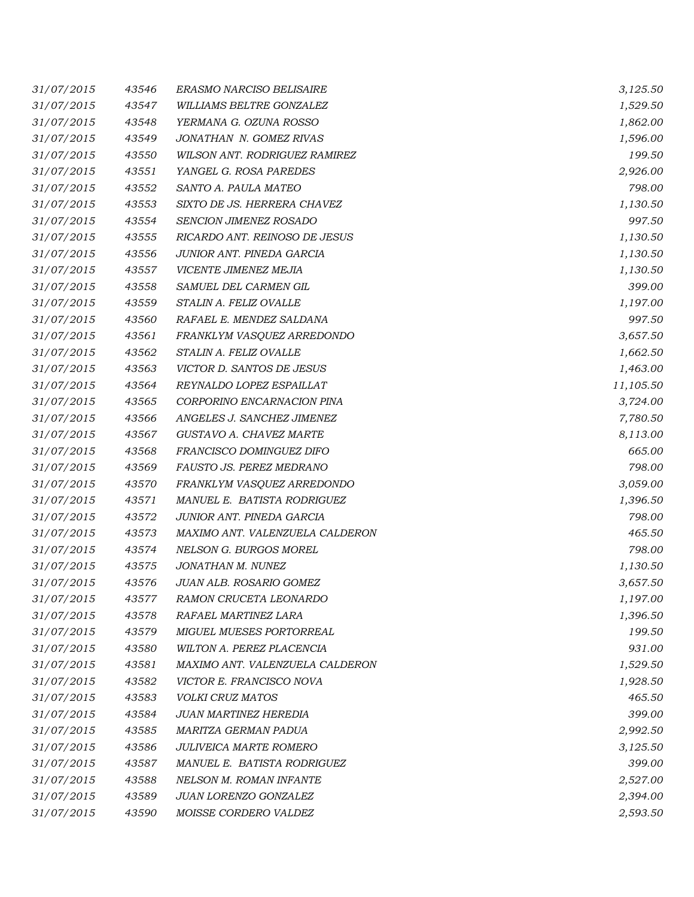| 31/07/2015 | 43546 | ERASMO NARCISO BELISAIRE        | 3,125.50  |
|------------|-------|---------------------------------|-----------|
| 31/07/2015 | 43547 | WILLIAMS BELTRE GONZALEZ        | 1,529.50  |
| 31/07/2015 | 43548 | YERMANA G. OZUNA ROSSO          | 1,862.00  |
| 31/07/2015 | 43549 | JONATHAN N. GOMEZ RIVAS         | 1,596.00  |
| 31/07/2015 | 43550 | WILSON ANT. RODRIGUEZ RAMIREZ   | 199.50    |
| 31/07/2015 | 43551 | YANGEL G. ROSA PAREDES          | 2,926.00  |
| 31/07/2015 | 43552 | SANTO A. PAULA MATEO            | 798.00    |
| 31/07/2015 | 43553 | SIXTO DE JS. HERRERA CHAVEZ     | 1,130.50  |
| 31/07/2015 | 43554 | SENCION JIMENEZ ROSADO          | 997.50    |
| 31/07/2015 | 43555 | RICARDO ANT. REINOSO DE JESUS   | 1,130.50  |
| 31/07/2015 | 43556 | JUNIOR ANT. PINEDA GARCIA       | 1,130.50  |
| 31/07/2015 | 43557 | VICENTE JIMENEZ MEJIA           | 1,130.50  |
| 31/07/2015 | 43558 | SAMUEL DEL CARMEN GIL           | 399.00    |
| 31/07/2015 | 43559 | STALIN A. FELIZ OVALLE          | 1,197.00  |
| 31/07/2015 | 43560 | RAFAEL E. MENDEZ SALDANA        | 997.50    |
| 31/07/2015 | 43561 | FRANKLYM VASQUEZ ARREDONDO      | 3,657.50  |
| 31/07/2015 | 43562 | STALIN A. FELIZ OVALLE          | 1,662.50  |
| 31/07/2015 | 43563 | VICTOR D. SANTOS DE JESUS       | 1,463.00  |
| 31/07/2015 | 43564 | REYNALDO LOPEZ ESPAILLAT        | 11,105.50 |
| 31/07/2015 | 43565 | CORPORINO ENCARNACION PINA      | 3,724.00  |
| 31/07/2015 | 43566 | ANGELES J. SANCHEZ JIMENEZ      | 7,780.50  |
| 31/07/2015 | 43567 | GUSTAVO A. CHAVEZ MARTE         | 8,113.00  |
| 31/07/2015 | 43568 | FRANCISCO DOMINGUEZ DIFO        | 665.00    |
| 31/07/2015 | 43569 | FAUSTO JS. PEREZ MEDRANO        | 798.00    |
| 31/07/2015 | 43570 | FRANKLYM VASQUEZ ARREDONDO      | 3,059.00  |
| 31/07/2015 | 43571 | MANUEL E. BATISTA RODRIGUEZ     | 1,396.50  |
| 31/07/2015 | 43572 | JUNIOR ANT. PINEDA GARCIA       | 798.00    |
| 31/07/2015 | 43573 | MAXIMO ANT. VALENZUELA CALDERON | 465.50    |
| 31/07/2015 | 43574 | NELSON G. BURGOS MOREL          | 798.00    |
| 31/07/2015 | 43575 | JONATHAN M. NUNEZ               | 1,130.50  |
| 31/07/2015 | 43576 | JUAN ALB. ROSARIO GOMEZ         | 3,657.50  |
| 31/07/2015 | 43577 | RAMON CRUCETA LEONARDO          | 1,197.00  |
| 31/07/2015 | 43578 | RAFAEL MARTINEZ LARA            | 1,396.50  |
| 31/07/2015 | 43579 | <b>MIGUEL MUESES PORTORREAL</b> | 199.50    |
| 31/07/2015 | 43580 | WILTON A. PEREZ PLACENCIA       | 931.00    |
| 31/07/2015 | 43581 | MAXIMO ANT. VALENZUELA CALDERON | 1,529.50  |
| 31/07/2015 | 43582 | VICTOR E. FRANCISCO NOVA        | 1,928.50  |
| 31/07/2015 | 43583 | VOLKI CRUZ MATOS                | 465.50    |
| 31/07/2015 | 43584 | JUAN MARTINEZ HEREDIA           | 399.00    |
| 31/07/2015 | 43585 | MARITZA GERMAN PADUA            | 2,992.50  |
| 31/07/2015 | 43586 | <b>JULIVEICA MARTE ROMERO</b>   | 3,125.50  |
| 31/07/2015 | 43587 | MANUEL E. BATISTA RODRIGUEZ     | 399.00    |
| 31/07/2015 | 43588 | NELSON M. ROMAN INFANTE         | 2,527.00  |
| 31/07/2015 | 43589 | JUAN LORENZO GONZALEZ           | 2,394.00  |
| 31/07/2015 | 43590 | MOISSE CORDERO VALDEZ           | 2,593.50  |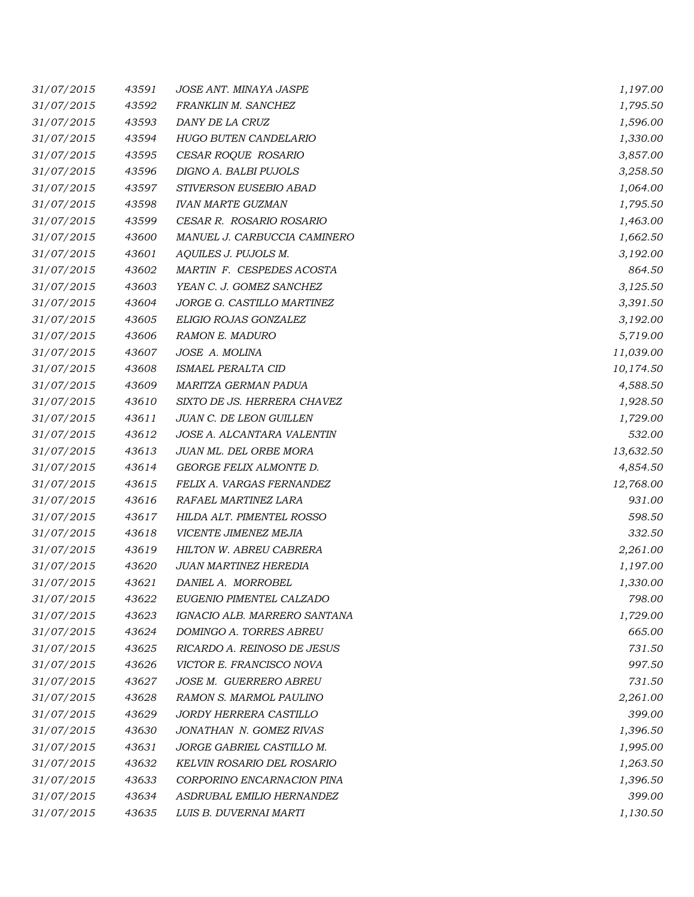| 31/07/2015 | 43591 | JOSE ANT. MINAYA JASPE         | 1,197.00  |
|------------|-------|--------------------------------|-----------|
| 31/07/2015 | 43592 | FRANKLIN M. SANCHEZ            | 1,795.50  |
| 31/07/2015 | 43593 | DANY DE LA CRUZ                | 1,596.00  |
| 31/07/2015 | 43594 | HUGO BUTEN CANDELARIO          | 1,330.00  |
| 31/07/2015 | 43595 | CESAR ROQUE ROSARIO            | 3,857.00  |
| 31/07/2015 | 43596 | DIGNO A. BALBI PUJOLS          | 3,258.50  |
| 31/07/2015 | 43597 | STIVERSON EUSEBIO ABAD         | 1,064.00  |
| 31/07/2015 | 43598 | <b>IVAN MARTE GUZMAN</b>       | 1,795.50  |
| 31/07/2015 | 43599 | CESAR R. ROSARIO ROSARIO       | 1,463.00  |
| 31/07/2015 | 43600 | MANUEL J. CARBUCCIA CAMINERO   | 1,662.50  |
| 31/07/2015 | 43601 | AQUILES J. PUJOLS M.           | 3,192.00  |
| 31/07/2015 | 43602 | MARTIN F. CESPEDES ACOSTA      | 864.50    |
| 31/07/2015 | 43603 | YEAN C. J. GOMEZ SANCHEZ       | 3,125.50  |
| 31/07/2015 | 43604 | JORGE G. CASTILLO MARTINEZ     | 3,391.50  |
| 31/07/2015 | 43605 | ELIGIO ROJAS GONZALEZ          | 3,192.00  |
| 31/07/2015 | 43606 | <b>RAMON E. MADURO</b>         | 5,719.00  |
| 31/07/2015 | 43607 | JOSE A. MOLINA                 | 11,039.00 |
| 31/07/2015 | 43608 | ISMAEL PERALTA CID             | 10,174.50 |
| 31/07/2015 | 43609 | MARITZA GERMAN PADUA           | 4,588.50  |
| 31/07/2015 | 43610 | SIXTO DE JS. HERRERA CHAVEZ    | 1,928.50  |
| 31/07/2015 | 43611 | JUAN C. DE LEON GUILLEN        | 1,729.00  |
| 31/07/2015 | 43612 | JOSE A. ALCANTARA VALENTIN     | 532.00    |
| 31/07/2015 | 43613 | JUAN ML. DEL ORBE MORA         | 13,632.50 |
| 31/07/2015 | 43614 | GEORGE FELIX ALMONTE D.        | 4,854.50  |
| 31/07/2015 | 43615 | FELIX A. VARGAS FERNANDEZ      | 12,768.00 |
| 31/07/2015 | 43616 | RAFAEL MARTINEZ LARA           | 931.00    |
| 31/07/2015 | 43617 | HILDA ALT. PIMENTEL ROSSO      | 598.50    |
| 31/07/2015 | 43618 | VICENTE JIMENEZ MEJIA          | 332.50    |
| 31/07/2015 | 43619 | HILTON W. ABREU CABRERA        | 2,261.00  |
| 31/07/2015 | 43620 | <b>JUAN MARTINEZ HEREDIA</b>   | 1,197.00  |
| 31/07/2015 | 43621 | DANIEL A. MORROBEL             | 1,330.00  |
| 31/07/2015 | 43622 | EUGENIO PIMENTEL CALZADO       | 798.00    |
| 31/07/2015 | 43623 | IGNACIO ALB. MARRERO SANTANA   | 1,729.00  |
| 31/07/2015 | 43624 | DOMINGO A. TORRES ABREU        | 665.00    |
| 31/07/2015 | 43625 | RICARDO A. REINOSO DE JESUS    | 731.50    |
| 31/07/2015 | 43626 | VICTOR E. FRANCISCO NOVA       | 997.50    |
| 31/07/2015 | 43627 | JOSE M. GUERRERO ABREU         | 731.50    |
| 31/07/2015 | 43628 | <b>RAMON S. MARMOL PAULINO</b> | 2,261.00  |
| 31/07/2015 | 43629 | <i>JORDY HERRERA CASTILLO</i>  | 399.00    |
| 31/07/2015 | 43630 | JONATHAN N. GOMEZ RIVAS        | 1,396.50  |
| 31/07/2015 | 43631 | JORGE GABRIEL CASTILLO M.      | 1,995.00  |
| 31/07/2015 | 43632 | KELVIN ROSARIO DEL ROSARIO     | 1,263.50  |
| 31/07/2015 | 43633 | CORPORINO ENCARNACION PINA     | 1,396.50  |
| 31/07/2015 | 43634 | ASDRUBAL EMILIO HERNANDEZ      | 399.00    |
| 31/07/2015 | 43635 | LUIS B. DUVERNAI MARTI         | 1,130.50  |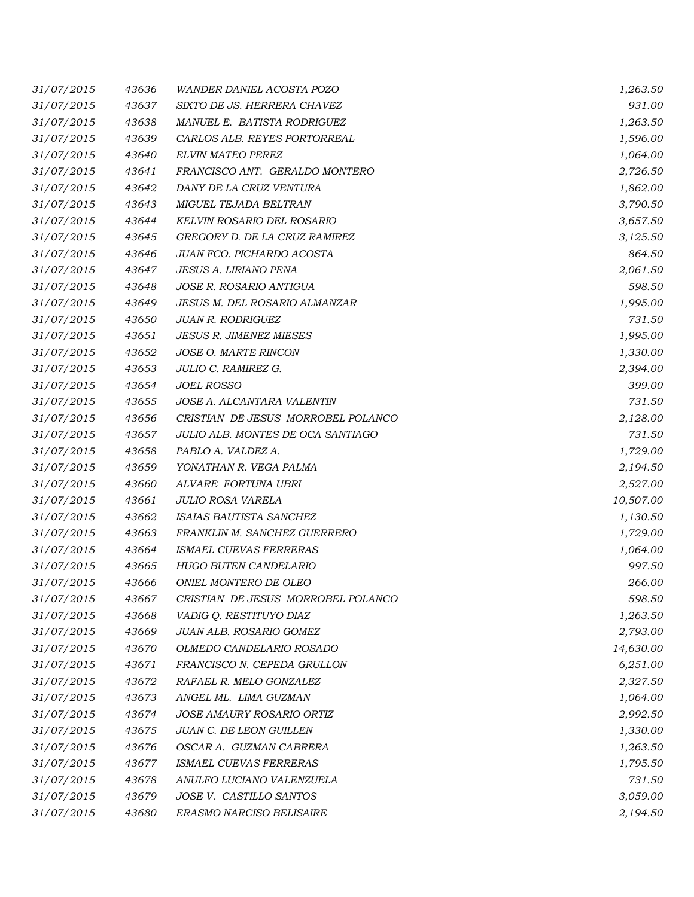| 31/07/2015 | 43636 | <i>WANDER DANIEL ACOSTA POZO</i>   | 1,263.50  |
|------------|-------|------------------------------------|-----------|
| 31/07/2015 | 43637 | SIXTO DE JS. HERRERA CHAVEZ        | 931.00    |
| 31/07/2015 | 43638 | MANUEL E. BATISTA RODRIGUEZ        | 1,263.50  |
| 31/07/2015 | 43639 | CARLOS ALB. REYES PORTORREAL       | 1,596.00  |
| 31/07/2015 | 43640 | ELVIN MATEO PEREZ                  | 1,064.00  |
| 31/07/2015 | 43641 | FRANCISCO ANT. GERALDO MONTERO     | 2,726.50  |
| 31/07/2015 | 43642 | DANY DE LA CRUZ VENTURA            | 1,862.00  |
| 31/07/2015 | 43643 | <b>MIGUEL TEJADA BELTRAN</b>       | 3,790.50  |
| 31/07/2015 | 43644 | <b>KELVIN ROSARIO DEL ROSARIO</b>  | 3,657.50  |
| 31/07/2015 | 43645 | GREGORY D. DE LA CRUZ RAMIREZ      | 3,125.50  |
| 31/07/2015 | 43646 | JUAN FCO. PICHARDO ACOSTA          | 864.50    |
| 31/07/2015 | 43647 | <b>JESUS A. LIRIANO PENA</b>       | 2,061.50  |
| 31/07/2015 | 43648 | JOSE R. ROSARIO ANTIGUA            | 598.50    |
| 31/07/2015 | 43649 | JESUS M. DEL ROSARIO ALMANZAR      | 1,995.00  |
| 31/07/2015 | 43650 | <b>JUAN R. RODRIGUEZ</b>           | 731.50    |
| 31/07/2015 | 43651 | <b>JESUS R. JIMENEZ MIESES</b>     | 1,995.00  |
| 31/07/2015 | 43652 | JOSE O. MARTE RINCON               | 1,330.00  |
| 31/07/2015 | 43653 | JULIO C. RAMIREZ G.                | 2,394.00  |
| 31/07/2015 | 43654 | <b>JOEL ROSSO</b>                  | 399.00    |
| 31/07/2015 | 43655 | <b>JOSE A. ALCANTARA VALENTIN</b>  | 731.50    |
| 31/07/2015 | 43656 | CRISTIAN DE JESUS MORROBEL POLANCO | 2,128.00  |
| 31/07/2015 | 43657 | JULIO ALB. MONTES DE OCA SANTIAGO  | 731.50    |
| 31/07/2015 | 43658 | PABLO A. VALDEZ A.                 | 1,729.00  |
| 31/07/2015 | 43659 | YONATHAN R. VEGA PALMA             | 2,194.50  |
| 31/07/2015 | 43660 | ALVARE FORTUNA UBRI                | 2,527.00  |
| 31/07/2015 | 43661 | <b>JULIO ROSA VARELA</b>           | 10,507.00 |
| 31/07/2015 | 43662 | ISAIAS BAUTISTA SANCHEZ            | 1,130.50  |
| 31/07/2015 | 43663 | FRANKLIN M. SANCHEZ GUERRERO       | 1,729.00  |
| 31/07/2015 | 43664 | <b>ISMAEL CUEVAS FERRERAS</b>      | 1,064.00  |
| 31/07/2015 | 43665 | <b>HUGO BUTEN CANDELARIO</b>       | 997.50    |
| 31/07/2015 | 43666 | ONIEL MONTERO DE OLEO              | 266.00    |
| 31/07/2015 | 43667 | CRISTIAN DE JESUS MORROBEL POLANCO | 598.50    |
| 31/07/2015 | 43668 | VADIG Q. RESTITUYO DIAZ            | 1,263.50  |
| 31/07/2015 | 43669 | JUAN ALB. ROSARIO GOMEZ            | 2,793.00  |
| 31/07/2015 | 43670 | OLMEDO CANDELARIO ROSADO           | 14,630.00 |
| 31/07/2015 | 43671 | FRANCISCO N. CEPEDA GRULLON        | 6,251.00  |
| 31/07/2015 | 43672 | RAFAEL R. MELO GONZALEZ            | 2,327.50  |
| 31/07/2015 | 43673 | ANGEL ML. LIMA GUZMAN              | 1,064.00  |
| 31/07/2015 | 43674 | JOSE AMAURY ROSARIO ORTIZ          | 2,992.50  |
| 31/07/2015 | 43675 | JUAN C. DE LEON GUILLEN            | 1,330.00  |
| 31/07/2015 | 43676 | OSCAR A. GUZMAN CABRERA            | 1,263.50  |
| 31/07/2015 | 43677 | ISMAEL CUEVAS FERRERAS             | 1,795.50  |
| 31/07/2015 | 43678 | ANULFO LUCIANO VALENZUELA          | 731.50    |
| 31/07/2015 | 43679 | JOSE V. CASTILLO SANTOS            | 3,059.00  |
| 31/07/2015 | 43680 | ERASMO NARCISO BELISAIRE           | 2,194.50  |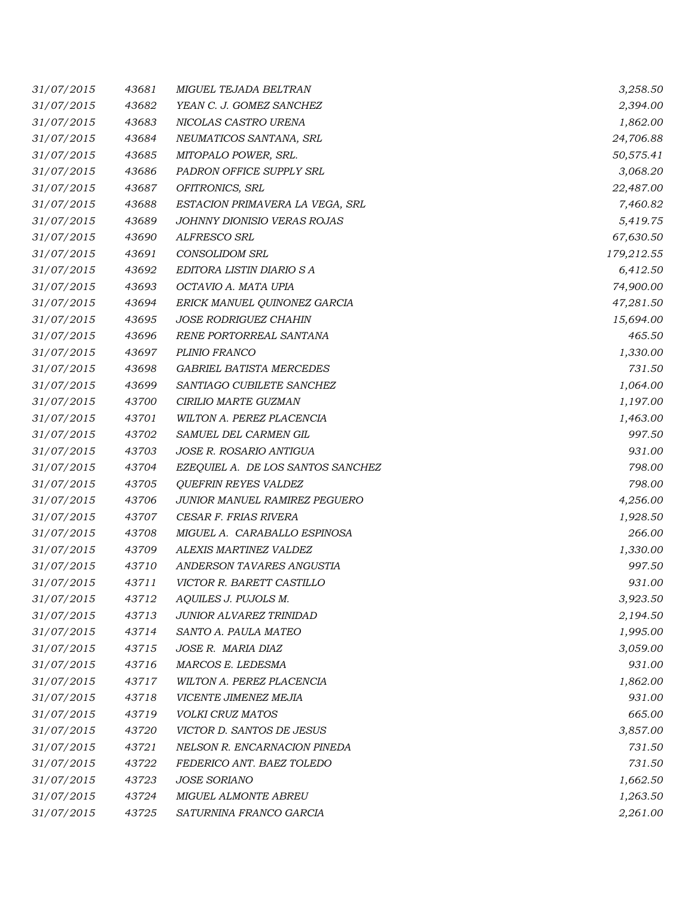| 31/07/2015 | 43681 | <b>MIGUEL TEJADA BELTRAN</b>       | 3,258.50   |
|------------|-------|------------------------------------|------------|
| 31/07/2015 | 43682 | YEAN C. J. GOMEZ SANCHEZ           | 2,394.00   |
| 31/07/2015 | 43683 | NICOLAS CASTRO URENA               | 1,862.00   |
| 31/07/2015 | 43684 | NEUMATICOS SANTANA, SRL            | 24,706.88  |
| 31/07/2015 | 43685 | MITOPALO POWER, SRL.               | 50,575.41  |
| 31/07/2015 | 43686 | PADRON OFFICE SUPPLY SRL           | 3,068.20   |
| 31/07/2015 | 43687 | OFITRONICS, SRL                    | 22,487.00  |
| 31/07/2015 | 43688 | ESTACION PRIMAVERA LA VEGA, SRL    | 7,460.82   |
| 31/07/2015 | 43689 | <b>JOHNNY DIONISIO VERAS ROJAS</b> | 5,419.75   |
| 31/07/2015 | 43690 | ALFRESCO SRL                       | 67,630.50  |
| 31/07/2015 | 43691 | CONSOLIDOM SRL                     | 179,212.55 |
| 31/07/2015 | 43692 | EDITORA LISTIN DIARIO S A          | 6,412.50   |
| 31/07/2015 | 43693 | OCTAVIO A. MATA UPIA               | 74,900.00  |
| 31/07/2015 | 43694 | ERICK MANUEL QUINONEZ GARCIA       | 47,281.50  |
| 31/07/2015 | 43695 | <b>JOSE RODRIGUEZ CHAHIN</b>       | 15,694.00  |
| 31/07/2015 | 43696 | RENE PORTORREAL SANTANA            | 465.50     |
| 31/07/2015 | 43697 | PLINIO FRANCO                      | 1,330.00   |
| 31/07/2015 | 43698 | <b>GABRIEL BATISTA MERCEDES</b>    | 731.50     |
| 31/07/2015 | 43699 | SANTIAGO CUBILETE SANCHEZ          | 1,064.00   |
| 31/07/2015 | 43700 | CIRILIO MARTE GUZMAN               | 1,197.00   |
| 31/07/2015 | 43701 | WILTON A. PEREZ PLACENCIA          | 1,463.00   |
| 31/07/2015 | 43702 | SAMUEL DEL CARMEN GIL              | 997.50     |
| 31/07/2015 | 43703 | <b>JOSE R. ROSARIO ANTIGUA</b>     | 931.00     |
| 31/07/2015 | 43704 | EZEQUIEL A. DE LOS SANTOS SANCHEZ  | 798.00     |
| 31/07/2015 | 43705 | <b>QUEFRIN REYES VALDEZ</b>        | 798.00     |
| 31/07/2015 | 43706 | JUNIOR MANUEL RAMIREZ PEGUERO      | 4,256.00   |
| 31/07/2015 | 43707 | CESAR F. FRIAS RIVERA              | 1,928.50   |
| 31/07/2015 | 43708 | MIGUEL A. CARABALLO ESPINOSA       | 266.00     |
| 31/07/2015 | 43709 | ALEXIS MARTINEZ VALDEZ             | 1,330.00   |
| 31/07/2015 | 43710 | ANDERSON TAVARES ANGUSTIA          | 997.50     |
| 31/07/2015 | 43711 | VICTOR R. BARETT CASTILLO          | 931.00     |
| 31/07/2015 | 43712 | AQUILES J. PUJOLS M.               | 3,923.50   |
| 31/07/2015 | 43713 | JUNIOR ALVAREZ TRINIDAD            | 2,194.50   |
| 31/07/2015 | 43714 | SANTO A. PAULA MATEO               | 1,995.00   |
| 31/07/2015 | 43715 | JOSE R. MARIA DIAZ                 | 3,059.00   |
| 31/07/2015 | 43716 | MARCOS E. LEDESMA                  | 931.00     |
| 31/07/2015 | 43717 | WILTON A. PEREZ PLACENCIA          | 1,862.00   |
| 31/07/2015 | 43718 | VICENTE JIMENEZ MEJIA              | 931.00     |
| 31/07/2015 | 43719 | VOLKI CRUZ MATOS                   | 665.00     |
| 31/07/2015 | 43720 | VICTOR D. SANTOS DE JESUS          | 3,857.00   |
| 31/07/2015 | 43721 | NELSON R. ENCARNACION PINEDA       | 731.50     |
| 31/07/2015 | 43722 | FEDERICO ANT. BAEZ TOLEDO          | 731.50     |
| 31/07/2015 | 43723 | <b>JOSE SORIANO</b>                | 1,662.50   |
| 31/07/2015 | 43724 | MIGUEL ALMONTE ABREU               | 1,263.50   |
| 31/07/2015 | 43725 | SATURNINA FRANCO GARCIA            | 2,261.00   |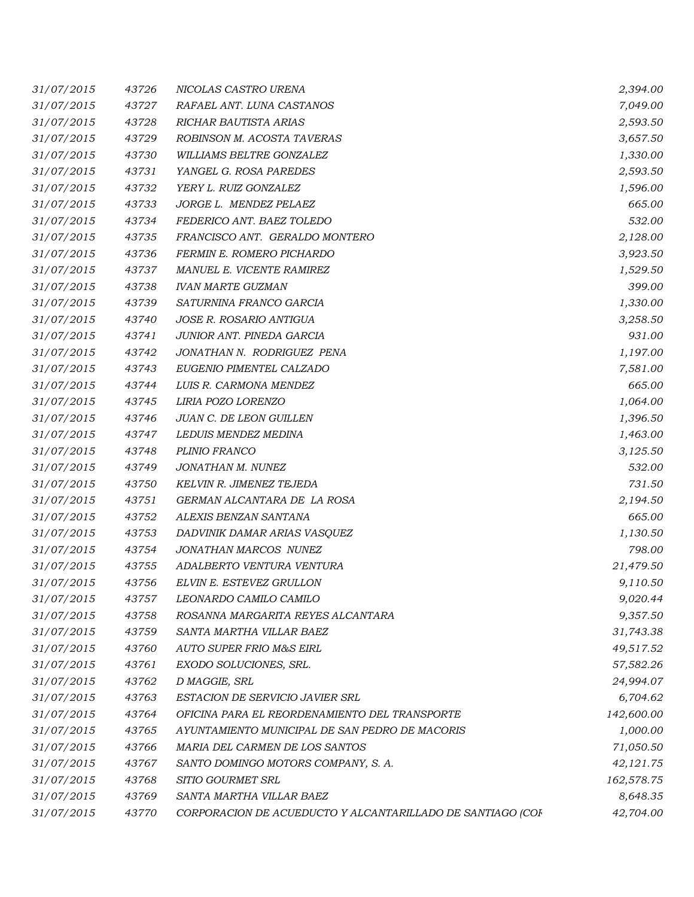| 31/07/2015 | 43726 | NICOLAS CASTRO URENA                                       | 2,394.00   |
|------------|-------|------------------------------------------------------------|------------|
| 31/07/2015 | 43727 | RAFAEL ANT. LUNA CASTANOS                                  | 7,049.00   |
| 31/07/2015 | 43728 | RICHAR BAUTISTA ARIAS                                      | 2,593.50   |
| 31/07/2015 | 43729 | ROBINSON M. ACOSTA TAVERAS                                 | 3,657.50   |
| 31/07/2015 | 43730 | WILLIAMS BELTRE GONZALEZ                                   | 1,330.00   |
| 31/07/2015 | 43731 | YANGEL G. ROSA PAREDES                                     | 2,593.50   |
| 31/07/2015 | 43732 | YERY L. RUIZ GONZALEZ                                      | 1,596.00   |
| 31/07/2015 | 43733 | JORGE L. MENDEZ PELAEZ                                     | 665.00     |
| 31/07/2015 | 43734 | FEDERICO ANT. BAEZ TOLEDO                                  | 532.00     |
| 31/07/2015 | 43735 | FRANCISCO ANT. GERALDO MONTERO                             | 2,128.00   |
| 31/07/2015 | 43736 | FERMIN E. ROMERO PICHARDO                                  | 3,923.50   |
| 31/07/2015 | 43737 | MANUEL E. VICENTE RAMIREZ                                  | 1,529.50   |
| 31/07/2015 | 43738 | <b>IVAN MARTE GUZMAN</b>                                   | 399.00     |
| 31/07/2015 | 43739 | SATURNINA FRANCO GARCIA                                    | 1,330.00   |
| 31/07/2015 | 43740 | <b>JOSE R. ROSARIO ANTIGUA</b>                             | 3,258.50   |
| 31/07/2015 | 43741 | JUNIOR ANT. PINEDA GARCIA                                  | 931.00     |
| 31/07/2015 | 43742 | JONATHAN N. RODRIGUEZ PENA                                 | 1,197.00   |
| 31/07/2015 | 43743 | EUGENIO PIMENTEL CALZADO                                   | 7,581.00   |
| 31/07/2015 | 43744 | LUIS R. CARMONA MENDEZ                                     | 665.00     |
| 31/07/2015 | 43745 | LIRIA POZO LORENZO                                         | 1,064.00   |
| 31/07/2015 | 43746 | JUAN C. DE LEON GUILLEN                                    | 1,396.50   |
| 31/07/2015 | 43747 | LEDUIS MENDEZ MEDINA                                       | 1,463.00   |
| 31/07/2015 | 43748 | PLINIO FRANCO                                              | 3,125.50   |
| 31/07/2015 | 43749 | JONATHAN M. NUNEZ                                          | 532.00     |
| 31/07/2015 | 43750 | KELVIN R. JIMENEZ TEJEDA                                   | 731.50     |
| 31/07/2015 | 43751 | GERMAN ALCANTARA DE LA ROSA                                | 2,194.50   |
| 31/07/2015 | 43752 | ALEXIS BENZAN SANTANA                                      | 665.00     |
| 31/07/2015 | 43753 | DADVINIK DAMAR ARIAS VASQUEZ                               | 1,130.50   |
| 31/07/2015 | 43754 | JONATHAN MARCOS NUNEZ                                      | 798.00     |
| 31/07/2015 | 43755 | ADALBERTO VENTURA VENTURA                                  | 21,479.50  |
| 31/07/2015 | 43756 | ELVIN E. ESTEVEZ GRULLON                                   | 9,110.50   |
| 31/07/2015 | 43757 | LEONARDO CAMILO CAMILO                                     | 9,020.44   |
| 31/07/2015 | 43758 | ROSANNA MARGARITA REYES ALCANTARA                          | 9,357.50   |
| 31/07/2015 | 43759 | SANTA MARTHA VILLAR BAEZ                                   | 31,743.38  |
| 31/07/2015 | 43760 | <b>AUTO SUPER FRIO M&amp;S EIRL</b>                        | 49,517.52  |
| 31/07/2015 | 43761 | EXODO SOLUCIONES, SRL.                                     | 57,582.26  |
| 31/07/2015 | 43762 | D MAGGIE, SRL                                              | 24,994.07  |
| 31/07/2015 | 43763 | ESTACION DE SERVICIO JAVIER SRL                            | 6,704.62   |
| 31/07/2015 | 43764 | OFICINA PARA EL REORDENAMIENTO DEL TRANSPORTE              | 142,600.00 |
| 31/07/2015 | 43765 | AYUNTAMIENTO MUNICIPAL DE SAN PEDRO DE MACORIS             | 1,000.00   |
| 31/07/2015 | 43766 | MARIA DEL CARMEN DE LOS SANTOS                             | 71,050.50  |
| 31/07/2015 | 43767 | SANTO DOMINGO MOTORS COMPANY, S. A.                        | 42,121.75  |
| 31/07/2015 | 43768 | SITIO GOURMET SRL                                          | 162,578.75 |
| 31/07/2015 | 43769 | SANTA MARTHA VILLAR BAEZ                                   | 8,648.35   |
| 31/07/2015 | 43770 | CORPORACION DE ACUEDUCTO Y ALCANTARILLADO DE SANTIAGO (COF | 42,704.00  |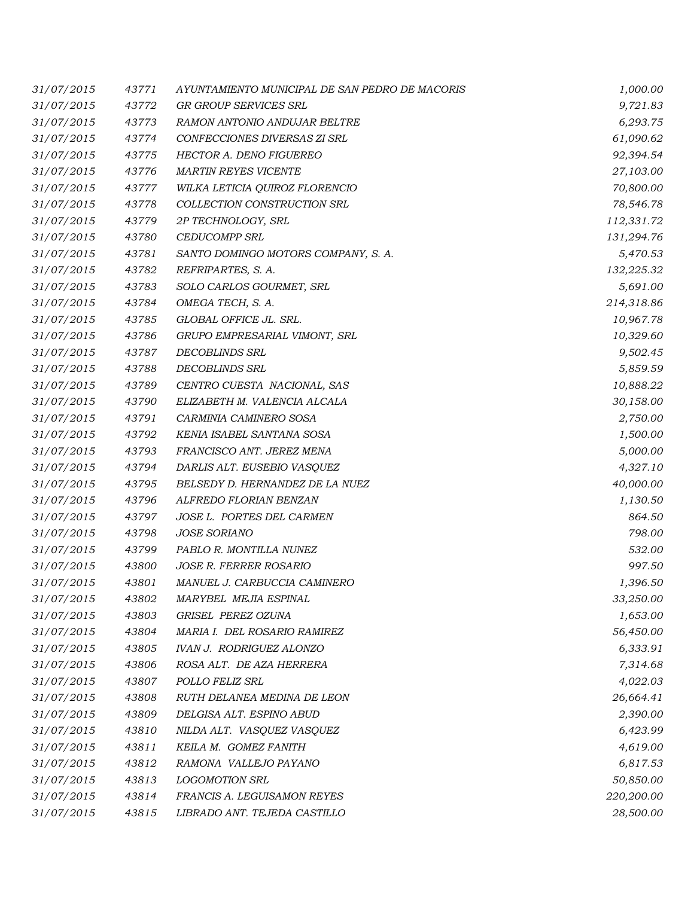| 31/07/2015 | 43771 | AYUNTAMIENTO MUNICIPAL DE SAN PEDRO DE MACORIS | 1,000.00   |
|------------|-------|------------------------------------------------|------------|
| 31/07/2015 | 43772 | GR GROUP SERVICES SRL                          | 9,721.83   |
| 31/07/2015 | 43773 | RAMON ANTONIO ANDUJAR BELTRE                   | 6,293.75   |
| 31/07/2015 | 43774 | CONFECCIONES DIVERSAS ZI SRL                   | 61,090.62  |
| 31/07/2015 | 43775 | <b>HECTOR A. DENO FIGUEREO</b>                 | 92,394.54  |
| 31/07/2015 | 43776 | <b>MARTIN REYES VICENTE</b>                    | 27,103.00  |
| 31/07/2015 | 43777 | WILKA LETICIA QUIROZ FLORENCIO                 | 70,800.00  |
| 31/07/2015 | 43778 | COLLECTION CONSTRUCTION SRL                    | 78,546.78  |
| 31/07/2015 | 43779 | 2P TECHNOLOGY, SRL                             | 112,331.72 |
| 31/07/2015 | 43780 | <b>CEDUCOMPP SRL</b>                           | 131,294.76 |
| 31/07/2015 | 43781 | SANTO DOMINGO MOTORS COMPANY, S. A.            | 5,470.53   |
| 31/07/2015 | 43782 | REFRIPARTES, S. A.                             | 132,225.32 |
| 31/07/2015 | 43783 | SOLO CARLOS GOURMET, SRL                       | 5,691.00   |
| 31/07/2015 | 43784 | OMEGA TECH, S. A.                              | 214,318.86 |
| 31/07/2015 | 43785 | GLOBAL OFFICE JL. SRL.                         | 10,967.78  |
| 31/07/2015 | 43786 | GRUPO EMPRESARIAL VIMONT, SRL                  | 10,329.60  |
| 31/07/2015 | 43787 | DECOBLINDS SRL                                 | 9,502.45   |
| 31/07/2015 | 43788 | <b>DECOBLINDS SRL</b>                          | 5,859.59   |
| 31/07/2015 | 43789 | CENTRO CUESTA NACIONAL, SAS                    | 10,888.22  |
| 31/07/2015 | 43790 | ELIZABETH M. VALENCIA ALCALA                   | 30,158.00  |
| 31/07/2015 | 43791 | CARMINIA CAMINERO SOSA                         | 2,750.00   |
| 31/07/2015 | 43792 | KENIA ISABEL SANTANA SOSA                      | 1,500.00   |
| 31/07/2015 | 43793 | FRANCISCO ANT. JEREZ MENA                      | 5,000.00   |
| 31/07/2015 | 43794 | DARLIS ALT. EUSEBIO VASQUEZ                    | 4,327.10   |
| 31/07/2015 | 43795 | BELSEDY D. HERNANDEZ DE LA NUEZ                | 40,000.00  |
| 31/07/2015 | 43796 | ALFREDO FLORIAN BENZAN                         | 1,130.50   |
| 31/07/2015 | 43797 | JOSE L. PORTES DEL CARMEN                      | 864.50     |
| 31/07/2015 | 43798 | <b>JOSE SORIANO</b>                            | 798.00     |
| 31/07/2015 | 43799 | PABLO R. MONTILLA NUNEZ                        | 532.00     |
| 31/07/2015 | 43800 | JOSE R. FERRER ROSARIO                         | 997.50     |
| 31/07/2015 | 43801 | MANUEL J. CARBUCCIA CAMINERO                   | 1,396.50   |
| 31/07/2015 | 43802 | MARYBEL MEJIA ESPINAL                          | 33,250.00  |
| 31/07/2015 | 43803 | GRISEL PEREZ OZUNA                             | 1,653.00   |
| 31/07/2015 | 43804 | MARIA I. DEL ROSARIO RAMIREZ                   | 56,450.00  |
| 31/07/2015 | 43805 | <b>IVAN J. RODRIGUEZ ALONZO</b>                | 6,333.91   |
| 31/07/2015 | 43806 | ROSA ALT. DE AZA HERRERA                       | 7,314.68   |
| 31/07/2015 | 43807 | POLLO FELIZ SRL                                | 4,022.03   |
| 31/07/2015 | 43808 | RUTH DELANEA MEDINA DE LEON                    | 26,664.41  |
| 31/07/2015 | 43809 | DELGISA ALT. ESPINO ABUD                       | 2,390.00   |
| 31/07/2015 | 43810 | NILDA ALT. VASQUEZ VASQUEZ                     | 6,423.99   |
| 31/07/2015 | 43811 | KEILA M. GOMEZ FANITH                          | 4,619.00   |
| 31/07/2015 | 43812 | RAMONA VALLEJO PAYANO                          | 6,817.53   |
| 31/07/2015 | 43813 | <b>LOGOMOTION SRL</b>                          | 50,850.00  |
| 31/07/2015 | 43814 | FRANCIS A. LEGUISAMON REYES                    | 220,200.00 |
| 31/07/2015 | 43815 | LIBRADO ANT. TEJEDA CASTILLO                   | 28,500.00  |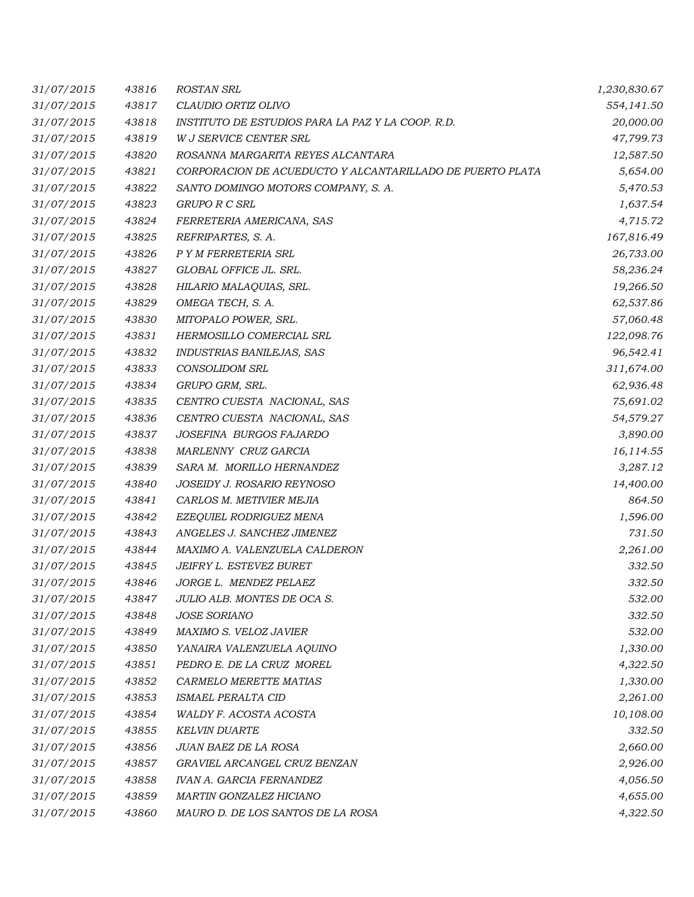| 31/07/2015 | 43816 | <b>ROSTAN SRL</b>                                         | 1,230,830.67 |
|------------|-------|-----------------------------------------------------------|--------------|
| 31/07/2015 | 43817 | CLAUDIO ORTIZ OLIVO                                       | 554,141.50   |
| 31/07/2015 | 43818 | INSTITUTO DE ESTUDIOS PARA LA PAZ Y LA COOP. R.D.         | 20,000.00    |
| 31/07/2015 | 43819 | W J SERVICE CENTER SRL                                    | 47,799.73    |
| 31/07/2015 | 43820 | ROSANNA MARGARITA REYES ALCANTARA                         | 12,587.50    |
| 31/07/2015 | 43821 | CORPORACION DE ACUEDUCTO Y ALCANTARILLADO DE PUERTO PLATA | 5,654.00     |
| 31/07/2015 | 43822 | SANTO DOMINGO MOTORS COMPANY, S. A.                       | 5,470.53     |
| 31/07/2015 | 43823 | <b>GRUPO R C SRL</b>                                      | 1,637.54     |
| 31/07/2015 | 43824 | FERRETERIA AMERICANA, SAS                                 | 4,715.72     |
| 31/07/2015 | 43825 | REFRIPARTES, S. A.                                        | 167,816.49   |
| 31/07/2015 | 43826 | P Y M FERRETERIA SRL                                      | 26,733.00    |
| 31/07/2015 | 43827 | GLOBAL OFFICE JL. SRL.                                    | 58,236.24    |
| 31/07/2015 | 43828 | HILARIO MALAQUIAS, SRL.                                   | 19,266.50    |
| 31/07/2015 | 43829 | OMEGA TECH, S. A.                                         | 62,537.86    |
| 31/07/2015 | 43830 | MITOPALO POWER, SRL.                                      | 57,060.48    |
| 31/07/2015 | 43831 | HERMOSILLO COMERCIAL SRL                                  | 122,098.76   |
| 31/07/2015 | 43832 | INDUSTRIAS BANILEJAS, SAS                                 | 96,542.41    |
| 31/07/2015 | 43833 | <b>CONSOLIDOM SRL</b>                                     | 311,674.00   |
| 31/07/2015 | 43834 | GRUPO GRM, SRL.                                           | 62,936.48    |
| 31/07/2015 | 43835 | CENTRO CUESTA NACIONAL, SAS                               | 75,691.02    |
| 31/07/2015 | 43836 | CENTRO CUESTA NACIONAL, SAS                               | 54,579.27    |
| 31/07/2015 | 43837 | JOSEFINA BURGOS FAJARDO                                   | 3,890.00     |
| 31/07/2015 | 43838 | MARLENNY CRUZ GARCIA                                      | 16,114.55    |
| 31/07/2015 | 43839 | SARA M. MORILLO HERNANDEZ                                 | 3,287.12     |
| 31/07/2015 | 43840 | JOSEIDY J. ROSARIO REYNOSO                                | 14,400.00    |
| 31/07/2015 | 43841 | CARLOS M. METIVIER MEJIA                                  | 864.50       |
| 31/07/2015 | 43842 | EZEQUIEL RODRIGUEZ MENA                                   | 1,596.00     |
| 31/07/2015 | 43843 | ANGELES J. SANCHEZ JIMENEZ                                | 731.50       |
| 31/07/2015 | 43844 | MAXIMO A. VALENZUELA CALDERON                             | 2,261.00     |
| 31/07/2015 | 43845 | JEIFRY L. ESTEVEZ BURET                                   | 332.50       |
| 31/07/2015 | 43846 | JORGE L. MENDEZ PELAEZ                                    | 332.50       |
| 31/07/2015 | 43847 | JULIO ALB. MONTES DE OCA S.                               | 532.00       |
| 31/07/2015 | 43848 | <b>JOSE SORIANO</b>                                       | 332.50       |
| 31/07/2015 | 43849 | MAXIMO S. VELOZ JAVIER                                    | 532.00       |
| 31/07/2015 | 43850 | YANAIRA VALENZUELA AQUINO                                 | 1,330.00     |
| 31/07/2015 | 43851 | PEDRO E. DE LA CRUZ MOREL                                 | 4,322.50     |
| 31/07/2015 | 43852 | CARMELO MERETTE MATIAS                                    | 1,330.00     |
| 31/07/2015 | 43853 | ISMAEL PERALTA CID                                        | 2,261.00     |
| 31/07/2015 | 43854 | WALDY F. ACOSTA ACOSTA                                    | 10,108.00    |
| 31/07/2015 | 43855 | <b>KELVIN DUARTE</b>                                      | 332.50       |
| 31/07/2015 | 43856 | JUAN BAEZ DE LA ROSA                                      | 2,660.00     |
| 31/07/2015 | 43857 | GRAVIEL ARCANGEL CRUZ BENZAN                              | 2,926.00     |
| 31/07/2015 | 43858 | <b>IVAN A. GARCIA FERNANDEZ</b>                           | 4,056.50     |
| 31/07/2015 | 43859 | MARTIN GONZALEZ HICIANO                                   | 4,655.00     |
| 31/07/2015 | 43860 | MAURO D. DE LOS SANTOS DE LA ROSA                         | 4,322.50     |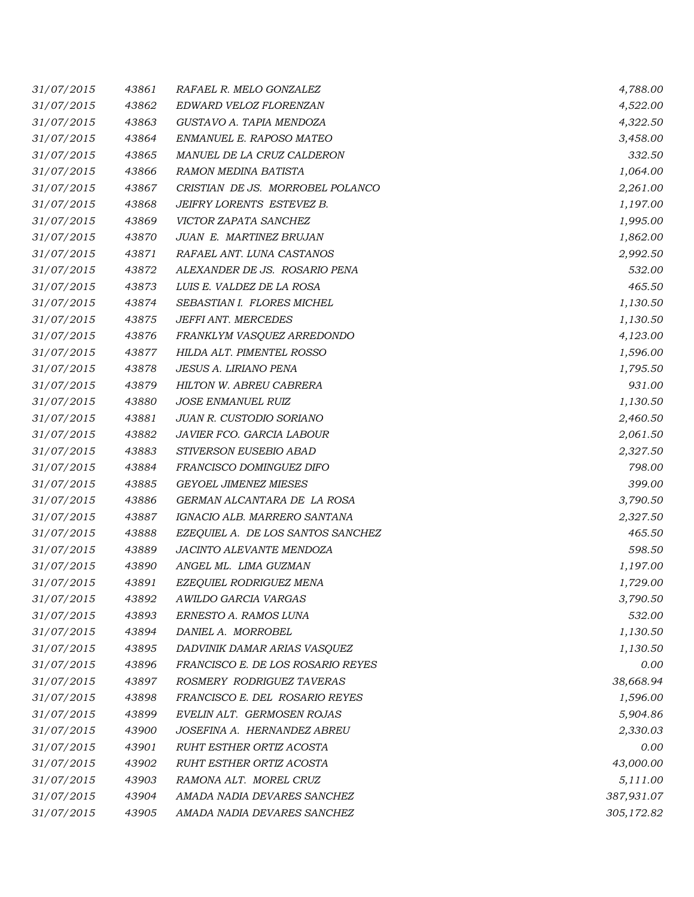| 31/07/2015 | 43861 | RAFAEL R. MELO GONZALEZ           | 4,788.00   |
|------------|-------|-----------------------------------|------------|
| 31/07/2015 | 43862 | EDWARD VELOZ FLORENZAN            | 4,522.00   |
| 31/07/2015 | 43863 | GUSTAVO A. TAPIA MENDOZA          | 4,322.50   |
| 31/07/2015 | 43864 | ENMANUEL E. RAPOSO MATEO          | 3,458.00   |
| 31/07/2015 | 43865 | MANUEL DE LA CRUZ CALDERON        | 332.50     |
| 31/07/2015 | 43866 | RAMON MEDINA BATISTA              | 1,064.00   |
| 31/07/2015 | 43867 | CRISTIAN DE JS. MORROBEL POLANCO  | 2,261.00   |
| 31/07/2015 | 43868 | JEIFRY LORENTS ESTEVEZ B.         | 1,197.00   |
| 31/07/2015 | 43869 | VICTOR ZAPATA SANCHEZ             | 1,995.00   |
| 31/07/2015 | 43870 | JUAN E. MARTINEZ BRUJAN           | 1,862.00   |
| 31/07/2015 | 43871 | RAFAEL ANT. LUNA CASTANOS         | 2,992.50   |
| 31/07/2015 | 43872 | ALEXANDER DE JS. ROSARIO PENA     | 532.00     |
| 31/07/2015 | 43873 | LUIS E. VALDEZ DE LA ROSA         | 465.50     |
| 31/07/2015 | 43874 | SEBASTIAN I. FLORES MICHEL        | 1,130.50   |
| 31/07/2015 | 43875 | JEFFI ANT. MERCEDES               | 1,130.50   |
| 31/07/2015 | 43876 | FRANKLYM VASQUEZ ARREDONDO        | 4,123.00   |
| 31/07/2015 | 43877 | HILDA ALT. PIMENTEL ROSSO         | 1,596.00   |
| 31/07/2015 | 43878 | JESUS A. LIRIANO PENA             | 1,795.50   |
| 31/07/2015 | 43879 | HILTON W. ABREU CABRERA           | 931.00     |
| 31/07/2015 | 43880 | <b>JOSE ENMANUEL RUIZ</b>         | 1,130.50   |
| 31/07/2015 | 43881 | JUAN R. CUSTODIO SORIANO          | 2,460.50   |
| 31/07/2015 | 43882 | JAVIER FCO. GARCIA LABOUR         | 2,061.50   |
| 31/07/2015 | 43883 | STIVERSON EUSEBIO ABAD            | 2,327.50   |
| 31/07/2015 | 43884 | FRANCISCO DOMINGUEZ DIFO          | 798.00     |
| 31/07/2015 | 43885 | <b>GEYOEL JIMENEZ MIESES</b>      | 399.00     |
| 31/07/2015 | 43886 | GERMAN ALCANTARA DE LA ROSA       | 3,790.50   |
| 31/07/2015 | 43887 | IGNACIO ALB. MARRERO SANTANA      | 2,327.50   |
| 31/07/2015 | 43888 | EZEQUIEL A. DE LOS SANTOS SANCHEZ | 465.50     |
| 31/07/2015 | 43889 | <b>JACINTO ALEVANTE MENDOZA</b>   | 598.50     |
| 31/07/2015 | 43890 | ANGEL ML. LIMA GUZMAN             | 1,197.00   |
| 31/07/2015 | 43891 | EZEQUIEL RODRIGUEZ MENA           | 1,729.00   |
| 31/07/2015 | 43892 | AWILDO GARCIA VARGAS              | 3,790.50   |
| 31/07/2015 | 43893 | ERNESTO A. RAMOS LUNA             | 532.00     |
| 31/07/2015 | 43894 | DANIEL A. MORROBEL                | 1,130.50   |
| 31/07/2015 | 43895 | DADVINIK DAMAR ARIAS VASQUEZ      | 1,130.50   |
| 31/07/2015 | 43896 | FRANCISCO E. DE LOS ROSARIO REYES | 0.00       |
| 31/07/2015 | 43897 | ROSMERY RODRIGUEZ TAVERAS         | 38,668.94  |
| 31/07/2015 | 43898 | FRANCISCO E. DEL ROSARIO REYES    | 1,596.00   |
| 31/07/2015 | 43899 | EVELIN ALT. GERMOSEN ROJAS        | 5,904.86   |
| 31/07/2015 | 43900 | JOSEFINA A. HERNANDEZ ABREU       | 2,330.03   |
| 31/07/2015 | 43901 | RUHT ESTHER ORTIZ ACOSTA          | 0.00       |
| 31/07/2015 | 43902 | RUHT ESTHER ORTIZ ACOSTA          | 43,000.00  |
| 31/07/2015 | 43903 | RAMONA ALT. MOREL CRUZ            | 5,111.00   |
| 31/07/2015 | 43904 | AMADA NADIA DEVARES SANCHEZ       | 387,931.07 |
| 31/07/2015 | 43905 | AMADA NADIA DEVARES SANCHEZ       | 305,172.82 |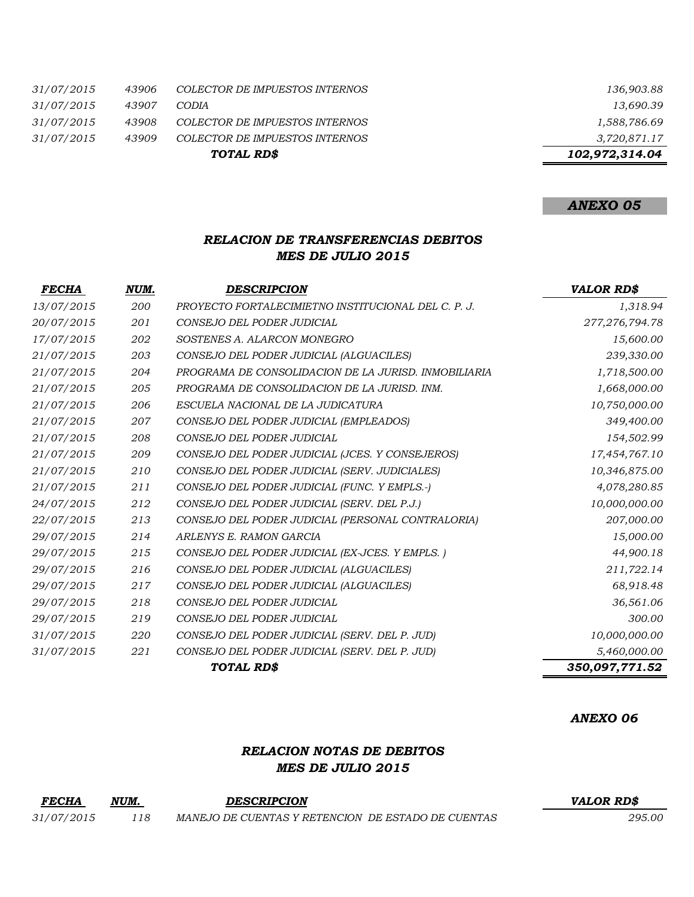| TOTAL RD\$ |       |                                | 102,972,314.04 |
|------------|-------|--------------------------------|----------------|
| 31/07/2015 | 43909 | COLECTOR DE IMPUESTOS INTERNOS | 3,720,871.17   |
| 31/07/2015 | 43908 | COLECTOR DE IMPUESTOS INTERNOS | 1,588,786.69   |
| 31/07/2015 | 43907 | CODIA                          | 13,690.39      |
| 31/07/2015 | 43906 | COLECTOR DE IMPUESTOS INTERNOS | 136,903.88     |

# *ANEXO 05*

### *RELACION DE TRANSFERENCIAS DEBITOS MES DE JULIO 2015*

| <b>FECHA</b> | NUM.           | <b>DESCRIPCION</b>                                   | <b>VALOR RD\$</b> |
|--------------|----------------|------------------------------------------------------|-------------------|
| 13/07/2015   | 200            | PROYECTO FORTALECIMIETNO INSTITUCIONAL DEL C. P. J.  | 1,318.94          |
| 20/07/2015   | 201            | CONSEJO DEL PODER JUDICIAL                           | 277, 276, 794. 78 |
| 17/07/2015   | 202            | SOSTENES A. ALARCON MONEGRO                          | 15,600.00         |
| 21/07/2015   | 203            | CONSEJO DEL PODER JUDICIAL (ALGUACILES)              | 239,330.00        |
| 21/07/2015   | 204            | PROGRAMA DE CONSOLIDACION DE LA JURISD. INMOBILIARIA | 1,718,500.00      |
| 21/07/2015   | 205            | PROGRAMA DE CONSOLIDACION DE LA JURISD. INM.         | 1,668,000.00      |
| 21/07/2015   | 206            | ESCUELA NACIONAL DE LA JUDICATURA                    | 10,750,000.00     |
| 21/07/2015   | 207            | CONSEJO DEL PODER JUDICIAL (EMPLEADOS)               | 349,400.00        |
| 21/07/2015   | 208            | CONSEJO DEL PODER JUDICIAL                           | 154,502.99        |
| 21/07/2015   | 209            | CONSEJO DEL PODER JUDICIAL (JCES. Y CONSEJEROS)      | 17,454,767.10     |
| 21/07/2015   | 210            | CONSEJO DEL PODER JUDICIAL (SERV. JUDICIALES)        | 10,346,875.00     |
| 21/07/2015   | 211            | CONSEJO DEL PODER JUDICIAL (FUNC. Y EMPLS.-)         | 4,078,280.85      |
| 24/07/2015   | 212            | CONSEJO DEL PODER JUDICIAL (SERV. DEL P.J.)          | 10,000,000.00     |
| 22/07/2015   | 213            | CONSEJO DEL PODER JUDICIAL (PERSONAL CONTRALORIA)    | 207,000.00        |
| 29/07/2015   | 214            | ARLENYS E. RAMON GARCIA                              | 15,000.00         |
| 29/07/2015   | 215            | CONSEJO DEL PODER JUDICIAL (EX-JCES. Y EMPLS.)       | 44,900.18         |
| 29/07/2015   | 216            | CONSEJO DEL PODER JUDICIAL (ALGUACILES)              | 211,722.14        |
| 29/07/2015   | 217            | CONSEJO DEL PODER JUDICIAL (ALGUACILES)              | 68,918.48         |
| 29/07/2015   | 218            | CONSEJO DEL PODER JUDICIAL                           | 36,561.06         |
| 29/07/2015   | 219            | CONSEJO DEL PODER JUDICIAL                           | 300.00            |
| 31/07/2015   | 220            | CONSEJO DEL PODER JUDICIAL (SERV. DEL P. JUD)        | 10,000,000.00     |
| 31/07/2015   | 221            | CONSEJO DEL PODER JUDICIAL (SERV. DEL P. JUD)        | 5,460,000.00      |
|              | 350,097,771.52 |                                                      |                   |

### *ANEXO 06*

### *RELACION NOTAS DE DEBITOS MES DE JULIO 2015*

*FECHA NUM. DESCRIPCION VALOR RD\$ 31/07/2015 118 MANEJO DE CUENTAS Y RETENCION DE ESTADO DE CUENTAS 295.00*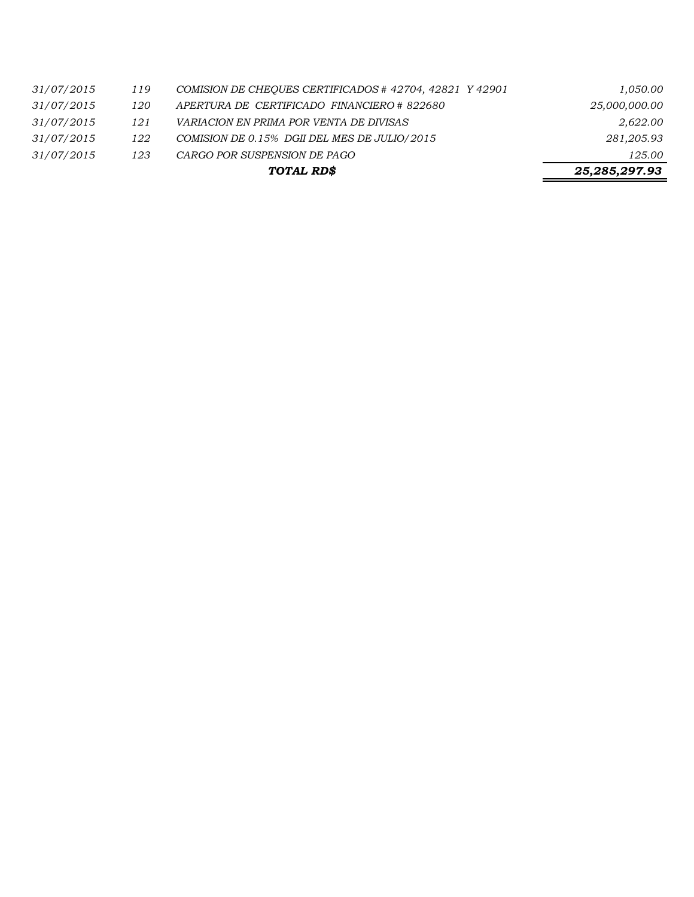|     |                                                         | 25,285,297.93 |
|-----|---------------------------------------------------------|---------------|
| 123 | CARGO POR SUSPENSION DE PAGO                            | 125.00        |
| 122 | COMISION DE 0.15% DGII DEL MES DE JULIO/2015            | 281,205.93    |
| 121 | <i>VARIACION EN PRIMA POR VENTA DE DIVISAS</i>          | 2,622.00      |
| 120 | APERTURA DE CERTIFICADO FINANCIERO # 822680             | 25,000,000.00 |
| 119 | COMISION DE CHEOUES CERTIFICADOS # 42704, 42821 Y 42901 | 1,050.00      |
|     |                                                         | TOTAL RD\$    |